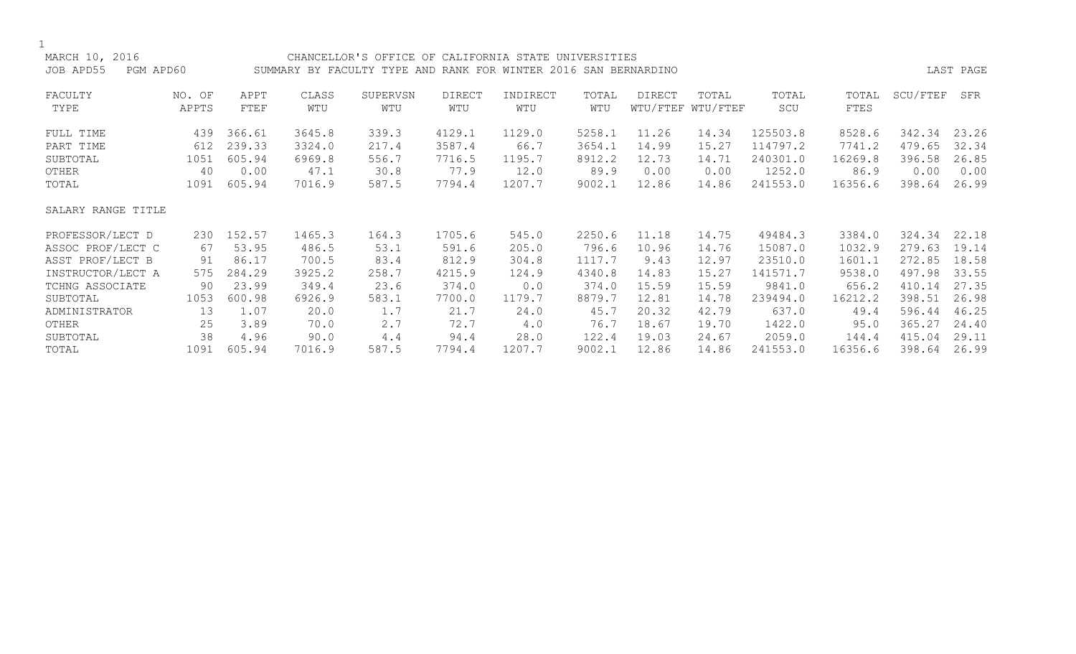| MARCH 10, 2016         |        |        |        | CHANCELLOR'S OFFICE OF CALIFORNIA STATE UNIVERSITIES            |               |          |        |        |                   |          |         |          |           |
|------------------------|--------|--------|--------|-----------------------------------------------------------------|---------------|----------|--------|--------|-------------------|----------|---------|----------|-----------|
| JOB APD55<br>PGM APD60 |        |        |        | SUMMARY BY FACULTY TYPE AND RANK FOR WINTER 2016 SAN BERNARDINO |               |          |        |        |                   |          |         |          | LAST PAGE |
|                        |        |        |        |                                                                 |               |          |        |        |                   |          |         |          |           |
| FACULTY                | NO. OF | APPT   | CLASS  | SUPERVSN                                                        | <b>DIRECT</b> | INDIRECT | TOTAL  | DIRECT | TOTAL             | TOTAL    | TOTAL   | SCU/FTEF | SFR       |
| TYPE                   | APPTS  | FTEF   | WTU    | WTU                                                             | WTU           | WTU      | WTU    |        | WTU/FTEF WTU/FTEF | SCU      | FTES    |          |           |
| FULL TIME              | 439    | 366.61 | 3645.8 | 339.3                                                           | 4129.1        | 1129.0   | 5258.1 | 11.26  | 14.34             | 125503.8 | 8528.6  | 342.34   | 23.26     |
| PART TIME              | 612    | 239.33 | 3324.0 | 217.4                                                           | 3587.4        | 66.7     | 3654.1 | 14.99  | 15.27             | 114797.2 | 7741.2  | 479.65   | 32.34     |
| SUBTOTAL               | 1051   | 605.94 | 6969.8 | 556.7                                                           | 7716.5        | 1195.7   | 8912.2 | 12.73  | 14.71             | 240301.0 | 16269.8 | 396.58   | 26.85     |
| OTHER                  | 40     | 0.00   | 47.1   | 30.8                                                            | 77.9          | 12.0     | 89.9   | 0.00   | 0.00              | 1252.0   | 86.9    | 0.00     | 0.00      |
| TOTAL                  | 1091   | 605.94 | 7016.9 | 587.5                                                           | 7794.4        | 1207.7   | 9002.1 | 12.86  | 14.86             | 241553.0 | 16356.6 | 398.64   | 26.99     |
|                        |        |        |        |                                                                 |               |          |        |        |                   |          |         |          |           |
| SALARY RANGE TITLE     |        |        |        |                                                                 |               |          |        |        |                   |          |         |          |           |
|                        |        |        |        |                                                                 |               |          |        |        |                   |          |         |          |           |
| PROFESSOR/LECT D       | 230    | 152.57 | 1465.3 | 164.3                                                           | 1705.6        | 545.0    | 2250.6 | 11.18  | 14.75             | 49484.3  | 3384.0  | 324.34   | 22.18     |
| ASSOC PROF/LECT C      | 67     | 53.95  | 486.5  | 53.1                                                            | 591.6         | 205.0    | 796.6  | 10.96  | 14.76             | 15087.0  | 1032.9  | 279.63   | 19.14     |
| ASST PROF/LECT B       | 91     | 86.17  | 700.5  | 83.4                                                            | 812.9         | 304.8    | 1117.7 | 9.43   | 12.97             | 23510.0  | 1601.1  | 272.85   | 18.58     |
| INSTRUCTOR/LECT A      | 575    | 284.29 | 3925.2 | 258.7                                                           | 4215.9        | 124.9    | 4340.8 | 14.83  | 15.27             | 141571.7 | 9538.0  | 497.98   | 33.55     |
| TCHNG ASSOCIATE        | 90     | 23.99  | 349.4  | 23.6                                                            | 374.0         | 0.0      | 374.0  | 15.59  | 15.59             | 9841.0   | 656.2   | 410.14   | 27.35     |
| SUBTOTAL               | 1053   | 600.98 | 6926.9 | 583.1                                                           | 7700.0        | 1179.7   | 8879.7 | 12.81  | 14.78             | 239494.0 | 16212.2 | 398.51   | 26.98     |
| ADMINISTRATOR          | 13     | 1.07   | 20.0   | 1.7                                                             | 21.7          | 24.0     | 45.7   | 20.32  | 42.79             | 637.0    | 49.4    | 596.44   | 46.25     |
| OTHER                  | 25     | 3.89   | 70.0   | 2.7                                                             | 72.7          | 4.0      | 76.7   | 18.67  | 19.70             | 1422.0   | 95.0    | 365.27   | 24.40     |
| SUBTOTAL               | 38     | 4.96   | 90.0   | 4.4                                                             | 94.4          | 28.0     | 122.4  | 19.03  | 24.67             | 2059.0   | 144.4   | 415.04   | 29.11     |
| TOTAL                  | 1091   | 605.94 | 7016.9 | 587.5                                                           | 7794.4        | 1207.7   | 9002.1 | 12.86  | 14.86             | 241553.0 | 16356.6 | 398.64   | 26.99     |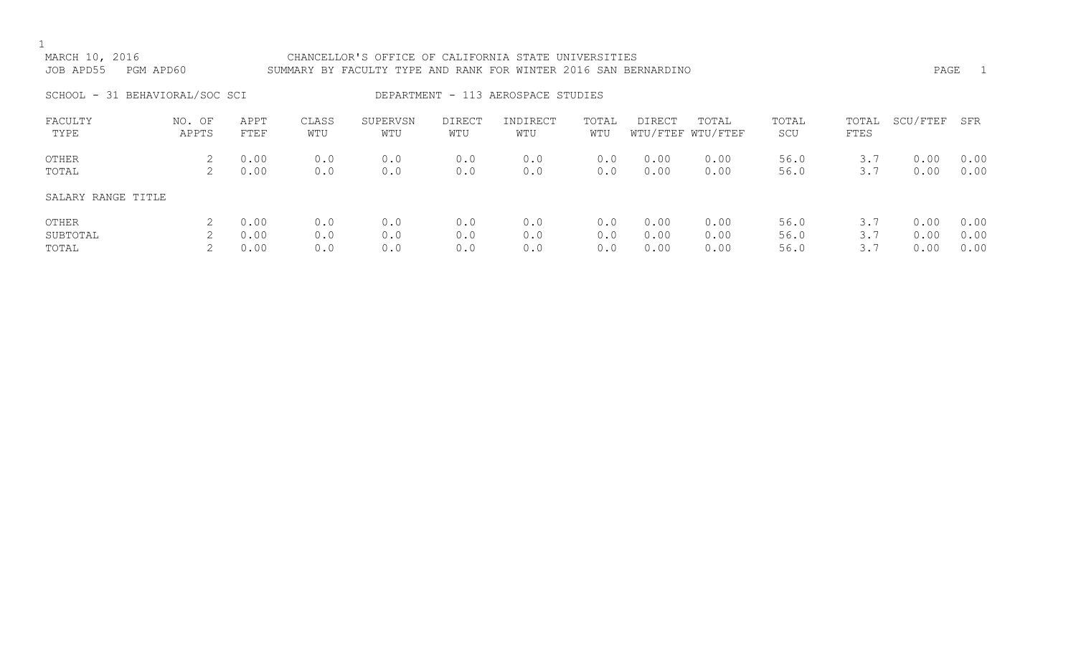# MARCH 10, 2016 CHANCELLOR'S OFFICE OF CALIFORNIA STATE UNIVERSITIES JOB APD55 PGM APD60 SUMMARY BY FACULTY TYPE AND RANK FOR WINTER 2016 SAN BERNARDINO PAGE 1 SCHOOL - 31 BEHAVIORAL/SOC SCI DEPARTMENT - 113 AEROSPACE STUDIES FACULTY NO. OF APPT CLASS SUPERVSN DIRECT INDIRECT TOTAL DIRECT TOTAL TOTAL TOTAL SCU/FTEF SFR TYPE APPTS FTEF WTU WTU WTU WTU WTU WTU/FTEF WTU/FTEF SCU FTES OTHER 2 0.00 0.0 0.0 0.0 0.0 0.0 0.00 0.00 56.0 3.7 0.00 0.00 TOTAL 2 0.00 0.0 0.0 0.0 0.0 0.0 0.00 0.00 56.0 3.7 0.00 0.00 SALARY RANGE TITLE

| OTHER    |  |  |  |  | $2$ 0.00 0.0 0.0 0.0 0.0 0.0 0.00 0.00 56.0 3.7 0.00 0.00 |  |  |
|----------|--|--|--|--|-----------------------------------------------------------|--|--|
| SUBTOTAL |  |  |  |  | $2$ 0.00 0.0 0.0 0.0 0.0 0.0 0.00 0.00 56.0 3.7 0.00 0.00 |  |  |
| TOTAL    |  |  |  |  | $2$ 0.00 0.0 0.0 0.0 0.0 0.0 0.00 0.00 56.0 3.7 0.00 0.00 |  |  |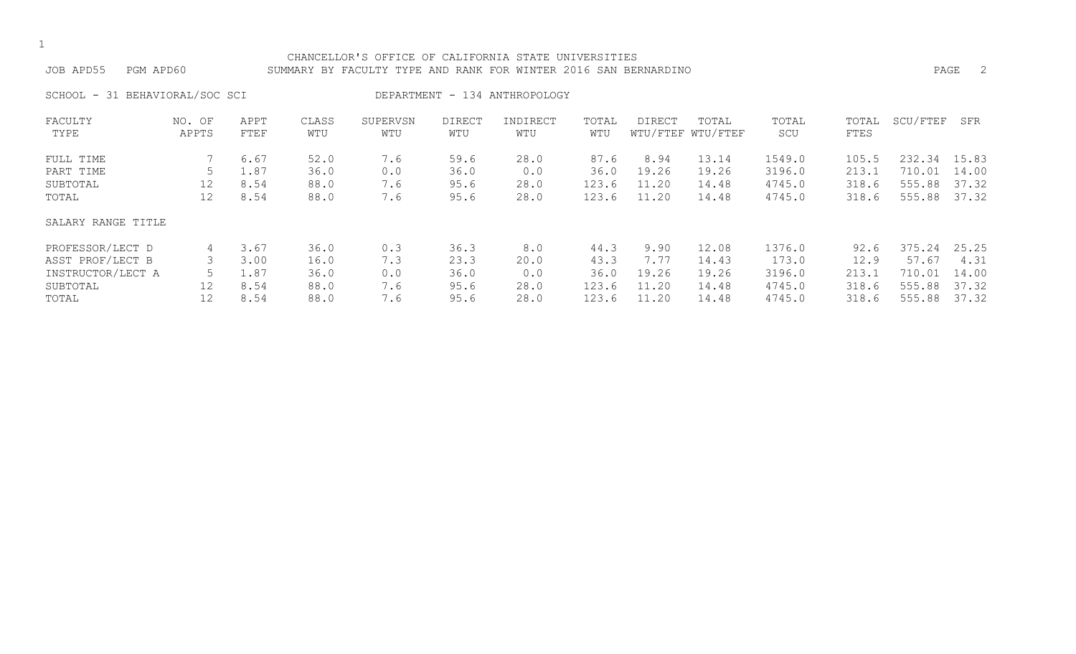#### CHANCELLOR'S OFFICE OF CALIFORNIA STATE UNIVERSITIES JOB APD55 PGM APD60 SUMMARY BY FACULTY TYPE AND RANK FOR WINTER 2016 SAN BERNARDINO PAGE 2

SCHOOL - 31 BEHAVIORAL/SOC SCI BEPARTMENT - 134 ANTHROPOLOGY

| FACULTY            | NO. OF | APPT | CLASS | SUPERVSN | <b>DIRECT</b> | INDIRECT | TOTAL | <b>DIRECT</b> | TOTAL             | TOTAL  | TOTAL | SCU/FTEF    | SFR   |
|--------------------|--------|------|-------|----------|---------------|----------|-------|---------------|-------------------|--------|-------|-------------|-------|
| TYPE               | APPTS  | FTEF | WTU   | WTU      | WTU           | WTU      | WTU   |               | WTU/FTEF WTU/FTEF | SCU    | FTES  |             |       |
| FULL TIME          |        | 6.67 | 52.0  | 7.6      | 59.6          | 28.0     | 87.6  | 8.94          | 13.14             | 1549.0 | 105.5 | 232.34      | 15.83 |
| PART TIME          |        | 1.87 | 36.0  | 0.0      | 36.0          | 0.0      | 36.0  | 19.26         | 19.26             | 3196.0 | 213.1 | .01<br>710. | 14.00 |
| SUBTOTAL           | 12     | 8.54 | 88.0  | 7.6      | 95.6          | 28.0     | 123.6 | 11.20         | 14.48             | 4745.0 | 318.6 | 555.88      | 37.32 |
| TOTAL              | 12     | 8.54 | 88.0  | 7.6      | 95.6          | 28.0     | 123.6 | 11.20         | 14.48             | 4745.0 | 318.6 | 555.88      | 37.32 |
| SALARY RANGE TITLE |        |      |       |          |               |          |       |               |                   |        |       |             |       |
| PROFESSOR/LECT D   | 4      | 3.67 | 36.0  | 0.3      | 36.3          | 8.0      | 44.3  | 9.90          | 12.08             | 1376.0 | 92.6  | 375.24      | 25.25 |
| ASST PROF/LECT B   |        | 3.00 | 16.0  | 7.3      | 23.3          | 20.0     | 43.3  | 7.77          | 14.43             | 173.0  | 12.9  | 57.67       | 4.31  |
| INSTRUCTOR/LECT A  |        | 1.87 | 36.0  | 0.0      | 36.0          | 0.0      | 36.0  | 19.26         | 19.26             | 3196.0 | 213.1 | .01<br>710. | 14.00 |
| SUBTOTAL           | 12     | 8.54 | 88.0  | 7.6      | 95.6          | 28.0     | 123.6 | 11.20         | 14.48             | 4745.0 | 318.6 | 555.88      | 37.32 |
| TOTAL              | 12     | 8.54 | 88.0  | 7.6      | 95.6          | 28.0     | 123.6 | 11.20         | 14.48             | 4745.0 | 318.6 | 555.88      | 37.32 |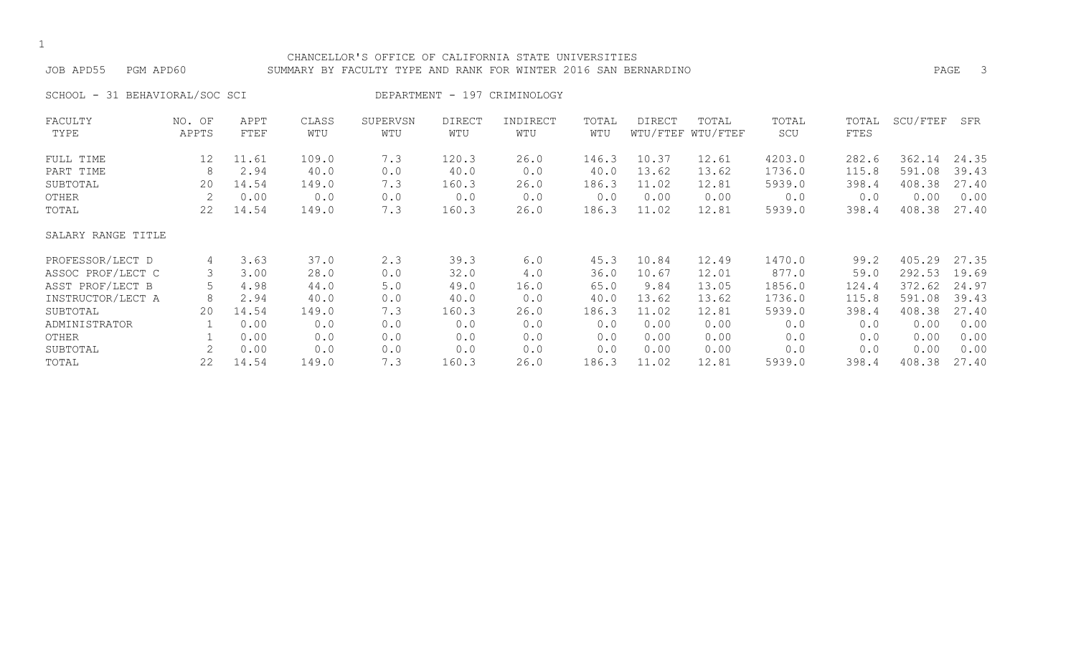#### CHANCELLOR'S OFFICE OF CALIFORNIA STATE UNIVERSITIES JOB APD55 PGM APD60 SUMMARY BY FACULTY TYPE AND RANK FOR WINTER 2016 SAN BERNARDINO PAGE 3

SCHOOL - 31 BEHAVIORAL/SOC SCI DEPARTMENT - 197 CRIMINOLOGY

| FACULTY            | NO. OF | APPT  | CLASS | SUPERVSN | <b>DIRECT</b> | INDIRECT | TOTAL | DIRECT | TOTAL             | TOTAL  | TOTAL | SCU/FTEF | SFR   |
|--------------------|--------|-------|-------|----------|---------------|----------|-------|--------|-------------------|--------|-------|----------|-------|
| TYPE               | APPTS  | FTEF  | WTU   | WTU      | WTU           | WTU      | WTU   |        | WTU/FTEF WTU/FTEF | SCU    | FTES  |          |       |
| FULL TIME          | 12     | 11.61 | 109.0 | 7.3      | 120.3         | 26.0     | 146.3 | 10.37  | 12.61             | 4203.0 | 282.6 | 362.14   | 24.35 |
| PART TIME          | 8      | 2.94  | 40.0  | 0.0      | 40.0          | 0.0      | 40.0  | 13.62  | 13.62             | 1736.0 | 115.8 | 591.08   | 39.43 |
| SUBTOTAL           | 20     | 14.54 | 149.0 | 7.3      | 160.3         | 26.0     | 186.3 | 11.02  | 12.81             | 5939.0 | 398.4 | 408.38   | 27.40 |
| OTHER              | 2      | 0.00  | 0.0   | 0.0      | 0.0           | 0.0      | 0.0   | 0.00   | 0.00              | 0.0    | 0.0   | 0.00     | 0.00  |
| TOTAL              | 22     | 14.54 | 149.0 | 7.3      | 160.3         | 26.0     | 186.3 | 11.02  | 12.81             | 5939.0 | 398.4 | 408.38   | 27.40 |
| SALARY RANGE TITLE |        |       |       |          |               |          |       |        |                   |        |       |          |       |
| PROFESSOR/LECT D   | 4      | 3.63  | 37.0  | 2.3      | 39.3          | 6.0      | 45.3  | 10.84  | 12.49             | 1470.0 | 99.2  | 405.29   | 27.35 |
| ASSOC PROF/LECT C  | 3      | 3.00  | 28.0  | 0.0      | 32.0          | 4.0      | 36.0  | 10.67  | 12.01             | 877.0  | 59.0  | 292.53   | 19.69 |
| ASST PROF/LECT B   | 5      | 4.98  | 44.0  | 5.0      | 49.0          | 16.0     | 65.0  | 9.84   | 13.05             | 1856.0 | 124.4 | 372.62   | 24.97 |
| INSTRUCTOR/LECT A  | 8      | 2.94  | 40.0  | 0.0      | 40.0          | 0.0      | 40.0  | 13.62  | 13.62             | 1736.0 | 115.8 | 591.08   | 39.43 |
| SUBTOTAL           | 20     | 14.54 | 149.0 | 7.3      | 160.3         | 26.0     | 186.3 | 11.02  | 12.81             | 5939.0 | 398.4 | 408.38   | 27.40 |
| ADMINISTRATOR      |        | 0.00  | 0.0   | 0.0      | 0.0           | 0.0      | 0.0   | 0.00   | 0.00              | 0.0    | 0.0   | 0.00     | 0.00  |
| OTHER              |        | 0.00  | 0.0   | 0.0      | 0.0           | 0.0      | 0.0   | 0.00   | 0.00              | 0.0    | 0.0   | 0.00     | 0.00  |
| SUBTOTAL           | 2      | 0.00  | 0.0   | 0.0      | 0.0           | 0.0      | 0.0   | 0.00   | 0.00              | 0.0    | 0.0   | 0.00     | 0.00  |
| TOTAL              | 22     | 14.54 | 149.0 | 7.3      | 160.3         | 26.0     | 186.3 | 11.02  | 12.81             | 5939.0 | 398.4 | 408.38   | 27.40 |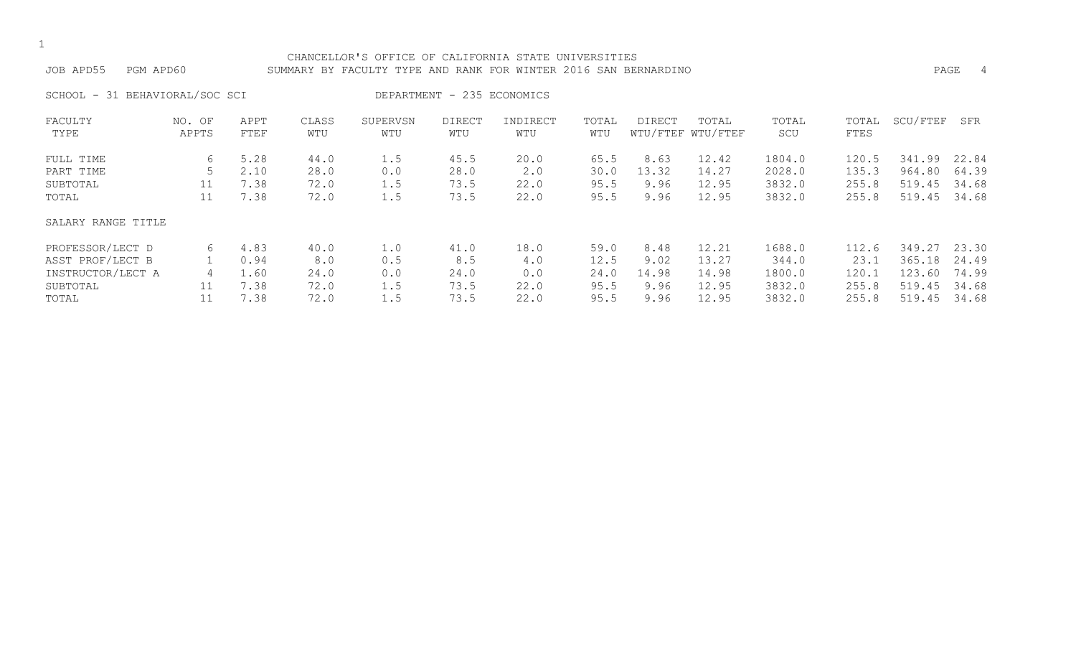#### CHANCELLOR'S OFFICE OF CALIFORNIA STATE UNIVERSITIES JOB APD55 PGM APD60 SUMMARY BY FACULTY TYPE AND RANK FOR WINTER 2016 SAN BERNARDINO PAGE 4

SCHOOL - 31 BEHAVIORAL/SOC SCI DEPARTMENT - 235 ECONOMICS

| FACULTY            | NO. OF | APPT | CLASS | SUPERVSN | <b>DIRECT</b> | INDIRECT | TOTAL | DIRECT | TOTAL             | TOTAL  | TOTAL | SCU/FTEF | SFR   |
|--------------------|--------|------|-------|----------|---------------|----------|-------|--------|-------------------|--------|-------|----------|-------|
| TYPE               | APPTS  | FTEF | WTU   | WTU      | WTU           | WTU      | WTU   |        | WTU/FTEF WTU/FTEF | SCU    | FTES  |          |       |
| FULL TIME          | 6      | 5.28 | 44.0  | 1.5      | 45.5          | 20.0     | 65.5  | 8.63   | 12.42             | 1804.0 | 120.5 | 341.99   | 22.84 |
| PART TIME          |        | 2.10 | 28.0  | 0.0      | 28.0          | 2.0      | 30.0  | 13.32  | 14.27             | 2028.0 | 135.3 | 964.80   | 64.39 |
| SUBTOTAL           | 11     | 7.38 | 72.0  | 1.5      | 73.5          | 22.0     | 95.5  | 9.96   | 12.95             | 3832.0 | 255.8 | 519.45   | 34.68 |
| TOTAL              | 11     | 7.38 | 72.0  | 1.5      | 73.5          | 22.0     | 95.5  | 9.96   | 12.95             | 3832.0 | 255.8 | 519.45   | 34.68 |
| SALARY RANGE TITLE |        |      |       |          |               |          |       |        |                   |        |       |          |       |
| PROFESSOR/LECT D   | 6      | 4.83 | 40.0  | 1.0      | 41.0          | 18.0     | 59.0  | 8.48   | 12.21             | 1688.0 | 112.6 | 349.27   | 23.30 |
| ASST PROF/LECT B   |        | 0.94 | 8.0   | 0.5      | 8.5           | 4.0      | 12.5  | 9.02   | 13.27             | 344.0  | 23.1  | 365.18   | 24.49 |
| INSTRUCTOR/LECT A  | 4      | 1.60 | 24.0  | 0.0      | 24.0          | 0.0      | 24.0  | 14.98  | 14.98             | 1800.0 | 120.1 | 123.60   | 74.99 |
| SUBTOTAL           |        | 7.38 | 72.0  | 1.5      | 73.5          | 22.0     | 95.5  | 9.96   | 12.95             | 3832.0 | 255.8 | 519.45   | 34.68 |
| TOTAL              |        | 7.38 | 72.0  | 1.5      | 73.5          | 22.0     | 95.5  | 9.96   | 12.95             | 3832.0 | 255.8 | 519.45   | 34.68 |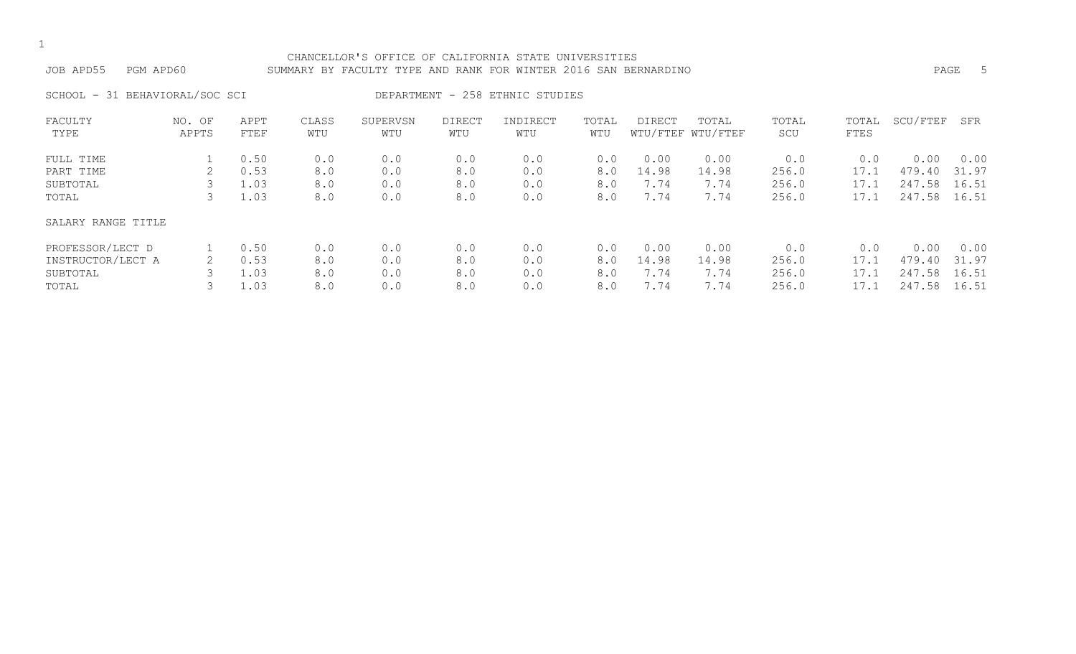#### CHANCELLOR'S OFFICE OF CALIFORNIA STATE UNIVERSITIES JOB APD55 PGM APD60 SUMMARY BY FACULTY TYPE AND RANK FOR WINTER 2016 SAN BERNARDINO PAGE 5

SCHOOL - 31 BEHAVIORAL/SOC SCI DEPARTMENT - 258 ETHNIC STUDIES

| FACULTY            | NO. OF | APPT | CLASS | SUPERVSN | <b>DIRECT</b> | INDIRECT | TOTAL | <b>DIRECT</b> | TOTAL             | TOTAL | TOTAL | SCU/FTEF   | SFR   |
|--------------------|--------|------|-------|----------|---------------|----------|-------|---------------|-------------------|-------|-------|------------|-------|
| TYPE               | APPTS  | FTEF | WTU   | WTU      | WTU           | WTU      | WTU   |               | WTU/FTEF WTU/FTEF | SCU   | FTES  |            |       |
| FULL TIME          |        | 0.50 | 0.0   | 0.0      | 0.0           | 0.0      | 0.0   | 0.00          | 0.00              | 0.0   | 0.0   | 0.00       | 0.00  |
| PART TIME          |        | 0.53 | 8.0   | 0.0      | 8.0           | 0.0      | 8.0   | 14.98         | 14.98             | 256.0 | 17.1  | 479.40     | 31.97 |
| SUBTOTAL           |        | 1.03 | 8.0   | 0.0      | 8.0           | 0.0      | 8.0   | 7.74          | 7.74              | 256.0 | 17.1  | 247.58     | 16.51 |
| TOTAL              |        | 1.03 | 8.0   | 0.0      | 8.0           | 0.0      | 8.0   | 7.74          | 7.74              | 256.0 | 17.1  | 247.58     | 16.51 |
| SALARY RANGE TITLE |        |      |       |          |               |          |       |               |                   |       |       |            |       |
| PROFESSOR/LECT D   |        | 0.50 | 0.0   | 0.0      | 0.0           | 0.0      | 0.0   | 0.00          | 0.00              | 0.0   | 0.0   | 0.00       | 0.00  |
| INSTRUCTOR/LECT A  |        | 0.53 | 8.0   | 0.0      | 8.0           | 0.0      | 8.0   | 14.98         | 14.98             | 256.0 | 17.1  | 479.40     | 31.97 |
| SUBTOTAL           |        | 1.03 | 8.0   | 0.0      | 8.0           | 0.0      | 8.0   | 7.74          | 7.74              | 256.0 | 17.1  | 247<br>.58 | 16.51 |
| TOTAL              |        | 1.03 | 8.0   | 0.0      | 8.0           | 0.0      | 8.0   | 7.74          | 7.74              | 256.0 | 17.1  | 247.58     | 16.51 |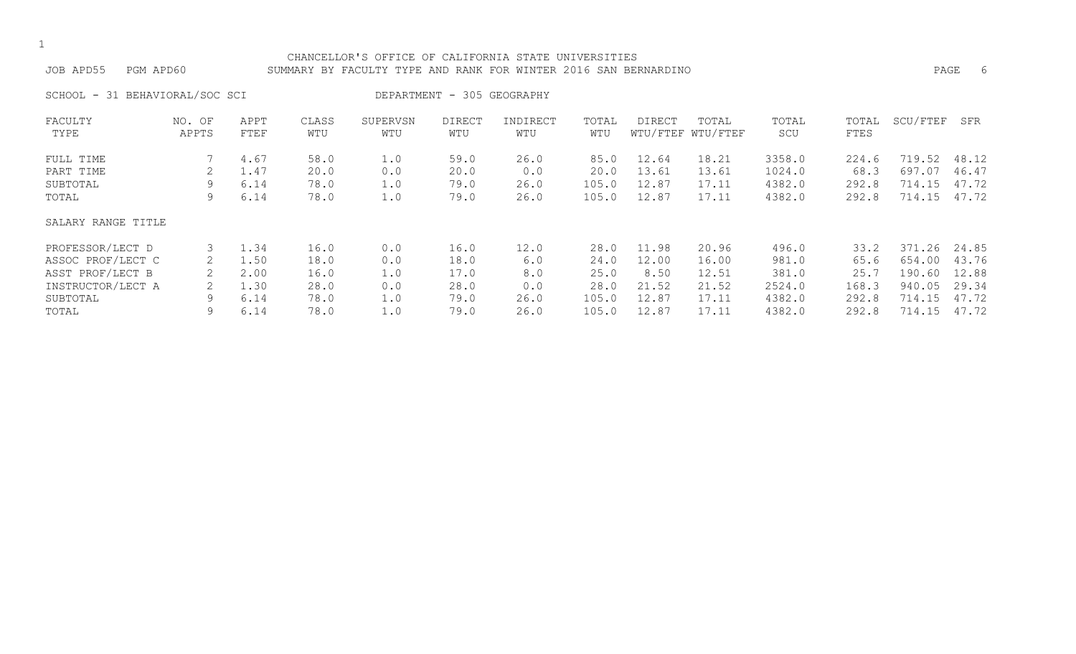#### CHANCELLOR'S OFFICE OF CALIFORNIA STATE UNIVERSITIES JOB APD55 PGM APD60 SUMMARY BY FACULTY TYPE AND RANK FOR WINTER 2016 SAN BERNARDINO PAGE 6

SCHOOL - 31 BEHAVIORAL/SOC SCI DEPARTMENT - 305 GEOGRAPHY

| FACULTY            | NO. OF | APPT | CLASS | SUPERVSN | DIRECT | INDIRECT | TOTAL | DIRECT | TOTAL             | TOTAL  | TOTAL | SCU/FTEF    | SFR   |
|--------------------|--------|------|-------|----------|--------|----------|-------|--------|-------------------|--------|-------|-------------|-------|
| TYPE               | APPTS  | FTEF | WTU   | WTU      | WTU    | WTU      | WTU   |        | WTU/FTEF WTU/FTEF | SCU    | FTES  |             |       |
| FULL TIME          |        | 4.67 | 58.0  | 1.0      | 59.0   | 26.0     | 85.0  | 12.64  | 18.21             | 3358.0 | 224.6 | .52<br>719. | 48.12 |
| PART TIME          |        | 1.47 | 20.0  | 0.0      | 20.0   | 0.0      | 20.0  | 13.61  | 13.61             | 1024.0 | 68.3  | 697.07      | 46.47 |
| SUBTOTAL           | 9      | 6.14 | 78.0  | 1.0      | 79.0   | 26.0     | 105.0 | 12.87  | 17.11             | 4382.0 | 292.8 | 714.15      | 47.72 |
| TOTAL              | 9      | 6.14 | 78.0  | 1.0      | 79.0   | 26.0     | 105.0 | 12.87  | 17.11             | 4382.0 | 292.8 | 714.15      | 47.72 |
| SALARY RANGE TITLE |        |      |       |          |        |          |       |        |                   |        |       |             |       |
| PROFESSOR/LECT D   |        | 1.34 | 16.0  | 0.0      | 16.0   | 12.0     | 28.0  | 11.98  | 20.96             | 496.0  | 33.2  | 371.26      | 24.85 |
| ASSOC PROF/LECT C  |        | 1.50 | 18.0  | 0.0      | 18.0   | 6.0      | 24.0  | 12.00  | 16.00             | 981.0  | 65.6  | 654.00      | 43.76 |
| ASST PROF/LECT B   | 2      | 2.00 | 16.0  | 1.0      | 17.0   | 8.0      | 25.0  | 8.50   | 12.51             | 381.0  | 25.7  | 190.60      | 12.88 |
| INSTRUCTOR/LECT A  |        | 1.30 | 28.0  | 0.0      | 28.0   | 0.0      | 28.0  | 21.52  | 21.52             | 2524.0 | 168.3 | 940.05      | 29.34 |
| SUBTOTAL           | 9      | 6.14 | 78.0  | 1.0      | 79.0   | 26.0     | 105.0 | 12.87  | 17.11             | 4382.0 | 292.8 | 714.15      | 47.72 |
| TOTAL              | 9      | 6.14 | 78.0  | 1.0      | 79.0   | 26.0     | 105.0 | 12.87  | 17.11             | 4382.0 | 292.8 | 714.15      | 47.72 |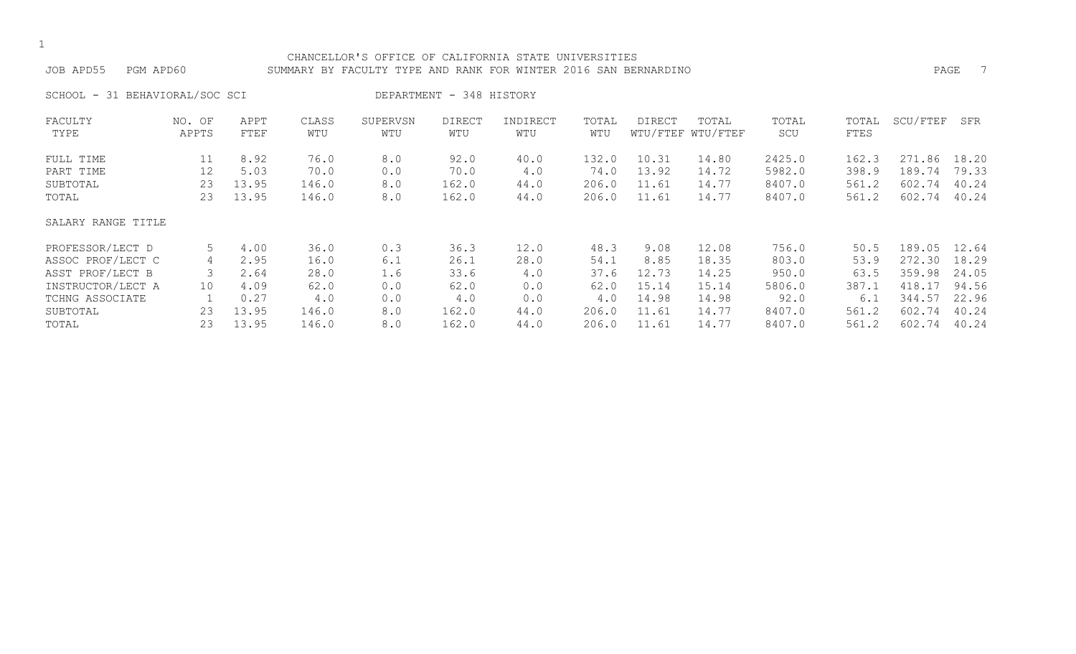#### CHANCELLOR'S OFFICE OF CALIFORNIA STATE UNIVERSITIES JOB APD55 PGM APD60 SUMMARY BY FACULTY TYPE AND RANK FOR WINTER 2016 SAN BERNARDINO PAGE 7

SCHOOL - 31 BEHAVIORAL/SOC SCI DEPARTMENT - 348 HISTORY

| FACULTY            | NO. OF | APPT  | CLASS | SUPERVSN | <b>DIRECT</b> | INDIRECT | TOTAL | DIRECT | TOTAL             | TOTAL  | TOTAL | SCU/FTEF | SFR   |
|--------------------|--------|-------|-------|----------|---------------|----------|-------|--------|-------------------|--------|-------|----------|-------|
| TYPE               | APPTS  | FTEF  | WTU   | WTU      | WTU           | WTU      | WTU   |        | WTU/FTEF WTU/FTEF | SCU    | FTES  |          |       |
| FULL TIME          | 11     | 8.92  | 76.0  | 8.0      | 92.0          | 40.0     | 132.0 | 10.31  | 14.80             | 2425.0 | 162.3 | 271.86   | 18.20 |
| PART TIME          | 12     | 5.03  | 70.0  | 0.0      | 70.0          | 4.0      | 74.0  | 13.92  | 14.72             | 5982.0 | 398.9 | 189.74   | 79.33 |
| SUBTOTAL           | 23     | 13.95 | 146.0 | 8.0      | 162.0         | 44.0     | 206.0 | 11.61  | 14.77             | 8407.0 | 561.2 | 602.74   | 40.24 |
| TOTAL              | 23     | 13.95 | 146.0 | 8.0      | 162.0         | 44.0     | 206.0 | 11.61  | 14.77             | 8407.0 | 561.2 | 602.74   | 40.24 |
| SALARY RANGE TITLE |        |       |       |          |               |          |       |        |                   |        |       |          |       |
| PROFESSOR/LECT D   | 5      | 4.00  | 36.0  | 0.3      | 36.3          | 12.0     | 48.3  | 9.08   | 12.08             | 756.0  | 50.5  | 189.05   | 12.64 |
| ASSOC PROF/LECT C  | 4      | 2.95  | 16.0  | 6.1      | 26.1          | 28.0     | 54.1  | 8.85   | 18.35             | 803.0  | 53.9  | 272.30   | 18.29 |
| ASST PROF/LECT B   |        | 2.64  | 28.0  | 1.6      | 33.6          | 4.0      | 37.6  | 12.73  | 14.25             | 950.0  | 63.5  | 359.98   | 24.05 |
| INSTRUCTOR/LECT A  | 10     | 4.09  | 62.0  | 0.0      | 62.0          | 0.0      | 62.0  | 15.14  | 15.14             | 5806.0 | 387.1 | 418.17   | 94.56 |
| TCHNG ASSOCIATE    |        | 0.27  | 4.0   | 0.0      | 4.0           | 0.0      | 4.0   | 14.98  | 14.98             | 92.0   | 6.1   | 344.57   | 22.96 |
| SUBTOTAL           | 23     | 13.95 | 146.0 | 8.0      | 162.0         | 44.0     | 206.0 | 11.61  | 14.77             | 8407.0 | 561.2 | 602.74   | 40.24 |
| TOTAL              | 23     | 13.95 | 146.0 | 8.0      | 162.0         | 44.0     | 206.0 | 11.61  | 14.77             | 8407.0 | 561.2 | 602.74   | 40.24 |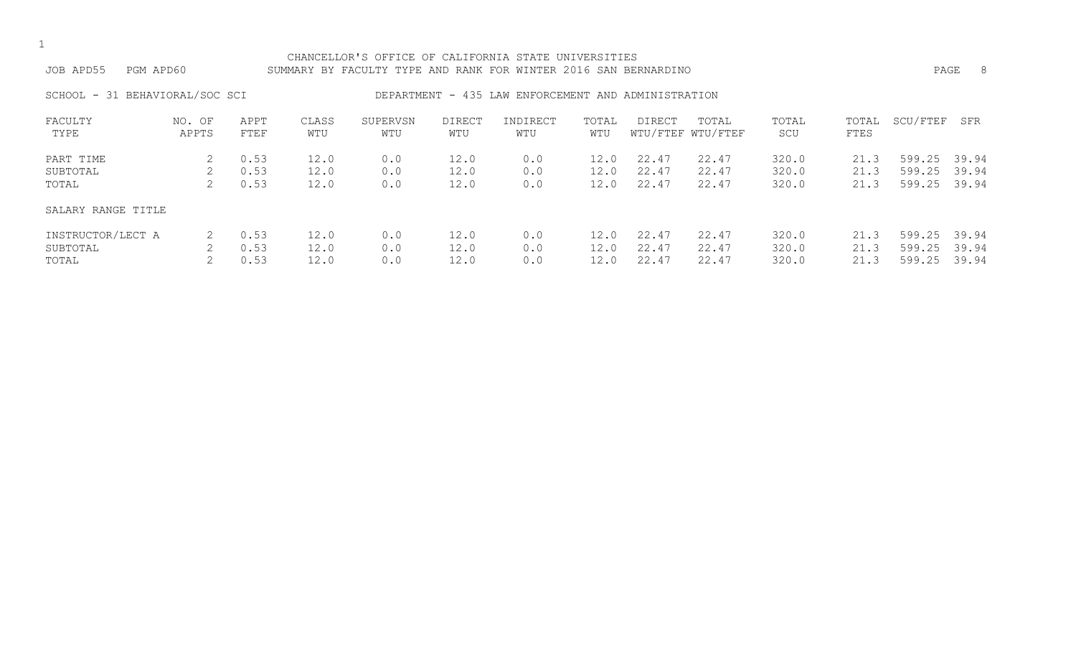|  | ۰.  |
|--|-----|
|  | . . |

#### CHANCELLOR'S OFFICE OF CALIFORNIA STATE UNIVERSITIES JOB APD55 PGM APD60 SUMMARY BY FACULTY TYPE AND RANK FOR WINTER 2016 SAN BERNARDINO PAGE 8

#### SCHOOL - 31 BEHAVIORAL/SOC SCI BEPARTMENT - 435 LAW ENFORCEMENT AND ADMINISTRATION

| FACULTY            | NO. OF | APPT | CLASS | SUPERVSN | <b>DIRECT</b> | INDIRECT | TOTAL | <b>DIRECT</b> | TOTAL             | TOTAL | TOTAL | SCU/FTEF | SFR   |
|--------------------|--------|------|-------|----------|---------------|----------|-------|---------------|-------------------|-------|-------|----------|-------|
| TYPE               | APPTS  | FTEF | WTU   | WTU      | WTU           | WTU      | WTU   |               | WTU/FTEF WTU/FTEF | SCU   | FTES  |          |       |
| PART TIME          |        | 0.53 | 12.0  | 0.0      | 12.0          | 0.0      | 12.0  | 22.47         | 22.47             | 320.0 | 21.3  | 599.25   | 39.94 |
| SUBTOTAL           | 2.     | 0.53 | 12.0  | 0.0      | 12.0          | 0.0      | 12.0  | 22.47         | 22.47             | 320.0 | 21.3  | 599.25   | 39.94 |
| TOTAL              |        | 0.53 | 12.0  | 0.0      | 12.0          | 0.0      | 12.0  | 22.47         | 22.47             | 320.0 | 21.3  | 599.25   | 39.94 |
| SALARY RANGE TITLE |        |      |       |          |               |          |       |               |                   |       |       |          |       |
| INSTRUCTOR/LECT A  |        | 0.53 | 12.0  | 0.0      | 12.0          | 0.0      | 12.0  | 22.47         | 22.47             | 320.0 | 21.3  | 599.25   | 39.94 |
| SUBTOTAL           |        | 0.53 | 12.0  | 0.0      | 12.0          | 0.0      | 12.0  | 22.47         | 22.47             | 320.0 | 21.3  | 599.25   | 39.94 |
| TOTAL              |        | 0.53 | 12.0  | 0.0      | 12.0          | 0.0      |       | 22.47         | 22.47             | 320.0 | 21.3  | 599.25   | 39.94 |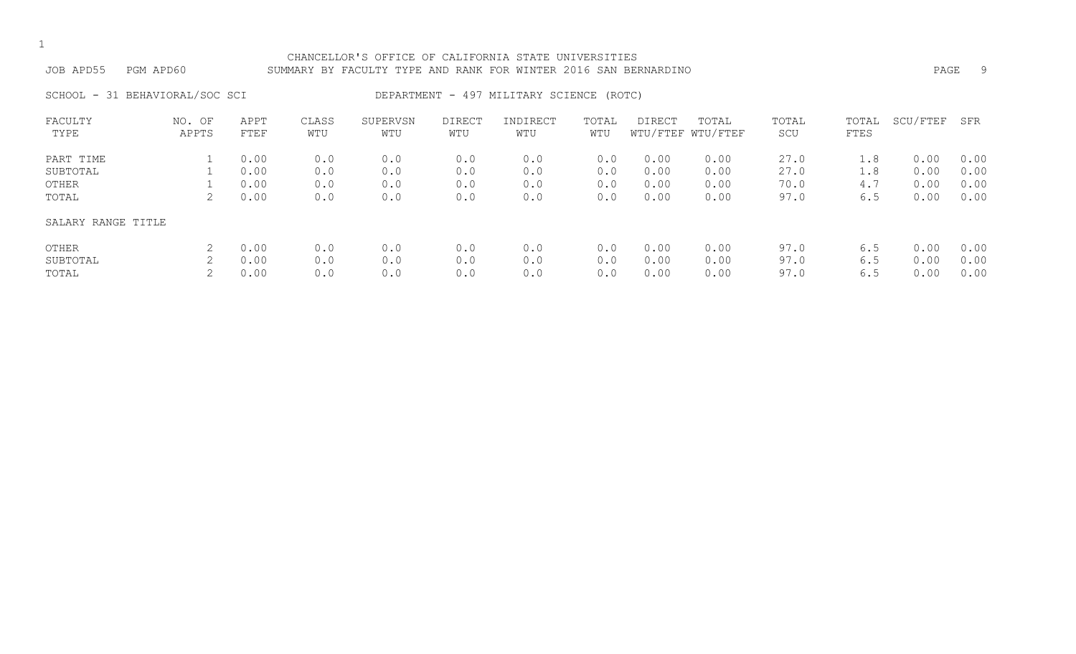#### CHANCELLOR'S OFFICE OF CALIFORNIA STATE UNIVERSITIES JOB APD55 PGM APD60 SUMMARY BY FACULTY TYPE AND RANK FOR WINTER 2016 SAN BERNARDINO PAGE 9

SCHOOL - 31 BEHAVIORAL/SOC SCI DEPARTMENT - 497 MILITARY SCIENCE (ROTC)

| FACULTY<br>TYPE            | NO. OF<br>APPTS | APPT<br>FTEF         | CLASS<br>WTU      | SUPERVSN<br>WTU   | DIRECT<br>WTU     | INDIRECT<br>WTU   | TOTAL<br>WTU      | DIRECT               | TOTAL<br>WTU/FTEF WTU/FTEF | TOTAL<br>SCU         | TOTAL<br>FTES     | SCU/FTEF             | SFR                  |
|----------------------------|-----------------|----------------------|-------------------|-------------------|-------------------|-------------------|-------------------|----------------------|----------------------------|----------------------|-------------------|----------------------|----------------------|
| PART TIME                  |                 | 0.00                 | 0.0               | 0.0               | 0.0               | 0.0               | 0.0               | 0.00                 | 0.00                       | 27.0                 | 1.8               | 0.00                 | 0.00                 |
| SUBTOTAL<br>OTHER<br>TOTAL | 2               | 0.00<br>0.00<br>0.00 | 0.0<br>0.0<br>0.0 | 0.0<br>0.0<br>0.0 | 0.0<br>0.0<br>0.0 | 0.0<br>0.0<br>0.0 | 0.0<br>0.0<br>0.0 | 0.00<br>0.00<br>0.00 | 0.00<br>0.00<br>0.00       | 27.0<br>70.0<br>97.0 | 1.8<br>4.7<br>6.5 | 0.00<br>0.00<br>0.00 | 0.00<br>0.00<br>0.00 |
| SALARY RANGE TITLE         |                 |                      |                   |                   |                   |                   |                   |                      |                            |                      |                   |                      |                      |
| OTHER                      |                 | 0.00                 | 0.0               | 0.0               | 0.0               | 0.0               | 0.0               | 0.00                 | 0.00                       | 97.0                 | 6.5               | 0.00                 | 0.00                 |
| SUBTOTAL<br>TOTAL          |                 | 0.00<br>0.00         | 0.0<br>0.0        | 0.0<br>0.0        | 0.0<br>0.0        | 0.0<br>0.0        | 0.0<br>0.0        | 0.00<br>0.00         | 0.00<br>0.00               | 97.0<br>97.0         | 6.5<br>6.5        | 0.00<br>0.00         | 0.00<br>0.00         |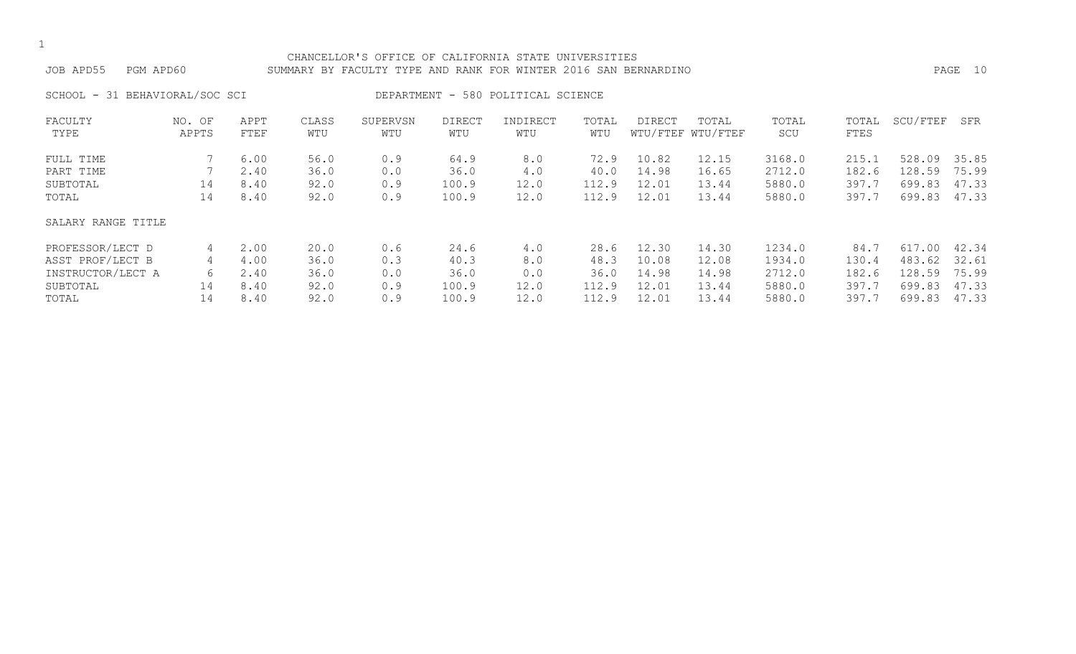#### CHANCELLOR'S OFFICE OF CALIFORNIA STATE UNIVERSITIES JOB APD55 PGM APD60 SUMMARY BY FACULTY TYPE AND RANK FOR WINTER 2016 SAN BERNARDINO PAGE 10

SCHOOL - 31 BEHAVIORAL/SOC SCI DEPARTMENT - 580 POLITICAL SCIENCE

| FACULTY            | NO. OF | APPT | CLASS | SUPERVSN | <b>DIRECT</b> | INDIRECT | TOTAL | <b>DIRECT</b> | TOTAL             | TOTAL  | TOTAL | SCU/FTEF    | SFR   |
|--------------------|--------|------|-------|----------|---------------|----------|-------|---------------|-------------------|--------|-------|-------------|-------|
| TYPE               | APPTS  | FTEF | WTU   | WTU      | WTU           | WTU      | WTU   |               | WTU/FTEF WTU/FTEF | SCU    | FTES  |             |       |
| FULL TIME          |        | 6.00 | 56.0  | 0.9      | 64.9          | 8.0      | 72.9  | 10.82         | 12.15             | 3168.0 | 215.1 | 528.09      | 35.85 |
| PART TIME          |        | 2.40 | 36.0  | 0.0      | 36.0          | 4.0      | 40.0  | 14.98         | 16.65             | 2712.0 | 182.6 | 128.<br>.59 | 75.99 |
| SUBTOTAL           | 14     | 8.40 | 92.0  | 0.9      | 100.9         | 12.0     | 112.9 | 12.01         | 13.44             | 5880.0 | 397.7 | 699.83      | 47.33 |
| TOTAL              | 14     | 8.40 | 92.0  | 0.9      | 100.9         | 12.0     | 112.9 | 12.01         | 13.44             | 5880.0 | 397.7 | 699.83      | 47.33 |
| SALARY RANGE TITLE |        |      |       |          |               |          |       |               |                   |        |       |             |       |
| PROFESSOR/LECT D   | 4      | 2.00 | 20.0  | 0.6      | 24.6          | 4.0      | 28.6  | 12.30         | 14.30             | 1234.0 | 84.7  | 617.00      | 42.34 |
| ASST PROF/LECT B   | 4      | 4.00 | 36.0  | 0.3      | 40.3          | 8.0      | 48.3  | 10.08         | 12.08             | 1934.0 | 130.4 | 483.62      | 32.61 |
| INSTRUCTOR/LECT A  | 6      | 2.40 | 36.0  | 0.0      | 36.0          | 0.0      | 36.0  | 14.98         | 14.98             | 2712.0 | 182.6 | 128.59      | 75.99 |
| SUBTOTAL           | 14     | 8.40 | 92.0  | 0.9      | 100.9         | 12.0     | 112.9 | 12.01         | 13.44             | 5880.0 | 397.7 | 699.83      | 47.33 |
| TOTAL              | 14     | 8.40 | 92.0  | 0.9      | 100.9         | 12.0     | 112.9 | 12.01         | 13.44             | 5880.0 | 397.7 | 699.83      | 47.33 |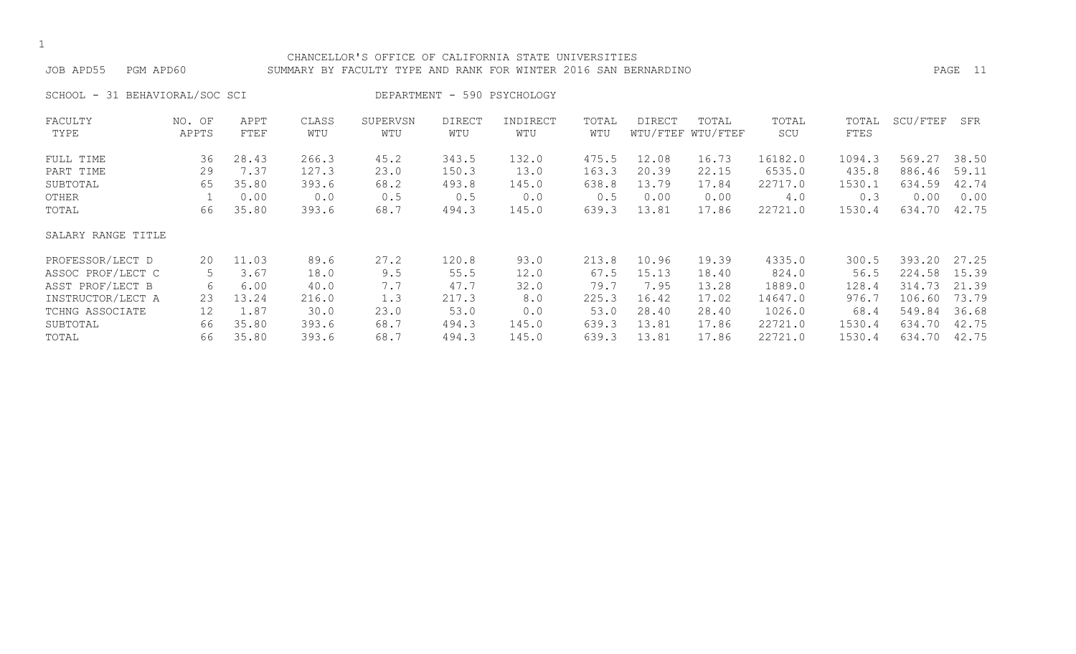#### CHANCELLOR'S OFFICE OF CALIFORNIA STATE UNIVERSITIES JOB APD55 PGM APD60 SUMMARY BY FACULTY TYPE AND RANK FOR WINTER 2016 SAN BERNARDINO PAGE 11

SCHOOL - 31 BEHAVIORAL/SOC SCI DEPARTMENT - 590 PSYCHOLOGY

| FACULTY            | NO. OF | APPT  | CLASS | SUPERVSN | <b>DIRECT</b> | INDIRECT | TOTAL | DIRECT | TOTAL             | TOTAL   | TOTAL  | SCU/FTEF | SFR   |
|--------------------|--------|-------|-------|----------|---------------|----------|-------|--------|-------------------|---------|--------|----------|-------|
| TYPE               | APPTS  | FTEF  | WTU   | WTU      | WTU           | WTU      | WTU   |        | WTU/FTEF WTU/FTEF | SCU     | FTES   |          |       |
| FULL TIME          | 36     | 28.43 | 266.3 | 45.2     | 343.5         | 132.0    | 475.5 | 12.08  | 16.73             | 16182.0 | 1094.3 | 569.27   | 38.50 |
| PART TIME          | 29     | 7.37  | 127.3 | 23.0     | 150.3         | 13.0     | 163.3 | 20.39  | 22.15             | 6535.0  | 435.8  | 886.46   | 59.11 |
| SUBTOTAL           | 65     | 35.80 | 393.6 | 68.2     | 493.8         | 145.0    | 638.8 | 13.79  | 17.84             | 22717.0 | 1530.1 | 634.59   | 42.74 |
| OTHER              |        | 0.00  | 0.0   | 0.5      | 0.5           | 0.0      | 0.5   | 0.00   | 0.00              | 4.0     | 0.3    | 0.00     | 0.00  |
| TOTAL              | 66     | 35.80 | 393.6 | 68.7     | 494.3         | 145.0    | 639.3 | 13.81  | 17.86             | 22721.0 | 1530.4 | 634.70   | 42.75 |
| SALARY RANGE TITLE |        |       |       |          |               |          |       |        |                   |         |        |          |       |
| PROFESSOR/LECT D   | 20     | 11.03 | 89.6  | 27.2     | 120.8         | 93.0     | 213.8 | 10.96  | 19.39             | 4335.0  | 300.5  | 393.20   | 27.25 |
| ASSOC PROF/LECT C  | 5      | 3.67  | 18.0  | 9.5      | 55.5          | 12.0     | 67.5  | 15.13  | 18.40             | 824.0   | 56.5   | 224.58   | 15.39 |
| ASST PROF/LECT B   | 6      | 6.00  | 40.0  | 7.7      | 47.7          | 32.0     | 79.7  | 7.95   | 13.28             | 1889.0  | 128.4  | 314.73   | 21.39 |
| INSTRUCTOR/LECT A  | 23     | 13.24 | 216.0 | 1.3      | 217.3         | 8.0      | 225.3 | 16.42  | 17.02             | 14647.0 | 976.7  | 106.60   | 73.79 |
| TCHNG ASSOCIATE    | 12     | 1.87  | 30.0  | 23.0     | 53.0          | 0.0      | 53.0  | 28.40  | 28.40             | 1026.0  | 68.4   | 549.84   | 36.68 |
| SUBTOTAL           | 66     | 35.80 | 393.6 | 68.7     | 494.3         | 145.0    | 639.3 | 13.81  | 17.86             | 22721.0 | 1530.4 | 634.70   | 42.75 |
| TOTAL              | 66     | 35.80 | 393.6 | 68.7     | 494.3         | 145.0    | 639.3 | 13.81  | 17.86             | 22721.0 | 1530.4 | 634.70   | 42.75 |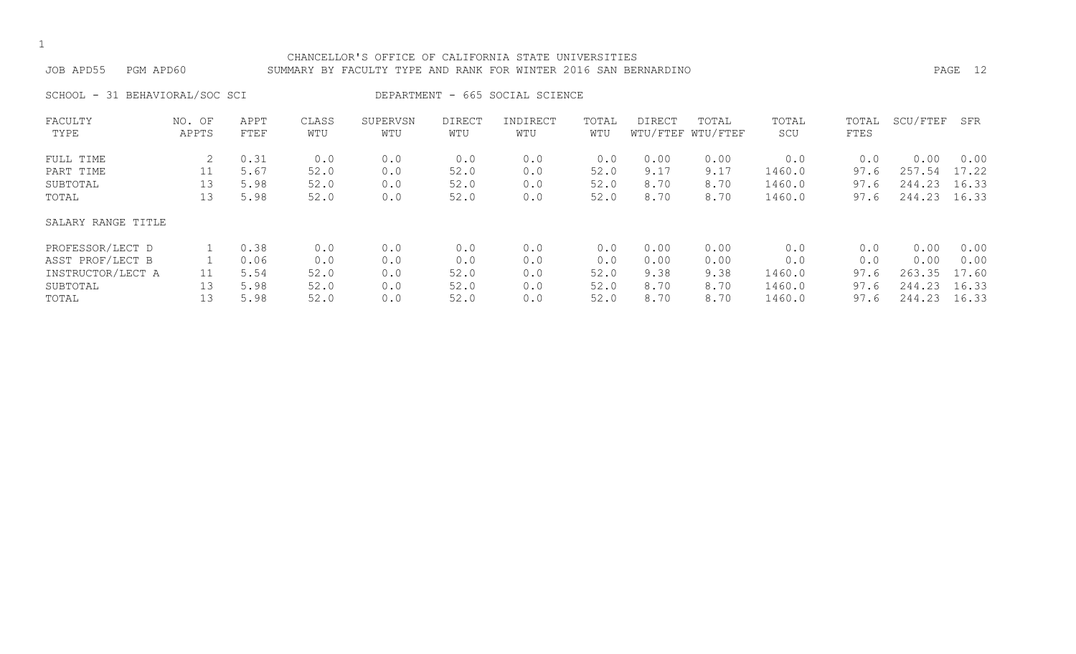#### CHANCELLOR'S OFFICE OF CALIFORNIA STATE UNIVERSITIES JOB APD55 PGM APD60 SUMMARY BY FACULTY TYPE AND RANK FOR WINTER 2016 SAN BERNARDINO PAGE 12

SCHOOL - 31 BEHAVIORAL/SOC SCI DEPARTMENT - 665 SOCIAL SCIENCE

| FACULTY            | NO. OF | APPT | CLASS | SUPERVSN | <b>DIRECT</b> | INDIRECT | TOTAL | DIRECT | TOTAL             | TOTAL  | TOTAL | SCU/FTEF | SFR   |
|--------------------|--------|------|-------|----------|---------------|----------|-------|--------|-------------------|--------|-------|----------|-------|
| TYPE               | APPTS  | FTEF | WTU   | WTU      | WTU           | WTU      | WTU   |        | WTU/FTEF WTU/FTEF | SCU    | FTES  |          |       |
| FULL TIME          |        | 0.31 | 0.0   | 0.0      | 0.0           | 0.0      | 0.0   | 0.00   | 0.00              | 0.0    | 0.0   | 0.00     | 0.00  |
| PART TIME          | 11     | 5.67 | 52.0  | 0.0      | 52.0          | 0.0      | 52.0  | 9.17   | 9.17              | 1460.0 | 97.6  | 257.54   | 17.22 |
| SUBTOTAL           | 13     | 5.98 | 52.0  | 0.0      | 52.0          | 0.0      | 52.0  | 8.70   | 8.70              | 1460.0 | 97.6  | 244.23   | 16.33 |
| TOTAL              | 13     | 5.98 | 52.0  | 0.0      | 52.0          | 0.0      | 52.0  | 8.70   | 8.70              | 1460.0 | 97.6  | 244.23   | 16.33 |
| SALARY RANGE TITLE |        |      |       |          |               |          |       |        |                   |        |       |          |       |
| PROFESSOR/LECT D   |        | 0.38 | 0.0   | 0.0      | 0.0           | 0.0      | 0.0   | 0.00   | 0.00              | 0.0    | 0.0   | 0.00     | 0.00  |
| ASST PROF/LECT B   |        | 0.06 | 0.0   | 0.0      | 0.0           | 0.0      | 0.0   | 0.00   | 0.00              | 0.0    | 0.0   | 0.00     | 0.00  |
| INSTRUCTOR/LECT A  | 11     | 5.54 | 52.0  | 0.0      | 52.0          | 0.0      | 52.0  | 9.38   | 9.38              | 1460.0 | 97.6  | 263.35   | 17.60 |
| SUBTOTAL           | 13     | 5.98 | 52.0  | 0.0      | 52.0          | 0.0      | 52.0  | 8.70   | 8.70              | 1460.0 | 97.6  | 244.23   | 16.33 |
| TOTAL              | 13     | 5.98 | 52.0  | 0.0      | 52.0          | 0.0      | 52.0  | 8.70   | 8.70              | 1460.0 | 97.6  | 244.23   | 16.33 |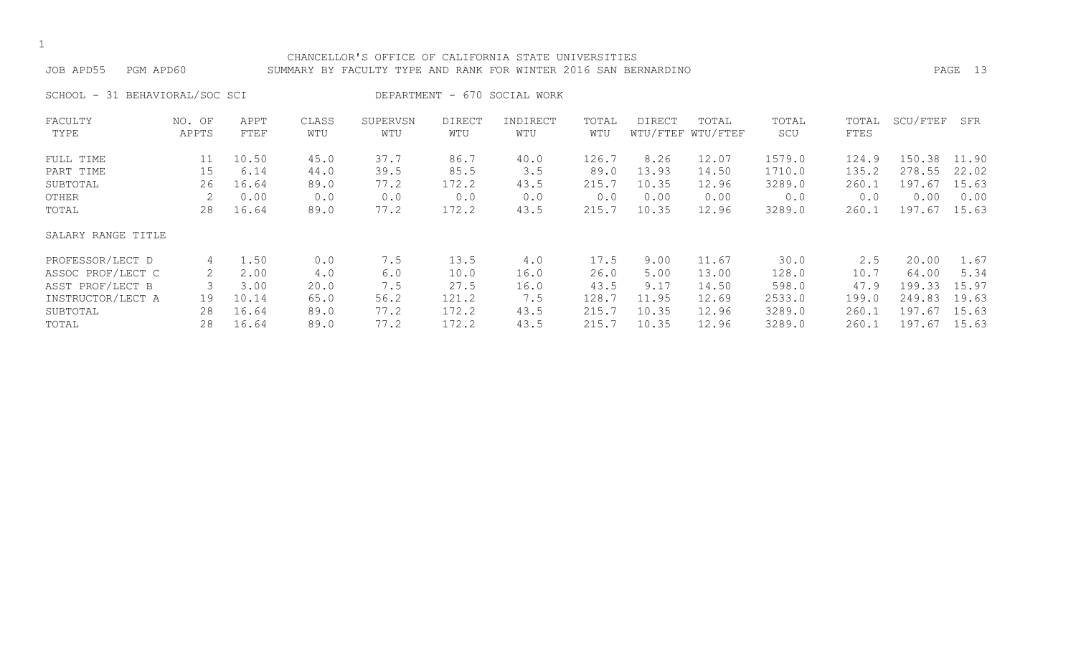#### CHANCELLOR'S OFFICE OF CALIFORNIA STATE UNIVERSITIES JOB APD55 PGM APD60 SUMMARY BY FACULTY TYPE AND RANK FOR WINTER 2016 SAN BERNARDINO PAGE 13

SCHOOL - 31 BEHAVIORAL/SOC SCI DEPARTMENT - 670 SOCIAL WORK

| FACULTY            | NO. OF | APPT  | CLASS | SUPERVSN | <b>DIRECT</b> | INDIRECT | TOTAL | DIRECT | TOTAL             | TOTAL  | TOTAL | SCU/FTEF | SFR   |
|--------------------|--------|-------|-------|----------|---------------|----------|-------|--------|-------------------|--------|-------|----------|-------|
| TYPE               | APPTS  | FTEF  | WTU   | WTU      | WTU           | WTU      | WTU   |        | WTU/FTEF WTU/FTEF | SCU    | FTES  |          |       |
| FULL TIME          | 11     | 10.50 | 45.0  | 37.7     | 86.7          | 40.0     | 126.7 | 8.26   | 12.07             | 1579.0 | 124.9 | 150.38   | 11.90 |
| PART TIME          | 15     | 6.14  | 44.0  | 39.5     | 85.5          | 3.5      | 89.0  | 13.93  | 14.50             | 1710.0 | 135.2 | 278.55   | 22.02 |
| SUBTOTAL           | 26     | 16.64 | 89.0  | 77.2     | 172.2         | 43.5     | 215.7 | 10.35  | 12.96             | 3289.0 | 260.1 | 197.67   | 15.63 |
| OTHER              |        | 0.00  | 0.0   | 0.0      | 0.0           | 0.0      | 0.0   | 0.00   | 0.00              | 0.0    | 0.0   | 0.00     | 0.00  |
| TOTAL              | 28     | 16.64 | 89.0  | 77.2     | 172.2         | 43.5     | 215.7 | 10.35  | 12.96             | 3289.0 | 260.1 | 197.67   | 15.63 |
| SALARY RANGE TITLE |        |       |       |          |               |          |       |        |                   |        |       |          |       |
| PROFESSOR/LECT D   | 4      | 1.50  | 0.0   | 7.5      | 13.5          | 4.0      | 17.5  | 9.00   | 11.67             | 30.0   | 2.5   | 20.00    | 1.67  |
| ASSOC PROF/LECT C  | 2      | 2.00  | 4.0   | 6.0      | 10.0          | 16.0     | 26.0  | 5.00   | 13.00             | 128.0  | 10.7  | 64.00    | 5.34  |
| ASST PROF/LECT B   |        | 3.00  | 20.0  | 7.5      | 27.5          | 16.0     | 43.5  | 9.17   | 14.50             | 598.0  | 47.9  | 199.33   | 15.97 |
| INSTRUCTOR/LECT A  | 19     | 10.14 | 65.0  | 56.2     | 121.2         | 7.5      | 128.7 | 11.95  | 12.69             | 2533.0 | 199.0 | 249.83   | 19.63 |
| SUBTOTAL           | 28     | 16.64 | 89.0  | 77.2     | 172.2         | 43.5     | 215.7 | 10.35  | 12.96             | 3289.0 | 260.1 | 197.67   | 15.63 |
| TOTAL              | 28     | 16.64 | 89.0  | 77.2     | 172.2         | 43.5     | 215.7 | 10.35  | 12.96             | 3289.0 | 260.1 | 197.67   | 15.63 |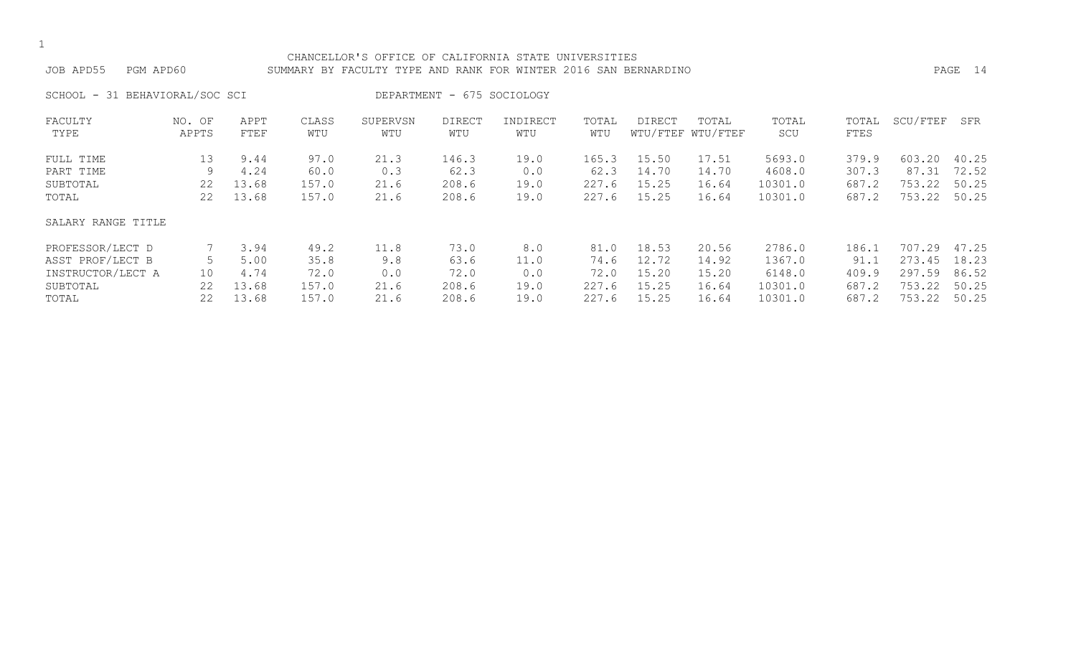#### CHANCELLOR'S OFFICE OF CALIFORNIA STATE UNIVERSITIES JOB APD55 PGM APD60 SUMMARY BY FACULTY TYPE AND RANK FOR WINTER 2016 SAN BERNARDINO PAGE 14

SCHOOL - 31 BEHAVIORAL/SOC SCI DEPARTMENT - 675 SOCIOLOGY

| FACULTY            | NO. OF | APPT  | CLASS | SUPERVSN | <b>DIRECT</b> | INDIRECT | TOTAL | DIRECT | TOTAL             | TOTAL   | TOTAL | SCU/FTEF | SFR   |
|--------------------|--------|-------|-------|----------|---------------|----------|-------|--------|-------------------|---------|-------|----------|-------|
| TYPE               | APPTS  | FTEF  | WTU   | WTU      | WTU           | WTU      | WTU   |        | WTU/FTEF WTU/FTEF | SCU     | FTES  |          |       |
| FULL TIME          | 13     | 9.44  | 97.0  | 21.3     | 146.3         | 19.0     | 165.3 | 15.50  | 17.51             | 5693.0  | 379.9 | 603.20   | 40.25 |
| PART TIME          | 9      | 4.24  | 60.0  | 0.3      | 62.3          | 0.0      | 62.3  | 14.70  | 14.70             | 4608.0  | 307.3 | 87.31    | 72.52 |
| SUBTOTAL           | 22     | 13.68 | 157.0 | 21.6     | 208.6         | 19.0     | 227.6 | 15.25  | 16.64             | 10301.0 | 687.2 | 753.22   | 50.25 |
| TOTAL              | 22     | 13.68 | 157.0 | 21.6     | 208.6         | 19.0     | 227.6 | 15.25  | 16.64             | 10301.0 | 687.2 | 753.22   | 50.25 |
| SALARY RANGE TITLE |        |       |       |          |               |          |       |        |                   |         |       |          |       |
| PROFESSOR/LECT D   |        | 3.94  | 49.2  | 11.8     | 73.0          | 8.0      | 81.0  | 18.53  | 20.56             | 2786.0  | 186.1 | 707.29   | 47.25 |
| ASST PROF/LECT B   |        | 5.00  | 35.8  | 9.8      | 63.6          | 11.0     | 74.6  | 12.72  | 14.92             | 1367.0  | 91.1  | 273.45   | 18.23 |
| INSTRUCTOR/LECT A  | 10     | 4.74  | 72.0  | 0.0      | 72.0          | 0.0      | 72.0  | 15.20  | 15.20             | 6148.0  | 409.9 | 297.59   | 86.52 |
| SUBTOTAL           | 22     | 13.68 | 157.0 | 21.6     | 208.6         | 19.0     | 227.6 | 15.25  | 16.64             | 10301.0 | 687.2 | 753.22   | 50.25 |
| TOTAL              | 22     | 13.68 | 157.0 | 21.6     | 208.6         | 19.0     | 227.6 | 15.25  | 16.64             | 10301.0 | 687.2 | 753.22   | 50.25 |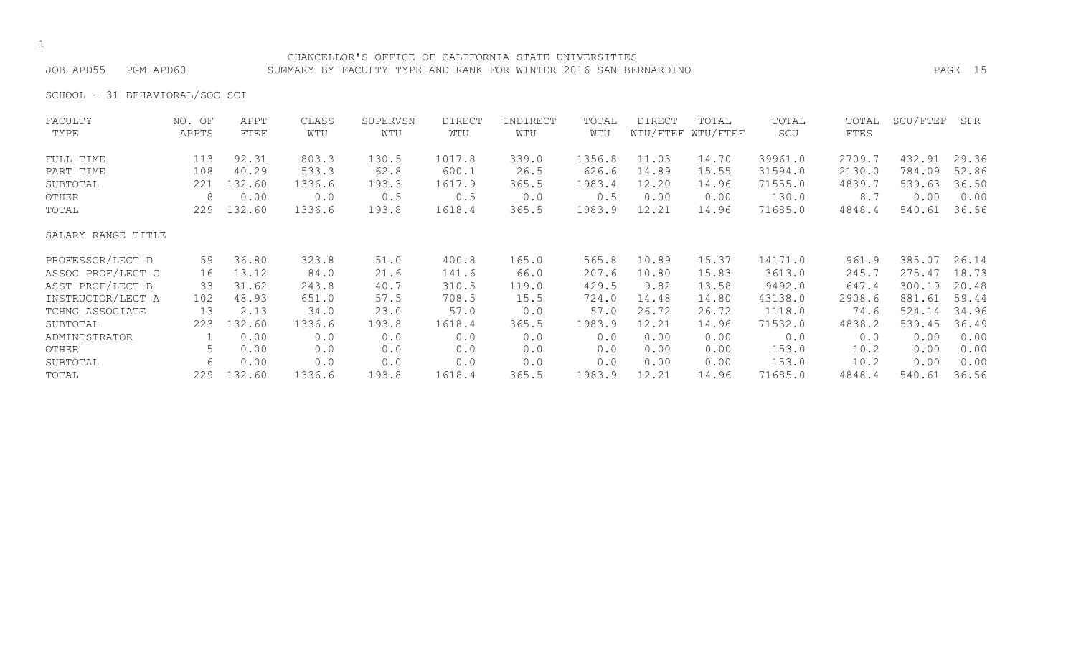#### CHANCELLOR'S OFFICE OF CALIFORNIA STATE UNIVERSITIES JOB APD55 PGM APD60 SUMMARY BY FACULTY TYPE AND RANK FOR WINTER 2016 SAN BERNARDINO PAGE 15

SCHOOL - 31 BEHAVIORAL/SOC SCI

| FACULTY            | NO. OF | APPT   | CLASS  | SUPERVSN | <b>DIRECT</b> | INDIRECT | TOTAL  | <b>DIRECT</b> | TOTAL             | TOTAL   | TOTAL  | SCU/FTEF | SFR   |
|--------------------|--------|--------|--------|----------|---------------|----------|--------|---------------|-------------------|---------|--------|----------|-------|
| TYPE               | APPTS  | FTEF   | WTU    | WTU      | WTU           | WTU      | WTU    |               | WTU/FTEF WTU/FTEF | SCU     | FTES   |          |       |
| FULL TIME          | 113    | 92.31  | 803.3  | 130.5    | 1017.8        | 339.0    | 1356.8 | 11.03         | 14.70             | 39961.0 | 2709.7 | 432.91   | 29.36 |
| PART TIME          | 108    | 40.29  | 533.3  | 62.8     | 600.1         | 26.5     | 626.6  | 14.89         | 15.55             | 31594.0 | 2130.0 | 784.09   | 52.86 |
| SUBTOTAL           | 221    | 132.60 | 1336.6 | 193.3    | 1617.9        | 365.5    | 1983.4 | 12.20         | 14.96             | 71555.0 | 4839.7 | 539.63   | 36.50 |
| OTHER              | 8      | 0.00   | 0.0    | 0.5      | 0.5           | 0.0      | 0.5    | 0.00          | 0.00              | 130.0   | 8.7    | 0.00     | 0.00  |
| TOTAL              | 229    | 132.60 | 1336.6 | 193.8    | 1618.4        | 365.5    | 1983.9 | 12.21         | 14.96             | 71685.0 | 4848.4 | 540.61   | 36.56 |
| SALARY RANGE TITLE |        |        |        |          |               |          |        |               |                   |         |        |          |       |
| PROFESSOR/LECT D   | 59     | 36.80  | 323.8  | 51.0     | 400.8         | 165.0    | 565.8  | 10.89         | 15.37             | 14171.0 | 961.9  | 385.07   | 26.14 |
| ASSOC PROF/LECT C  | 16     | 13.12  | 84.0   | 21.6     | 141.6         | 66.0     | 207.6  | 10.80         | 15.83             | 3613.0  | 245.7  | 275.47   | 18.73 |
| ASST PROF/LECT B   | 33     | 31.62  | 243.8  | 40.7     | 310.5         | 119.0    | 429.5  | 9.82          | 13.58             | 9492.0  | 647.4  | 300.19   | 20.48 |
| INSTRUCTOR/LECT A  | 102    | 48.93  | 651.0  | 57.5     | 708.5         | 15.5     | 724.0  | 14.48         | 14.80             | 43138.0 | 2908.6 | 881.61   | 59.44 |
| TCHNG ASSOCIATE    | 13     | 2.13   | 34.0   | 23.0     | 57.0          | 0.0      | 57.0   | 26.72         | 26.72             | 1118.0  | 74.6   | 524.14   | 34.96 |
| SUBTOTAL           | 223    | 132.60 | 1336.6 | 193.8    | 1618.4        | 365.5    | 1983.9 | 12.21         | 14.96             | 71532.0 | 4838.2 | 539.45   | 36.49 |
| ADMINISTRATOR      |        | 0.00   | 0.0    | 0.0      | 0.0           | 0.0      | 0.0    | 0.00          | 0.00              | 0.0     | 0.0    | 0.00     | 0.00  |
| OTHER              | 5      | 0.00   | 0.0    | 0.0      | 0.0           | 0.0      | 0.0    | 0.00          | 0.00              | 153.0   | 10.2   | 0.00     | 0.00  |
| SUBTOTAL           | 6      | 0.00   | 0.0    | 0.0      | 0.0           | 0.0      | 0.0    | 0.00          | 0.00              | 153.0   | 10.2   | 0.00     | 0.00  |
| TOTAL              | 229    | 132.60 | 1336.6 | 193.8    | 1618.4        | 365.5    | 1983.9 | 12.21         | 14.96             | 71685.0 | 4848.4 | 540.61   | 36.56 |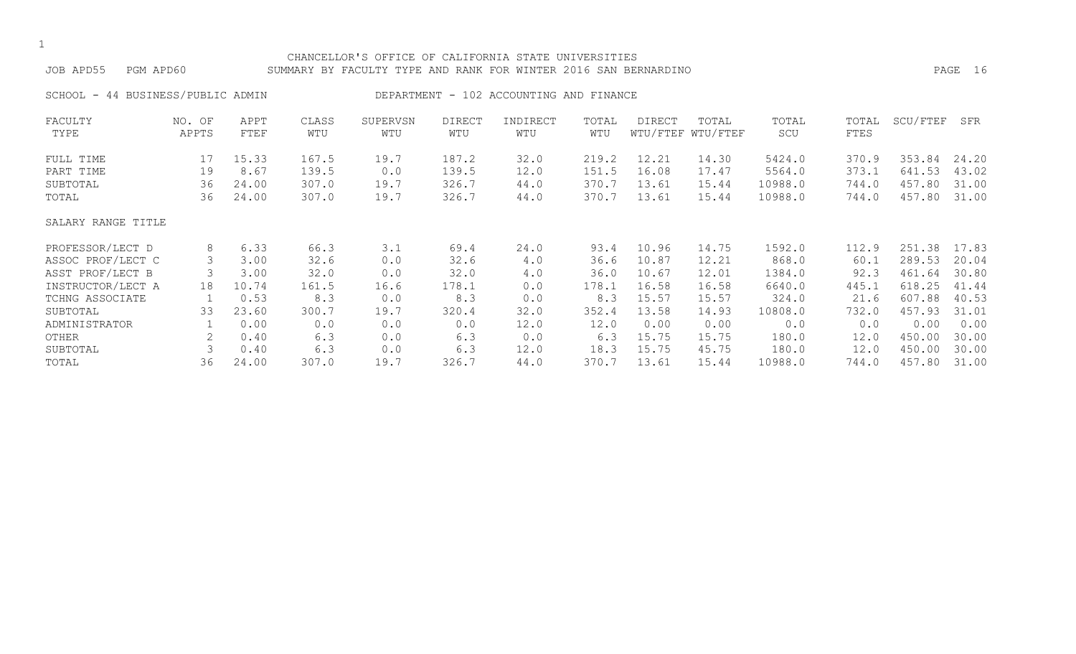| JOB APD55<br>PGM APD60               |                 |              |              | CHANCELLOR'S OFFICE OF CALIFORNIA STATE UNIVERSITIES<br>SUMMARY BY FACULTY TYPE AND RANK FOR WINTER 2016 SAN BERNARDINO |                      |                                         |              |        |                            |              |               |          | PAGE 16 |
|--------------------------------------|-----------------|--------------|--------------|-------------------------------------------------------------------------------------------------------------------------|----------------------|-----------------------------------------|--------------|--------|----------------------------|--------------|---------------|----------|---------|
| 44 BUSINESS/PUBLIC ADMIN<br>SCHOOL - |                 |              |              |                                                                                                                         |                      | DEPARTMENT - 102 ACCOUNTING AND FINANCE |              |        |                            |              |               |          |         |
| FACULTY<br>TYPE                      | NO. OF<br>APPTS | APPT<br>FTEF | CLASS<br>WTU | SUPERVSN<br>WTU                                                                                                         | <b>DIRECT</b><br>WTU | INDIRECT<br>WTU                         | TOTAL<br>WTU | DIRECT | TOTAL<br>WTU/FTEF WTU/FTEF | TOTAL<br>SCU | TOTAL<br>FTES | SCU/FTEF | SFR     |
| FULL TIME                            | 17              | 15.33        | 167.5        | 19.7                                                                                                                    | 187.2                | 32.0                                    | 219.2        | 12.21  | 14.30                      | 5424.0       | 370.9         | 353.84   | 24.20   |
| PART TIME                            | 19              | 8.67         | 139.5        | 0.0                                                                                                                     | 139.5                | 12.0                                    | 151.5        | 16.08  | 17.47                      | 5564.0       | 373.1         | 641.53   | 43.02   |
| SUBTOTAL                             | 36              | 24.00        | 307.0        | 19.7                                                                                                                    | 326.7                | 44.0                                    | 370.7        | 13.61  | 15.44                      | 10988.0      | 744.0         | 457.80   | 31.00   |
| TOTAL                                | 36              | 24.00        | 307.0        | 19.7                                                                                                                    | 326.7                | 44.0                                    | 370.7        | 13.61  | 15.44                      | 10988.0      | 744.0         | 457.80   | 31.00   |
| SALARY RANGE TITLE                   |                 |              |              |                                                                                                                         |                      |                                         |              |        |                            |              |               |          |         |
| PROFESSOR/LECT D                     | 8               | 6.33         | 66.3         | 3.1                                                                                                                     | 69.4                 | 24.0                                    | 93.4         | 10.96  | 14.75                      | 1592.0       | 112.9         | 251.38   | 17.83   |
| ASSOC PROF/LECT C                    | 3               | 3.00         | 32.6         | 0.0                                                                                                                     | 32.6                 | 4.0                                     | 36.6         | 10.87  | 12.21                      | 868.0        | 60.1          | 289.53   | 20.04   |
| ASST PROF/LECT B                     | 3               | 3.00         | 32.0         | 0.0                                                                                                                     | 32.0                 | $4 \cdot 0$                             | 36.0         | 10.67  | 12.01                      | 1384.0       | 92.3          | 461.64   | 30.80   |
| INSTRUCTOR/LECT A                    | 18              | 10.74        | 161.5        | 16.6                                                                                                                    | 178.1                | 0.0                                     | 178.1        | 16.58  | 16.58                      | 6640.0       | 445.1         | 618.25   | 41.44   |
| TCHNG ASSOCIATE                      |                 | 0.53         | 8.3          | 0.0                                                                                                                     | 8.3                  | 0.0                                     | 8.3          | 15.57  | 15.57                      | 324.0        | 21.6          | 607.88   | 40.53   |
| SUBTOTAL                             | 33              | 23.60        | 300.7        | 19.7                                                                                                                    | 320.4                | 32.0                                    | 352.4        | 13.58  | 14.93                      | 10808.0      | 732.0         | 457.93   | 31.01   |
| ADMINISTRATOR                        |                 | 0.00         | 0.0          | 0.0                                                                                                                     | 0.0                  | 12.0                                    | 12.0         | 0.00   | 0.00                       | 0.0          | 0.0           | 0.00     | 0.00    |
| OTHER                                | 2               | 0.40         | 6.3          | 0.0                                                                                                                     | 6.3                  | 0.0                                     | 6.3          | 15.75  | 15.75                      | 180.0        | 12.0          | 450.00   | 30.00   |
| SUBTOTAL                             | 3               | 0.40         | 6.3          | 0.0                                                                                                                     | 6.3                  | 12.0                                    | 18.3         | 15.75  | 45.75                      | 180.0        | 12.0          | 450.00   | 30.00   |
| TOTAL                                | 36              | 24.00        | 307.0        | 19.7                                                                                                                    | 326.7                | 44.0                                    | 370.7        | 13.61  | 15.44                      | 10988.0      | 744.0         | 457.80   | 31.00   |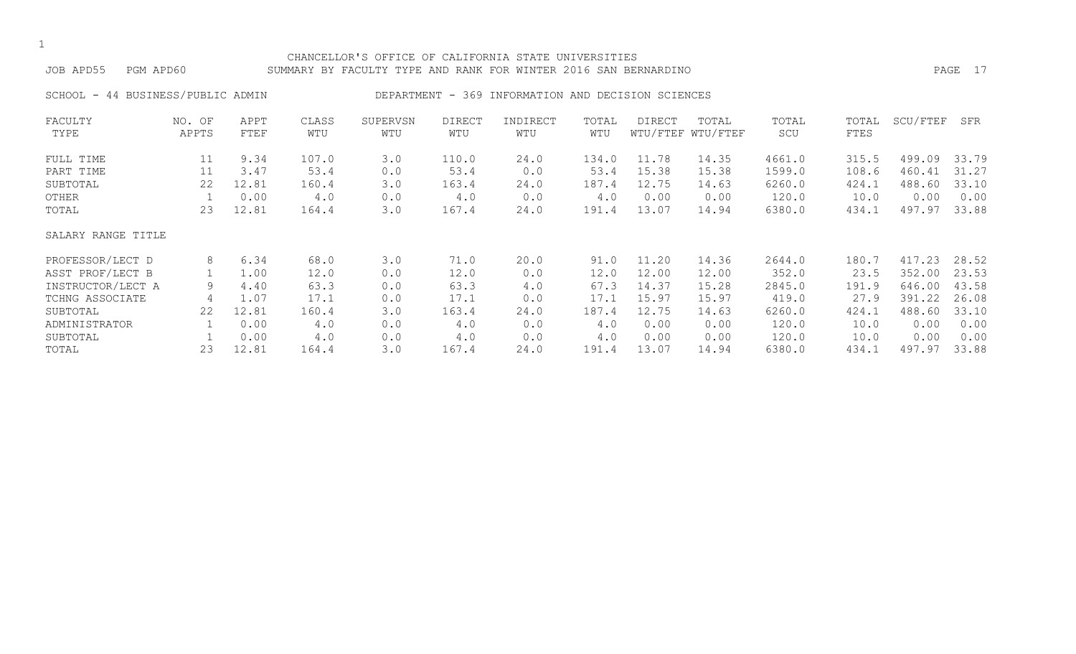#### CHANCELLOR'S OFFICE OF CALIFORNIA STATE UNIVERSITIES JOB APD55 PGM APD60 SUMMARY BY FACULTY TYPE AND RANK FOR WINTER 2016 SAN BERNARDINO PAGE 17

SCHOOL - 44 BUSINESS/PUBLIC ADMIN DEPARTMENT - 369 INFORMATION AND DECISION SCIENCES

| FACULTY            | NO. OF | APPT  | CLASS | SUPERVSN | <b>DIRECT</b> | INDIRECT | TOTAL | DIRECT | TOTAL             | TOTAL  | TOTAL | SCU/FTEF | SFR   |
|--------------------|--------|-------|-------|----------|---------------|----------|-------|--------|-------------------|--------|-------|----------|-------|
| TYPE               | APPTS  | FTEF  | WTU   | WTU      | WTU           | WTU      | WTU   |        | WTU/FTEF WTU/FTEF | SCU    | FTES  |          |       |
| FULL TIME          | 11     | 9.34  | 107.0 | 3.0      | 110.0         | 24.0     | 134.0 | 11.78  | 14.35             | 4661.0 | 315.5 | 499.09   | 33.79 |
| PART TIME          | 11     | 3.47  | 53.4  | 0.0      | 53.4          | 0.0      | 53.4  | 15.38  | 15.38             | 1599.0 | 108.6 | 460.41   | 31.27 |
| SUBTOTAL           | 22     | 12.81 | 160.4 | 3.0      | 163.4         | 24.0     | 187.4 | 12.75  | 14.63             | 6260.0 | 424.1 | 488.60   | 33.10 |
| OTHER              |        | 0.00  | 4.0   | 0.0      | 4.0           | 0.0      | 4.0   | 0.00   | 0.00              | 120.0  | 10.0  | 0.00     | 0.00  |
| TOTAL              | 23     | 12.81 | 164.4 | 3.0      | 167.4         | 24.0     | 191.4 | 13.07  | 14.94             | 6380.0 | 434.1 | 497.97   | 33.88 |
| SALARY RANGE TITLE |        |       |       |          |               |          |       |        |                   |        |       |          |       |
| PROFESSOR/LECT D   | 8      | 6.34  | 68.0  | 3.0      | 71.0          | 20.0     | 91.0  | 11.20  | 14.36             | 2644.0 | 180.7 | 417.23   | 28.52 |
| ASST PROF/LECT B   |        | 1.00  | 12.0  | 0.0      | 12.0          | 0.0      | 12.0  | 12.00  | 12.00             | 352.0  | 23.5  | 352.00   | 23.53 |
| INSTRUCTOR/LECT A  | 9      | 4.40  | 63.3  | 0.0      | 63.3          | 4.0      | 67.3  | 14.37  | 15.28             | 2845.0 | 191.9 | 646.00   | 43.58 |
| TCHNG ASSOCIATE    | 4      | 1.07  | 17.1  | 0.0      | 17.1          | 0.0      | 17.1  | 15.97  | 15.97             | 419.0  | 27.9  | 391.22   | 26.08 |
| SUBTOTAL           | 22     | 12.81 | 160.4 | 3.0      | 163.4         | 24.0     | 187.4 | 12.75  | 14.63             | 6260.0 | 424.1 | 488.60   | 33.10 |
| ADMINISTRATOR      |        | 0.00  | 4.0   | 0.0      | 4.0           | 0.0      | 4.0   | 0.00   | 0.00              | 120.0  | 10.0  | 0.00     | 0.00  |
| SUBTOTAL           |        | 0.00  | 4.0   | 0.0      | 4.0           | 0.0      | 4.0   | 0.00   | 0.00              | 120.0  | 10.0  | 0.00     | 0.00  |
| TOTAL              | 23     | 12.81 | 164.4 | 3.0      | 167.4         | 24.0     | 191.4 | 13.07  | 14.94             | 6380.0 | 434.1 | 497.97   | 33.88 |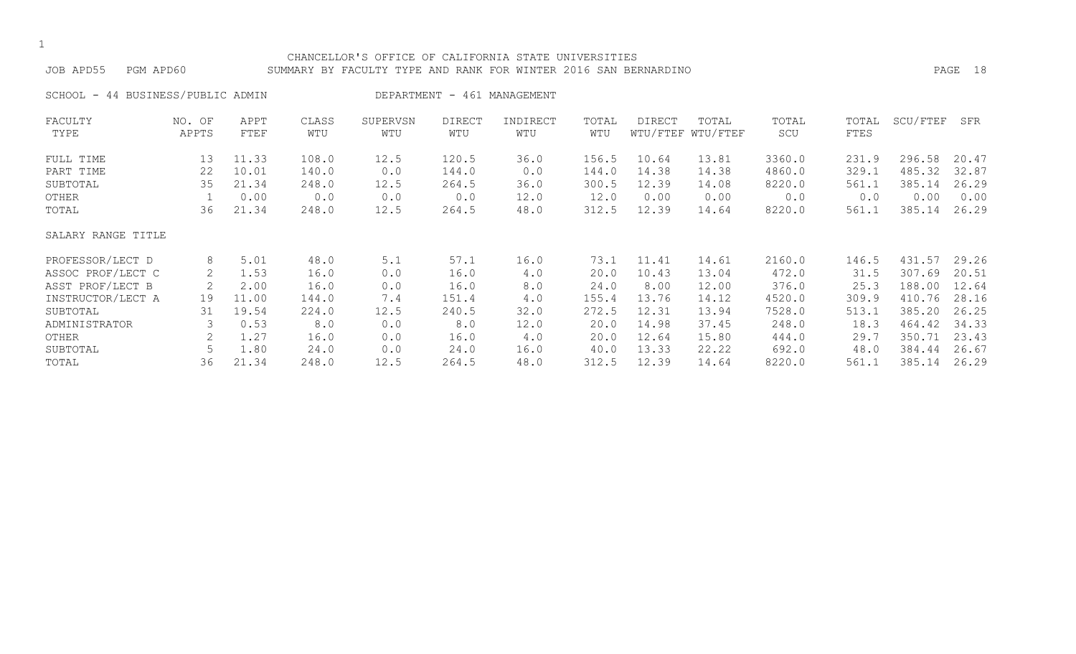#### CHANCELLOR'S OFFICE OF CALIFORNIA STATE UNIVERSITIES JOB APD55 PGM APD60 SUMMARY BY FACULTY TYPE AND RANK FOR WINTER 2016 SAN BERNARDINO PAGE 18

SCHOOL - 44 BUSINESS/PUBLIC ADMIN
BEPARTMENT - 461 MANAGEMENT FACULTY NO. OF APPT CLASS SUPERVSN DIRECT INDIRECT TOTAL DIRECT TOTAL TOTAL TOTAL SCU/FTEF SFR TYPE APPTS FTEF WTU WTU WTU WTU WTU WTU/FTEF WTU/FTEF SCU FTES FULL TIME 13 11.33 108.0 12.5 120.5 36.0 156.5 10.64 13.81 3360.0 231.9 296.58 20.47 PART TIME 22 10.01 140.0 0.0 144.0 0.0 144.0 14.38 14.38 4860.0 329.1 485.32 32.87 SUBTOTAL 35 21.34 248.0 12.5 264.5 36.0 300.5 12.39 14.08 8220.0 561.1 385.14 26.29 OTHER 1 0.00 0.0 0.0 0.0 12.0 12.0 0.00 0.00 0.0 0.00 0.00 TOTAL 36 21.34 248.0 12.5 264.5 48.0 312.5 12.39 14.64 8220.0 561.1 385.14 26.29 SALARY RANGE TITLE PROFESSOR/LECT D 8 5.01 48.0 5.1 57.1 16.0 73.1 11.41 14.61 2160.0 146.5 431.57 29.26 ASSOC PROF/LECT C 2 1.53 16.0 0.0 16.0 4.0 20.0 10.43 13.04 472.0 31.5 307.69 20.51 ASST PROF/LECT B 2 2.00 16.0 0.0 16.0 8.0 24.0 8.00 12.00 376.0 25.3 188.00 12.64 INSTRUCTOR/LECT A 19 11.00 144.0 7.4 151.4 4.0 155.4 13.76 14.12 4520.0 309.9 410.76 28.16 SUBTOTAL 31 19.54 224.0 12.5 240.5 32.0 272.5 12.31 13.94 7528.0 513.1 385.20 26.25 ADMINISTRATOR 3 0.53 8.0 0.0 8.0 12.0 20.0 14.98 37.45 248.0 18.3 464.42 34.33 OTHER 2 1.27 16.0 0.0 16.0 4.0 20.0 12.64 15.80 444.0 29.7 350.71 23.43 SUBTOTAL 5 1.80 24.0 0.0 24.0 16.0 40.0 13.33 22.22 692.0 48.0 384.44 26.67

TOTAL 36 21.34 248.0 12.5 264.5 48.0 312.5 12.39 14.64 8220.0 561.1 385.14 26.29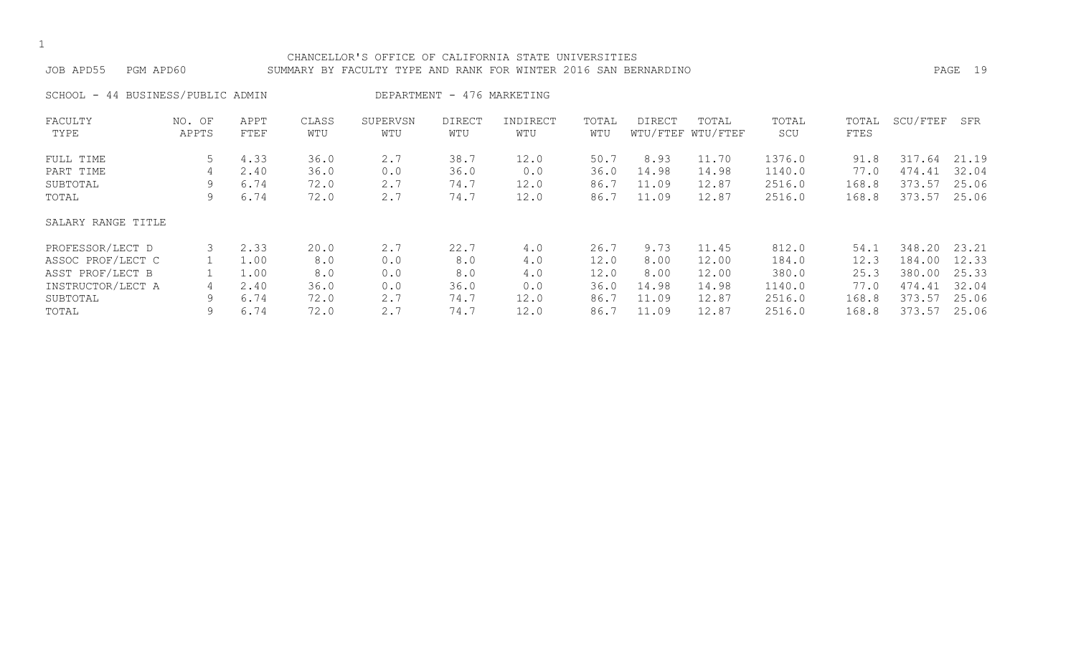#### CHANCELLOR'S OFFICE OF CALIFORNIA STATE UNIVERSITIES JOB APD55 PGM APD60 SUMMARY BY FACULTY TYPE AND RANK FOR WINTER 2016 SAN BERNARDINO PAGE 19

SCHOOL - 44 BUSINESS/PUBLIC ADMIN DEPARTMENT - 476 MARKETING

| FACULTY<br>TYPE    | NO. OF<br>APPTS | APPT<br>FTEF | CLASS<br>WTU | SUPERVSN<br>WTU | <b>DIRECT</b><br>WTU | INDIRECT<br>WTU | TOTAL<br>WTU | DIRECT | TOTAL<br>WTU/FTEF WTU/FTEF | TOTAL<br>SCU | TOTAL<br>FTES | SCU/FTEF | SFR   |
|--------------------|-----------------|--------------|--------------|-----------------|----------------------|-----------------|--------------|--------|----------------------------|--------------|---------------|----------|-------|
|                    |                 |              |              |                 |                      |                 |              |        |                            |              |               |          |       |
| FULL TIME          | 5               | 4.33         | 36.0         | 2.7             | 38.7                 | 12.0            | 50.7         | 8.93   | 11.70                      | 1376.0       | 91.8          | 317.64   | 21.19 |
| PART TIME          | 4               | 2.40         | 36.0         | 0.0             | 36.0                 | 0.0             | 36.0         | 14.98  | 14.98                      | 1140.0       | 77.0          | 474.41   | 32.04 |
| SUBTOTAL           | 9               | 6.74         | 72.0         | 2.7             | 74.7                 | 12.0            | 86.7         | 11.09  | 12.87                      | 2516.0       | 168.8         | 373.57   | 25.06 |
| TOTAL              | 9               | 6.74         | 72.0         | 2.7             | 74.7                 | 12.0            | 86.7         | 11.09  | 12.87                      | 2516.0       | 168.8         | 373.57   | 25.06 |
| SALARY RANGE TITLE |                 |              |              |                 |                      |                 |              |        |                            |              |               |          |       |
| PROFESSOR/LECT D   |                 | 2.33         | 20.0         | 2.7             | 22.7                 | 4.0             | 26.7         | 9.73   | 11.45                      | 812.0        | 54.1          | 348.20   | 23.21 |
| ASSOC PROF/LECT C  |                 | 1.00         | 8.0          | 0.0             | 8.0                  | 4.0             | 12.0         | 8.00   | 12.00                      | 184.0        | 12.3          | 184.00   | 12.33 |
| ASST PROF/LECT B   |                 | 1.00         | 8.0          | 0.0             | 8.0                  | 4.0             | 12.0         | 8.00   | 12.00                      | 380.0        | 25.3          | 380.00   | 25.33 |
| INSTRUCTOR/LECT A  | 4               | 2.40         | 36.0         | 0.0             | 36.0                 | 0.0             | 36.0         | 14.98  | 14.98                      | 1140.0       | 77.0          | 474.41   | 32.04 |
| SUBTOTAL           | 9               | 6.74         | 72.0         | 2.7             | 74.7                 | 12.0            | 86.7         | 11.09  | 12.87                      | 2516.0       | 168.8         | 373.57   | 25.06 |
| TOTAL              | 9               | 6.74         | 72.0         | 2.7             | 74.7                 | 12.0            | 86.7         | 11.09  | 12.87                      | 2516.0       | 168.8         | 373.57   | 25.06 |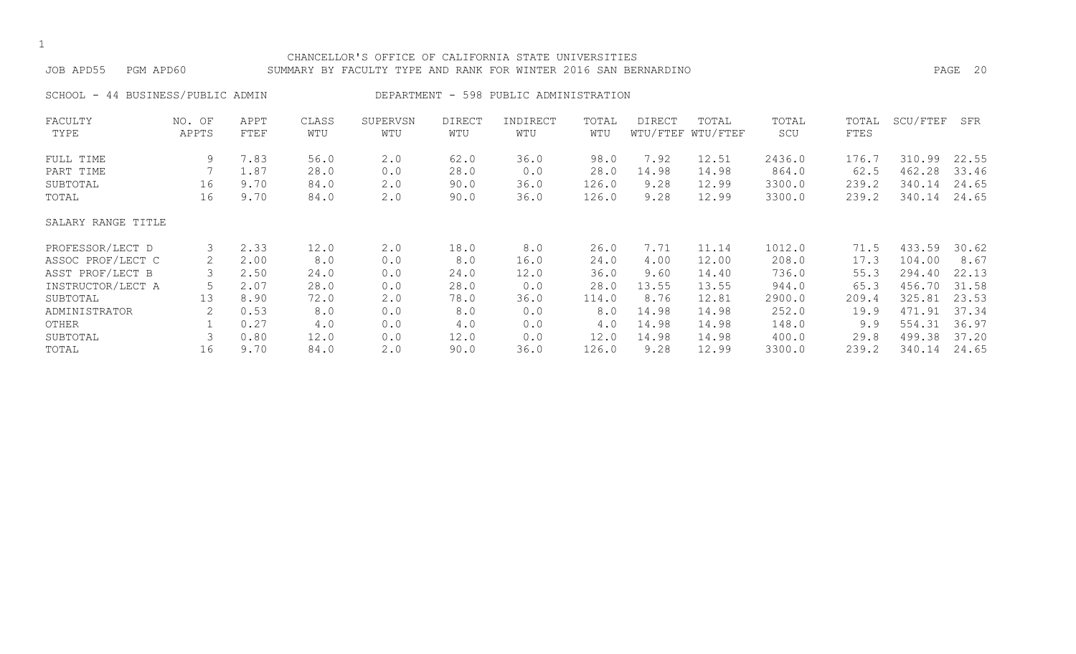## CHANCELLOR'S OFFICE OF CALIFORNIA STATE UNIVERSITIES JOB APD55 PGM APD60 SUMMARY BY FACULTY TYPE AND RANK FOR WINTER 2016 SAN BERNARDINO PAGE 20

SCHOOL - 44 BUSINESS/PUBLIC ADMIN DEPARTMENT - 598 PUBLIC ADMINISTRATION

| FACULTY            | NO. OF | APPT | CLASS | SUPERVSN | <b>DIRECT</b> | INDIRECT | TOTAL | DIRECT | TOTAL             | TOTAL  | TOTAL | SCU/FTEF | SFR   |
|--------------------|--------|------|-------|----------|---------------|----------|-------|--------|-------------------|--------|-------|----------|-------|
| TYPE               | APPTS  | FTEF | WTU   | WTU      | WTU           | WTU      | WTU   |        | WTU/FTEF WTU/FTEF | SCU    | FTES  |          |       |
| FULL TIME          | 9      | 7.83 | 56.0  | 2.0      | 62.0          | 36.0     | 98.0  | 7.92   | 12.51             | 2436.0 | 176.7 | 310.99   | 22.55 |
| PART TIME          |        | 1.87 | 28.0  | 0.0      | 28.0          | 0.0      | 28.0  | 14.98  | 14.98             | 864.0  | 62.5  | 462.28   | 33.46 |
| SUBTOTAL           | 16     | 9.70 | 84.0  | 2.0      | 90.0          | 36.0     | 126.0 | 9.28   | 12.99             | 3300.0 | 239.2 | 340.14   | 24.65 |
| TOTAL              | 16     | 9.70 | 84.0  | 2.0      | 90.0          | 36.0     | 126.0 | 9.28   | 12.99             | 3300.0 | 239.2 | 340.14   | 24.65 |
| SALARY RANGE TITLE |        |      |       |          |               |          |       |        |                   |        |       |          |       |
| PROFESSOR/LECT D   | 3      | 2.33 | 12.0  | 2.0      | 18.0          | 8.0      | 26.0  | 7.71   | 11.14             | 1012.0 | 71.5  | 433.59   | 30.62 |
| ASSOC PROF/LECT C  | 2      | 2.00 | 8.0   | 0.0      | 8.0           | 16.0     | 24.0  | 4.00   | 12.00             | 208.0  | 17.3  | 104.00   | 8.67  |
| ASST PROF/LECT B   |        | 2.50 | 24.0  | 0.0      | 24.0          | 12.0     | 36.0  | 9.60   | 14.40             | 736.0  | 55.3  | 294.40   | 22.13 |
| INSTRUCTOR/LECT A  |        | 2.07 | 28.0  | 0.0      | 28.0          | 0.0      | 28.0  | 13.55  | 13.55             | 944.0  | 65.3  | 456.70   | 31.58 |
| SUBTOTAL           | 13     | 8.90 | 72.0  | 2.0      | 78.0          | 36.0     | 114.0 | 8.76   | 12.81             | 2900.0 | 209.4 | 325.81   | 23.53 |
| ADMINISTRATOR      | 2      | 0.53 | 8.0   | 0.0      | 8.0           | 0.0      | 8.0   | 14.98  | 14.98             | 252.0  | 19.9  | 471.91   | 37.34 |
| OTHER              |        | 0.27 | 4.0   | 0.0      | 4.0           | 0.0      | 4.0   | 14.98  | 14.98             | 148.0  | 9.9   | 554.31   | 36.97 |
| SUBTOTAL           |        | 0.80 | 12.0  | 0.0      | 12.0          | 0.0      | 12.0  | 14.98  | 14.98             | 400.0  | 29.8  | 499.38   | 37.20 |
| TOTAL              | 16     | 9.70 | 84.0  | 2.0      | 90.0          | 36.0     | 126.0 | 9.28   | 12.99             | 3300.0 | 239.2 | 340.14   | 24.65 |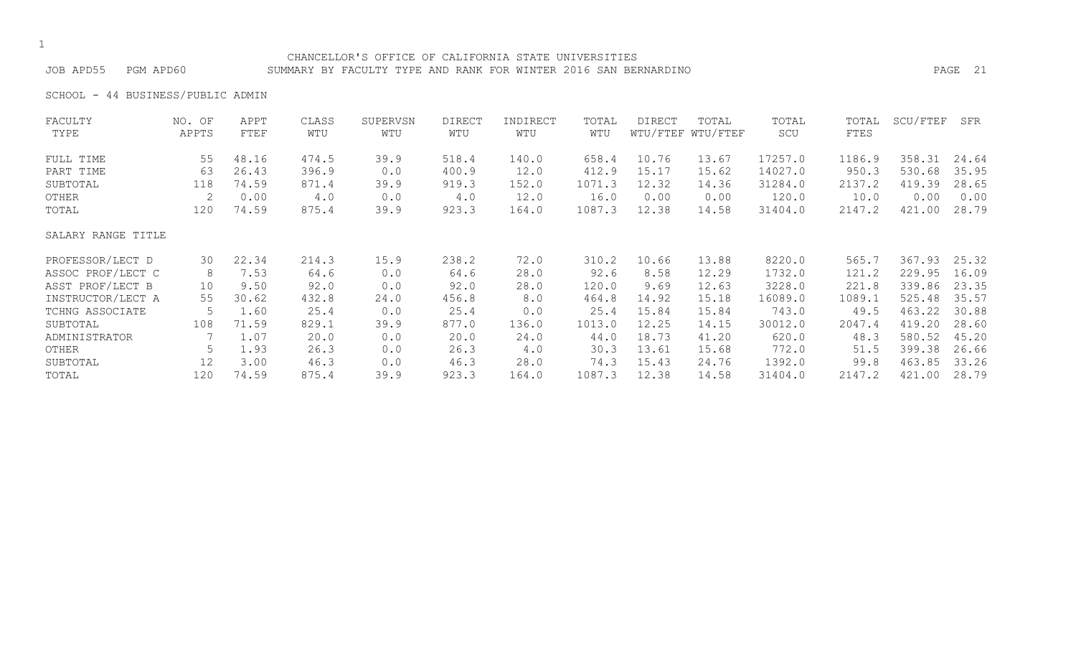#### CHANCELLOR'S OFFICE OF CALIFORNIA STATE UNIVERSITIES JOB APD55 PGM APD60 SUMMARY BY FACULTY TYPE AND RANK FOR WINTER 2016 SAN BERNARDINO PAGE 21

SCHOOL - 44 BUSINESS/PUBLIC ADMIN

| FACULTY            | NO. OF | APPT  | CLASS | SUPERVSN | DIRECT | INDIRECT | TOTAL  | DIRECT | TOTAL             | TOTAL   | TOTAL  | SCU/FTEF | SFR   |
|--------------------|--------|-------|-------|----------|--------|----------|--------|--------|-------------------|---------|--------|----------|-------|
| TYPE               | APPTS  | FTEF  | WTU   | WTU      | WTU    | WTU      | WTU    |        | WTU/FTEF WTU/FTEF | SCU     | FTES   |          |       |
| FULL TIME          | 55     | 48.16 | 474.5 | 39.9     | 518.4  | 140.0    | 658.4  | 10.76  | 13.67             | 17257.0 | 1186.9 | 358.31   | 24.64 |
| PART TIME          | 63     | 26.43 | 396.9 | 0.0      | 400.9  | 12.0     | 412.9  | 15.17  | 15.62             | 14027.0 | 950.3  | 530.68   | 35.95 |
| SUBTOTAL           | 118    | 74.59 | 871.4 | 39.9     | 919.3  | 152.0    | 1071.3 | 12.32  | 14.36             | 31284.0 | 2137.2 | 419.39   | 28.65 |
| OTHER              | 2      | 0.00  | 4.0   | 0.0      | 4.0    | 12.0     | 16.0   | 0.00   | 0.00              | 120.0   | 10.0   | 0.00     | 0.00  |
| TOTAL              | 120    | 74.59 | 875.4 | 39.9     | 923.3  | 164.0    | 1087.3 | 12.38  | 14.58             | 31404.0 | 2147.2 | 421.00   | 28.79 |
| SALARY RANGE TITLE |        |       |       |          |        |          |        |        |                   |         |        |          |       |
| PROFESSOR/LECT D   | 30     | 22.34 | 214.3 | 15.9     | 238.2  | 72.0     | 310.2  | 10.66  | 13.88             | 8220.0  | 565.7  | 367.93   | 25.32 |
| ASSOC PROF/LECT C  | 8      | 7.53  | 64.6  | 0.0      | 64.6   | 28.0     | 92.6   | 8.58   | 12.29             | 1732.0  | 121.2  | 229.95   | 16.09 |
| ASST PROF/LECT B   | 10     | 9.50  | 92.0  | 0.0      | 92.0   | 28.0     | 120.0  | 9.69   | 12.63             | 3228.0  | 221.8  | 339.86   | 23.35 |
| INSTRUCTOR/LECT A  | 55     | 30.62 | 432.8 | 24.0     | 456.8  | 8.0      | 464.8  | 14.92  | 15.18             | 16089.0 | 1089.1 | 525.48   | 35.57 |
| TCHNG ASSOCIATE    | 5      | 1.60  | 25.4  | 0.0      | 25.4   | 0.0      | 25.4   | 15.84  | 15.84             | 743.0   | 49.5   | 463.22   | 30.88 |
| SUBTOTAL           | 108    | 71.59 | 829.1 | 39.9     | 877.0  | 136.0    | 1013.0 | 12.25  | 14.15             | 30012.0 | 2047.4 | 419.20   | 28.60 |
| ADMINISTRATOR      |        | 1.07  | 20.0  | 0.0      | 20.0   | 24.0     | 44.0   | 18.73  | 41.20             | 620.0   | 48.3   | 580.52   | 45.20 |
| OTHER              | 5      | 1.93  | 26.3  | 0.0      | 26.3   | 4.0      | 30.3   | 13.61  | 15.68             | 772.0   | 51.5   | 399.38   | 26.66 |
| SUBTOTAL           | 12     | 3.00  | 46.3  | 0.0      | 46.3   | 28.0     | 74.3   | 15.43  | 24.76             | 1392.0  | 99.8   | 463.85   | 33.26 |
| TOTAL              | 120    | 74.59 | 875.4 | 39.9     | 923.3  | 164.0    | 1087.3 | 12.38  | 14.58             | 31404.0 | 2147.2 | 421.00   | 28.79 |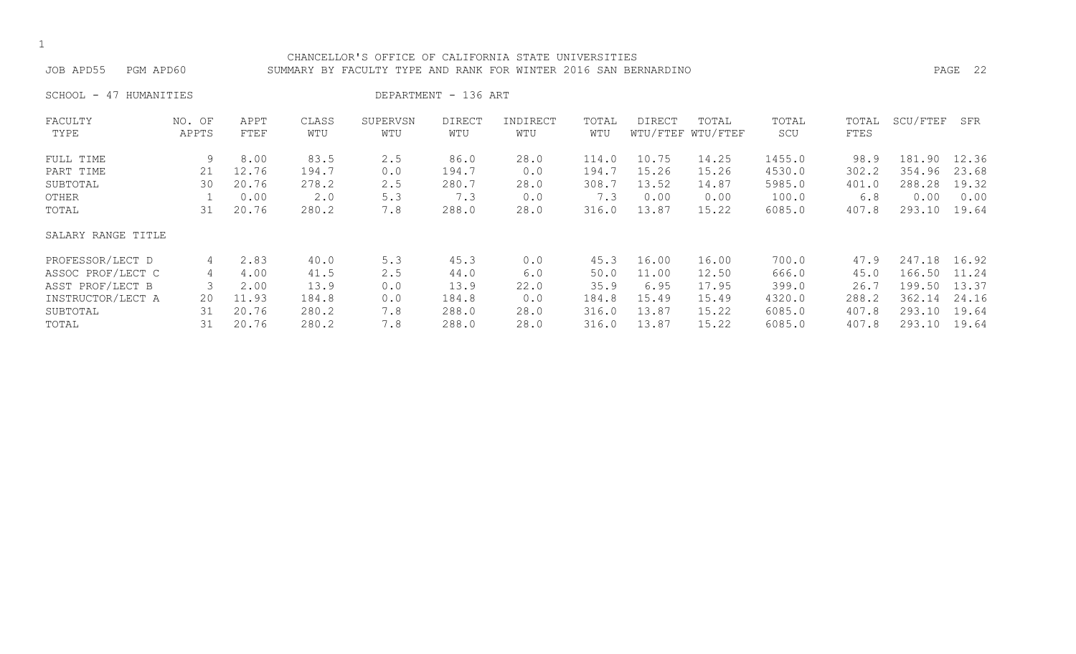#### CHANCELLOR'S OFFICE OF CALIFORNIA STATE UNIVERSITIES JOB APD55 PGM APD60 SUMMARY BY FACULTY TYPE AND RANK FOR WINTER 2016 SAN BERNARDINO PAGE 22

SCHOOL - 47 HUMANITIES DEPARTMENT - 136 ART

| FACULTY            | NO. OF | APPT  | CLASS | SUPERVSN | <b>DIRECT</b> | INDIRECT | TOTAL | <b>DIRECT</b> | TOTAL             | TOTAL  | TOTAL | SCU/FTEF | SFR   |
|--------------------|--------|-------|-------|----------|---------------|----------|-------|---------------|-------------------|--------|-------|----------|-------|
| TYPE               | APPTS  | FTEF  | WTU   | WTU      | WTU           | WTU      | WTU   |               | WTU/FTEF WTU/FTEF | SCU    | FTES  |          |       |
| FULL TIME          | 9      | 8.00  | 83.5  | 2.5      | 86.0          | 28.0     | 114.0 | 10.75         | 14.25             | 1455.0 | 98.9  | 181.90   | 12.36 |
| PART TIME          | 21     | 12.76 | 194.7 | 0.0      | 194.7         | 0.0      | 194.7 | 15.26         | 15.26             | 4530.0 | 302.2 | 354.96   | 23.68 |
| SUBTOTAL           | 30     | 20.76 | 278.2 | 2.5      | 280.7         | 28.0     | 308.7 | 13.52         | 14.87             | 5985.0 | 401.0 | 288.28   | 19.32 |
| OTHER              |        | 0.00  | 2.0   | 5.3      | 7.3           | 0.0      | 7.3   | 0.00          | 0.00              | 100.0  | 6.8   | 0.00     | 0.00  |
| TOTAL              | 31     | 20.76 | 280.2 | 7.8      | 288.0         | 28.0     | 316.0 | 13.87         | 15.22             | 6085.0 | 407.8 | 293.10   | 19.64 |
| SALARY RANGE TITLE |        |       |       |          |               |          |       |               |                   |        |       |          |       |
| PROFESSOR/LECT D   | 4      | 2.83  | 40.0  | 5.3      | 45.3          | 0.0      | 45.3  | 16.00         | 16.00             | 700.0  | 47.9  | 247.18   | 16.92 |
| ASSOC PROF/LECT C  | 4      | 4.00  | 41.5  | 2.5      | 44.0          | 6.0      | 50.0  | 11.00         | 12.50             | 666.0  | 45.0  | 166.50   | 11.24 |
| ASST PROF/LECT B   |        | 2.00  | 13.9  | 0.0      | 13.9          | 22.0     | 35.9  | 6.95          | 17.95             | 399.0  | 26.7  | 199.50   | 13.37 |
| INSTRUCTOR/LECT A  | 20     | 11.93 | 184.8 | 0.0      | 184.8         | 0.0      | 184.8 | 15.49         | 15.49             | 4320.0 | 288.2 | 362.14   | 24.16 |
| SUBTOTAL           | 31     | 20.76 | 280.2 | 7.8      | 288.0         | 28.0     | 316.0 | 13.87         | 15.22             | 6085.0 | 407.8 | 293.10   | 19.64 |
| TOTAL              | 31     | 20.76 | 280.2 | 7.8      | 288.0         | 28.0     | 316.0 | 13.87         | 15.22             | 6085.0 | 407.8 | 293.10   | 19.64 |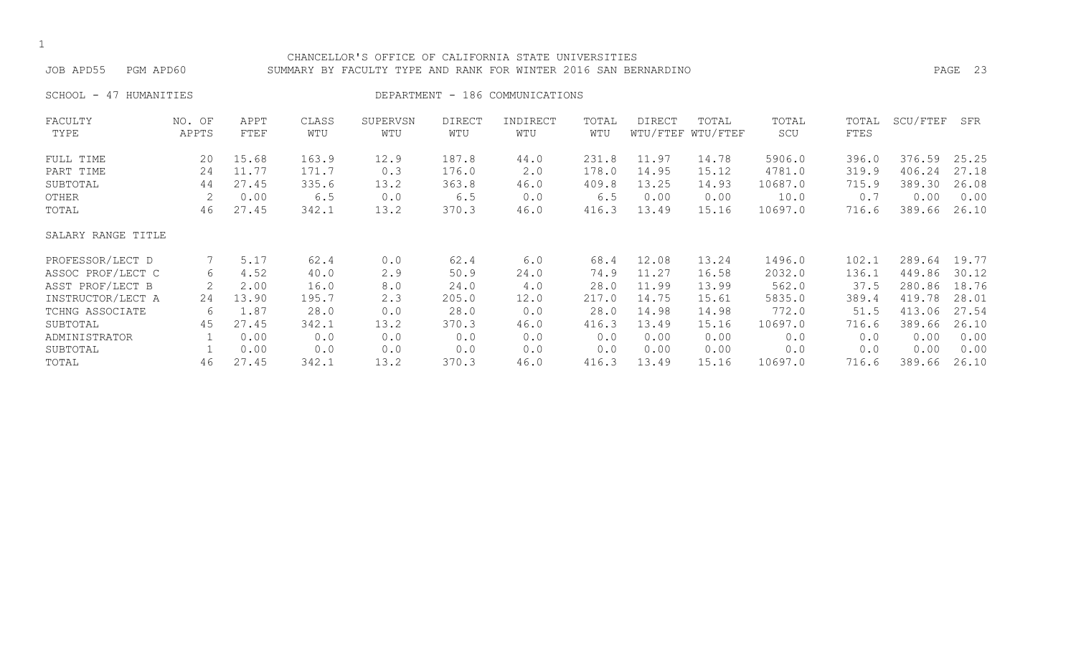| CHANCELLOR'S OFFICE OF CALIFORNIA STATE UNIVERSITIES<br>JOB APD55<br>PGM APD60<br>SUMMARY BY FACULTY TYPE AND RANK FOR WINTER 2016 SAN BERNARDINO<br>DEPARTMENT - 186 COMMUNICATIONS |                 |              |              |                 |                      |                 |              |        |                            |              |               |          | PAGE 23 |
|--------------------------------------------------------------------------------------------------------------------------------------------------------------------------------------|-----------------|--------------|--------------|-----------------|----------------------|-----------------|--------------|--------|----------------------------|--------------|---------------|----------|---------|
| HUMANITIES<br>SCHOOL -<br>47                                                                                                                                                         |                 |              |              |                 |                      |                 |              |        |                            |              |               |          |         |
| FACULTY<br>TYPE                                                                                                                                                                      | NO. OF<br>APPTS | APPT<br>FTEF | CLASS<br>WTU | SUPERVSN<br>WTU | <b>DIRECT</b><br>WTU | INDIRECT<br>WTU | TOTAL<br>WTU | DIRECT | TOTAL<br>WTU/FTEF WTU/FTEF | TOTAL<br>SCU | TOTAL<br>FTES | SCU/FTEF | SFR     |
| FULL TIME                                                                                                                                                                            | 20              | 15.68        | 163.9        | 12.9            | 187.8                | 44.0            | 231.8        | 11.97  | 14.78                      | 5906.0       | 396.0         | 376.59   | 25.25   |
| PART TIME                                                                                                                                                                            | 24              | 11.77        | 171.7        | 0.3             | 176.0                | 2.0             | 178.0        | 14.95  | 15.12                      | 4781.0       | 319.9         | 406.24   | 27.18   |
| SUBTOTAL                                                                                                                                                                             | 44              | 27.45        | 335.6        | 13.2            | 363.8                | 46.0            | 409.8        | 13.25  | 14.93                      | 10687.0      | 715.9         | 389.30   | 26.08   |
| OTHER                                                                                                                                                                                |                 | 0.00         | 6.5          | 0.0             | 6.5                  | 0.0             | 6.5          | 0.00   | 0.00                       | 10.0         | 0.7           | 0.00     | 0.00    |
| TOTAL                                                                                                                                                                                | 46              | 27.45        | 342.1        | 13.2            | 370.3                | 46.0            | 416.3        | 13.49  | 15.16                      | 10697.0      | 716.6         | 389.66   | 26.10   |
| SALARY RANGE TITLE                                                                                                                                                                   |                 |              |              |                 |                      |                 |              |        |                            |              |               |          |         |
| PROFESSOR/LECT D                                                                                                                                                                     |                 | 5.17         | 62.4         | 0.0             | 62.4                 | 6.0             | 68.4         | 12.08  | 13.24                      | 1496.0       | 102.1         | 289.64   | 19.77   |
| ASSOC PROF/LECT C                                                                                                                                                                    | 6               | 4.52         | 40.0         | 2.9             | 50.9                 | 24.0            | 74.9         | 11.27  | 16.58                      | 2032.0       | 136.1         | 449.86   | 30.12   |
| ASST PROF/LECT B                                                                                                                                                                     | 2               | 2.00         | 16.0         | 8.0             | 24.0                 | 4.0             | 28.0         | 11.99  | 13.99                      | 562.0        | 37.5          | 280.86   | 18.76   |
| INSTRUCTOR/LECT A                                                                                                                                                                    | 24              | 13.90        | 195.7        | 2.3             | 205.0                | 12.0            | 217.0        | 14.75  | 15.61                      | 5835.0       | 389.4         | 419.78   | 28.01   |

| ASST PROF/LECT B  |    | 2.00   | L6.O  | 8.0  | 24.0  | 4.0  | 28.0  | 11.99 | 13.99 | 562.0   | 37.5  | 280.86 | 18.76 |
|-------------------|----|--------|-------|------|-------|------|-------|-------|-------|---------|-------|--------|-------|
| INSTRUCTOR/LECT A | 24 | 13.90  | 195.7 |      | 205.0 | 12.0 | 217.0 | 14.75 | 15.61 | 5835.0  | 389.4 | 419.78 | 28.01 |
| TCHNG ASSOCIATE   |    | . . 87 | 28.0  |      | 28.0  | 0.0  | 28.0  | 4.98  | l4.98 | 772.0   | 51.5  | 413.06 | 27.54 |
| SUBTOTAL          | 45 | 27.45  | 342.1 | 13.2 | 370.3 | 46.0 | 416.3 | 13.49 | 15.16 | 10697.0 | 716.6 | 389.66 | 26.10 |
| ADMINISTRATOR     |    | 0.00   | 0.0   |      |       | 0.0  |       | 0.00  | 0.00  |         |       | 0.00   | 0.00  |
| SUBTOTAL          |    | 0.00   | 0.0   | 0.0  | 0.0   | 0.0  |       | 0.00  | 0.00  | 0.0     | 0.0   | 0.00   | 0.00  |
| TOTAL             | 46 | 27.45  | 342.1 | 13.Z | 370.3 | 46.0 | 416.3 | 1349  | ⊥5.16 | 10697.0 | /16.6 | 389.66 | 26.10 |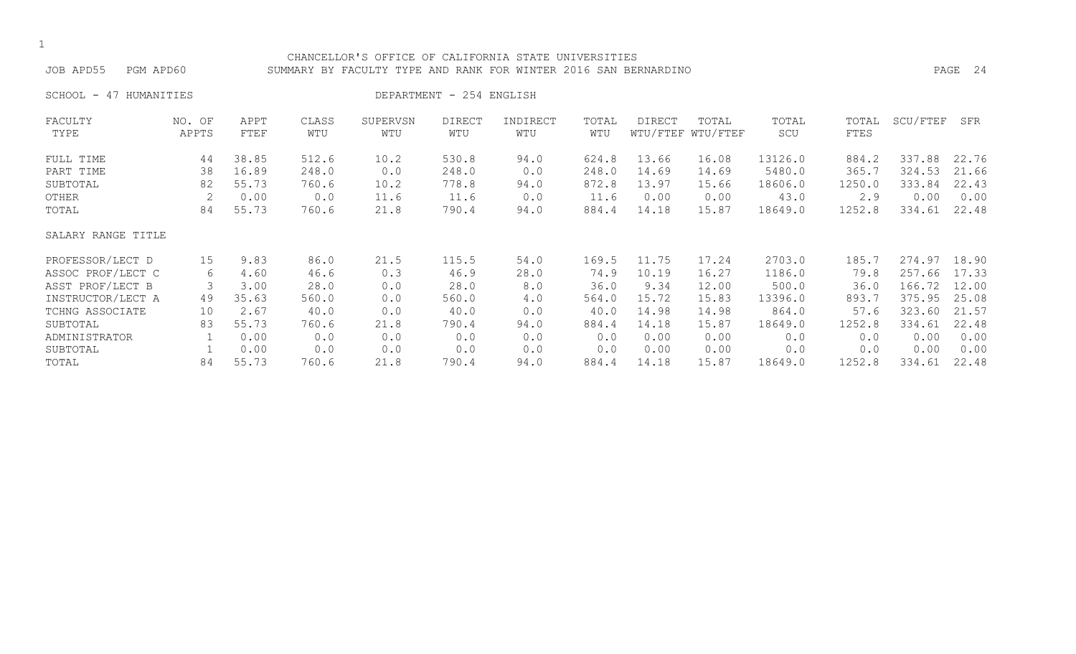| ۰.  |
|-----|
| . . |

#### CHANCELLOR'S OFFICE OF CALIFORNIA STATE UNIVERSITIES JOB APD55 PGM APD60 SUMMARY BY FACULTY TYPE AND RANK FOR WINTER 2016 SAN BERNARDINO PAGE 24

SCHOOL - 47 HUMANITIES DEPARTMENT - 254 ENGLISH

| FACULTY            | NO. OF | APPT  | CLASS | SUPERVSN | <b>DIRECT</b> | INDIRECT | TOTAL | DIRECT | TOTAL             | TOTAL   | TOTAL  | SCU/FTEF | SFR   |
|--------------------|--------|-------|-------|----------|---------------|----------|-------|--------|-------------------|---------|--------|----------|-------|
| TYPE               | APPTS  | FTEF  | WTU   | WTU      | WTU           | WTU      | WTU   |        | WTU/FTEF WTU/FTEF | SCU     | FTES   |          |       |
| FULL TIME          | 44     | 38.85 | 512.6 | 10.2     | 530.8         | 94.0     | 624.8 | 13.66  | 16.08             | 13126.0 | 884.2  | 337.88   | 22.76 |
| PART TIME          | 38     | 16.89 | 248.0 | 0.0      | 248.0         | 0.0      | 248.0 | 14.69  | 14.69             | 5480.0  | 365.7  | 324.53   | 21.66 |
| SUBTOTAL           | 82     | 55.73 | 760.6 | 10.2     | 778.8         | 94.0     | 872.8 | 13.97  | 15.66             | 18606.0 | 1250.0 | 333.84   | 22.43 |
| OTHER              | 2      | 0.00  | 0.0   | 11.6     | 11.6          | 0.0      | 11.6  | 0.00   | 0.00              | 43.0    | 2.9    | 0.00     | 0.00  |
| TOTAL              | 84     | 55.73 | 760.6 | 21.8     | 790.4         | 94.0     | 884.4 | 14.18  | 15.87             | 18649.0 | 1252.8 | 334.61   | 22.48 |
| SALARY RANGE TITLE |        |       |       |          |               |          |       |        |                   |         |        |          |       |
| PROFESSOR/LECT D   | 15     | 9.83  | 86.0  | 21.5     | 115.5         | 54.0     | 169.5 | 11.75  | 17.24             | 2703.0  | 185.7  | 274.97   | 18.90 |
| ASSOC PROF/LECT C  | 6      | 4.60  | 46.6  | 0.3      | 46.9          | 28.0     | 74.9  | 10.19  | 16.27             | 1186.0  | 79.8   | 257.66   | 17.33 |
| ASST PROF/LECT B   |        | 3.00  | 28.0  | 0.0      | 28.0          | 8.0      | 36.0  | 9.34   | 12.00             | 500.0   | 36.0   | 166.72   | 12.00 |
| INSTRUCTOR/LECT A  | 49     | 35.63 | 560.0 | 0.0      | 560.0         | 4.0      | 564.0 | 15.72  | 15.83             | 13396.0 | 893.7  | 375.95   | 25.08 |
| TCHNG ASSOCIATE    | 10     | 2.67  | 40.0  | 0.0      | 40.0          | 0.0      | 40.0  | 14.98  | 14.98             | 864.0   | 57.6   | 323.60   | 21.57 |
| SUBTOTAL           | 83     | 55.73 | 760.6 | 21.8     | 790.4         | 94.0     | 884.4 | 14.18  | 15.87             | 18649.0 | 1252.8 | 334.61   | 22.48 |
| ADMINISTRATOR      |        | 0.00  | 0.0   | 0.0      | 0.0           | 0.0      | 0.0   | 0.00   | 0.00              | 0.0     | 0.0    | 0.00     | 0.00  |
| SUBTOTAL           |        | 0.00  | 0.0   | 0.0      | 0.0           | 0.0      | 0.0   | 0.00   | 0.00              | 0.0     | 0.0    | 0.00     | 0.00  |
| TOTAL              | 84     | 55.73 | 760.6 | 21.8     | 790.4         | 94.0     | 884.4 | 14.18  | 15.87             | 18649.0 | 1252.8 | 334.61   | 22.48 |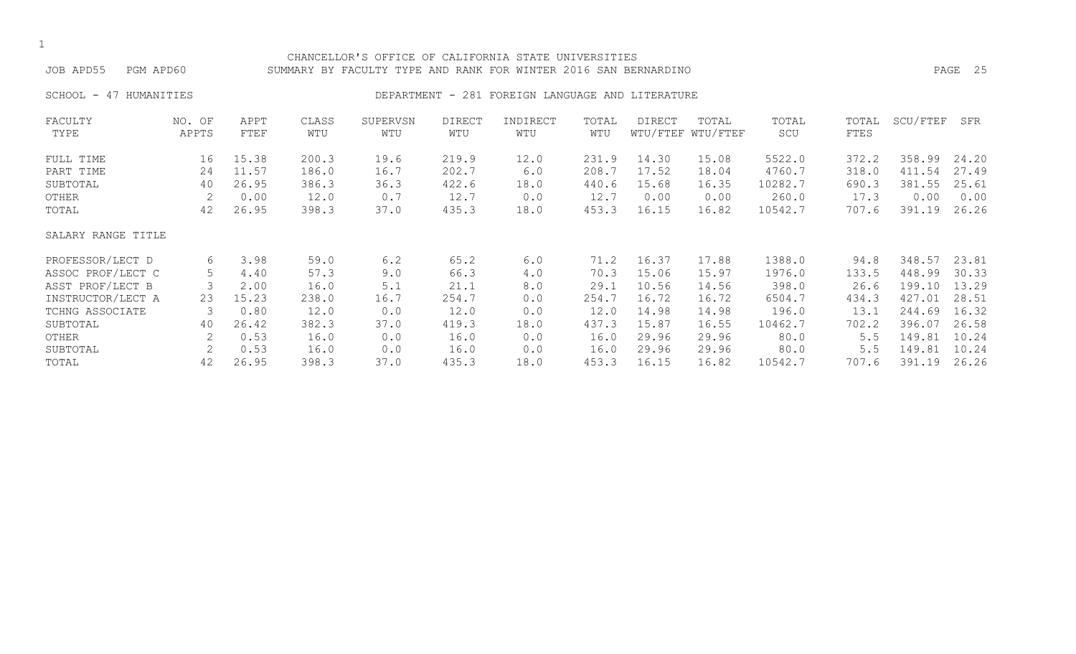| JOB APD55<br>PGM APD60       |        |       |       | CHANCELLOR'S OFFICE OF CALIFORNIA STATE UNIVERSITIES<br>SUMMARY BY FACULTY TYPE AND RANK FOR WINTER 2016 SAN BERNARDINO |               |                                                  |       |               |                   |         |       |          | PAGE 25 |
|------------------------------|--------|-------|-------|-------------------------------------------------------------------------------------------------------------------------|---------------|--------------------------------------------------|-------|---------------|-------------------|---------|-------|----------|---------|
| SCHOOL -<br>HUMANITIES<br>47 |        |       |       |                                                                                                                         |               | DEPARTMENT - 281 FOREIGN LANGUAGE AND LITERATURE |       |               |                   |         |       |          |         |
| FACULTY                      | NO. OF | APPT  | CLASS | SUPERVSN                                                                                                                | <b>DIRECT</b> | INDIRECT                                         | TOTAL | <b>DIRECT</b> | TOTAL             | TOTAL   | TOTAL | SCU/FTEF | SFR     |
| TYPE                         | APPTS  | FTEF  | WTU   | WTU                                                                                                                     | WTU           | WTU                                              | WTU   |               | WTU/FTEF WTU/FTEF | SCU     | FTES  |          |         |
| FULL TIME                    | 16     | 15.38 | 200.3 | 19.6                                                                                                                    | 219.9         | 12.0                                             | 231.9 | 14.30         | 15.08             | 5522.0  | 372.2 | 358.99   | 24.20   |
| PART TIME                    | 24     | 11.57 | 186.0 | 16.7                                                                                                                    | 202.7         | 6.0                                              | 208.7 | 17.52         | 18.04             | 4760.7  | 318.0 | 411.54   | 27.49   |
| SUBTOTAL                     | 40     | 26.95 | 386.3 | 36.3                                                                                                                    | 422.6         | 18.0                                             | 440.6 | 15.68         | 16.35             | 10282.7 | 690.3 | 381.55   | 25.61   |
| OTHER                        | 2      | 0.00  | 12.0  | 0.7                                                                                                                     | 12.7          | 0.0                                              | 12.7  | 0.00          | 0.00              | 260.0   | 17.3  | 0.00     | 0.00    |
| TOTAL                        | 42     | 26.95 | 398.3 | 37.0                                                                                                                    | 435.3         | 18.0                                             | 453.3 | 16.15         | 16.82             | 10542.7 | 707.6 | 391.19   | 26.26   |
| SALARY RANGE TITLE           |        |       |       |                                                                                                                         |               |                                                  |       |               |                   |         |       |          |         |
| PROFESSOR/LECT D             | 6      | 3.98  | 59.0  | 6.2                                                                                                                     | 65.2          | 6.0                                              | 71.2  | 16.37         | 17.88             | 1388.0  | 94.8  | 348.57   | 23.81   |
| ASSOC PROF/LECT C            | 5      | 4.40  | 57.3  | 9.0                                                                                                                     | 66.3          | 4.0                                              | 70.3  | 15.06         | 15.97             | 1976.0  | 133.5 | 448.99   | 30.33   |
| ASST PROF/LECT B             |        | 2.00  | 16.0  | 5.1                                                                                                                     | 21.1          | 8.0                                              | 29.1  | 10.56         | 14.56             | 398.0   | 26.6  | 199.10   | 13.29   |
| INSTRUCTOR/LECT A            | 23     | 15.23 | 238.0 | 16.7                                                                                                                    | 254.7         | 0.0                                              | 254.7 | 16.72         | 16.72             | 6504.7  | 434.3 | 427.01   | 28.51   |
| TCHNG ASSOCIATE              | 3      | 0.80  | 12.0  | 0.0                                                                                                                     | 12.0          | 0.0                                              | 12.0  | 14.98         | 14.98             | 196.0   | 13.1  | 244.69   | 16.32   |
| SUBTOTAL                     | 40     | 26.42 | 382.3 | 37.0                                                                                                                    | 419.3         | 18.0                                             | 437.3 | 15.87         | 16.55             | 10462.7 | 702.2 | 396.07   | 26.58   |
| OTHER                        |        | 0.53  | 16.0  | 0.0                                                                                                                     | 16.0          | 0.0                                              | 16.0  | 29.96         | 29.96             | 80.0    | 5.5   | 149.81   | 10.24   |
| SUBTOTAL                     |        | 0.53  | 16.0  | 0.0                                                                                                                     | 16.0          | 0.0                                              | 16.0  | 29.96         | 29.96             | 80.0    | 5.5   | 149.81   | 10.24   |

TOTAL 42 26.95 398.3 37.0 435.3 18.0 453.3 16.15 16.82 10542.7 707.6 391.19 26.26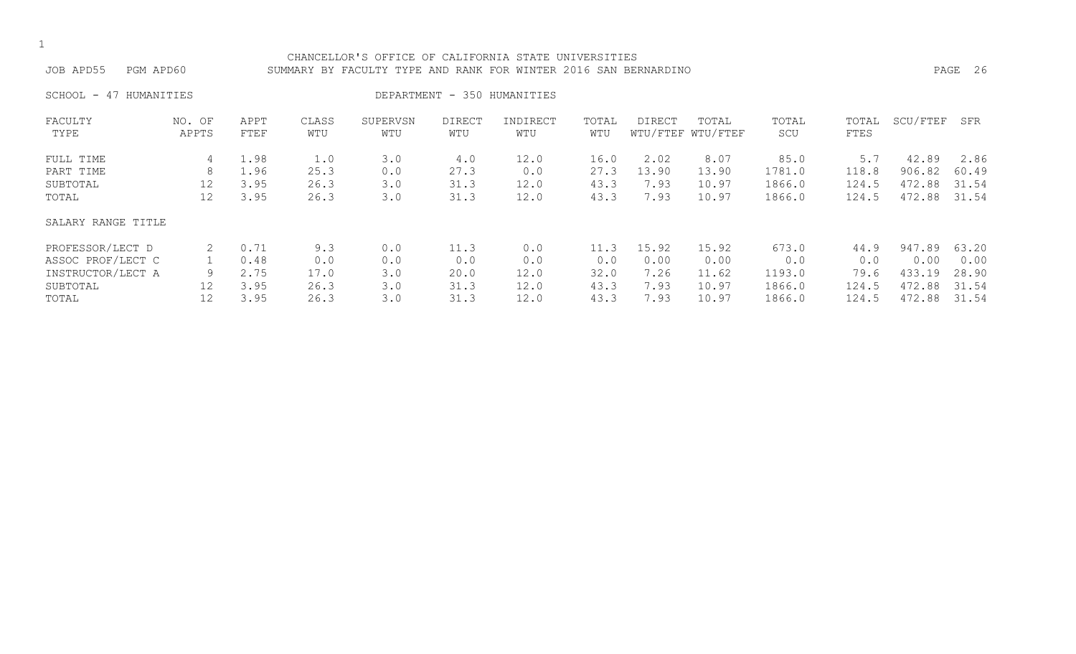| ۰.  |
|-----|
| . . |

#### CHANCELLOR'S OFFICE OF CALIFORNIA STATE UNIVERSITIES JOB APD55 PGM APD60 SUMMARY BY FACULTY TYPE AND RANK FOR WINTER 2016 SAN BERNARDINO PAGE 26

SCHOOL - 47 HUMANITIES DEPARTMENT - 350 HUMANITIES

| FACULTY            | NO. OF | APPT | CLASS | SUPERVSN | <b>DIRECT</b> | INDIRECT | TOTAL | DIRECT | TOTAL             | TOTAL  | TOTAL | SCU/FTEF | SFR   |
|--------------------|--------|------|-------|----------|---------------|----------|-------|--------|-------------------|--------|-------|----------|-------|
| TYPE               | APPTS  | FTEF | WTU   | WTU      | WTU           | WTU      | WTU   |        | WTU/FTEF WTU/FTEF | SCU    | FTES  |          |       |
| FULL TIME          | 4      | 1.98 | 1.0   | 3.0      | 4.0           | 12.0     | 16.0  | 2.02   | 8.07              | 85.0   | 5.7   | 42.89    | 2.86  |
| PART TIME          | 8      | 1.96 | 25.3  | 0.0      | 27.3          | 0.0      | 27.3  | 13.90  | 13.90             | 1781.0 | 118.8 | 906.82   | 60.49 |
| SUBTOTAL           | 12     | 3.95 | 26.3  | 3.0      | 31.3          | 12.0     | 43.3  | 7.93   | 10.97             | 1866.0 | 124.5 | 472.88   | 31.54 |
| TOTAL              | 12     | 3.95 | 26.3  | 3.0      | 31.3          | 12.0     | 43.3  | 7.93   | 10.97             | 1866.0 | 124.5 | 472.88   | 31.54 |
| SALARY RANGE TITLE |        |      |       |          |               |          |       |        |                   |        |       |          |       |
| PROFESSOR/LECT D   |        | 0.71 | 9.3   | 0.0      | 11.3          | 0.0      | 11.3  | 15.92  | 15.92             | 673.0  | 44.9  | 947.89   | 63.20 |
| ASSOC PROF/LECT C  |        | 0.48 | 0.0   | 0.0      | 0.0           | 0.0      | 0.0   | 0.00   | 0.00              | 0.0    | 0.0   | 0.00     | 0.00  |
| INSTRUCTOR/LECT A  | 9      | 2.75 | 17.0  | 3.0      | 20.0          | 12.0     | 32.0  | 7.26   | 11.62             | 1193.0 | 79.6  | 433.19   | 28.90 |
| SUBTOTAL           | 12     | 3.95 | 26.3  | 3.0      | 31.3          | 12.0     | 43.3  | 7.93   | 10.97             | 1866.0 | 124.5 | 472.88   | 31.54 |
| TOTAL              | 12     | 3.95 | 26.3  | 3.0      | 31.3          | 12.0     | 43.3  | 7.93   | 10.97             | 1866.0 | 124.5 | 472.88   | 31.54 |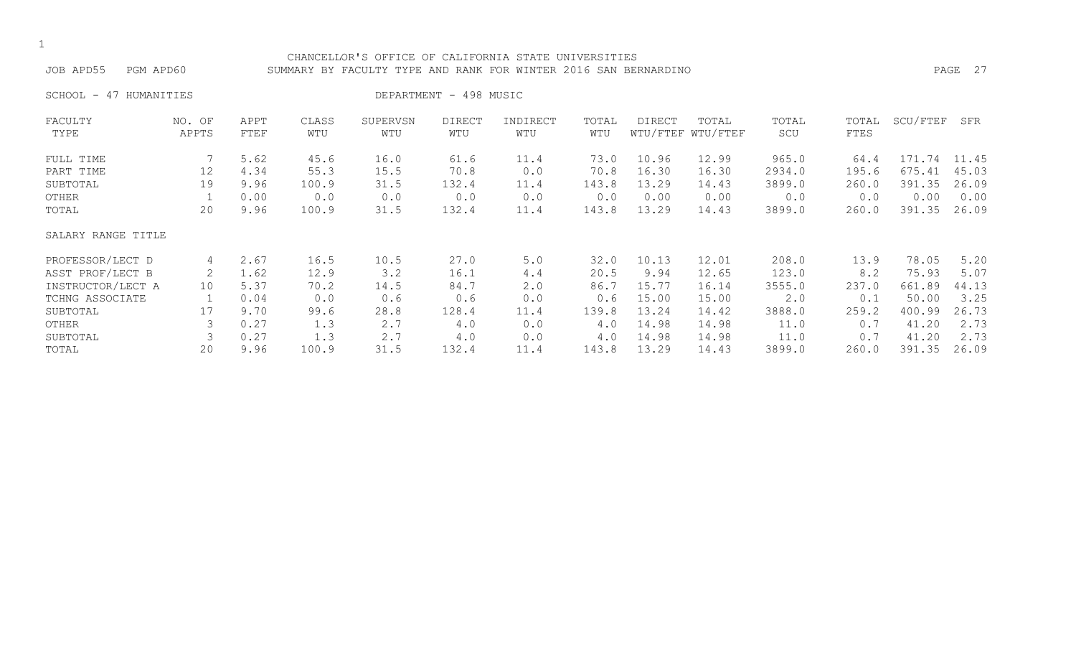#### CHANCELLOR'S OFFICE OF CALIFORNIA STATE UNIVERSITIES JOB APD55 PGM APD60 SUMMARY BY FACULTY TYPE AND RANK FOR WINTER 2016 SAN BERNARDINO PAGE 27

SCHOOL - 47 HUMANITIES DEPARTMENT - 498 MUSIC

| FACULTY            | NO. OF | APPT | CLASS | SUPERVSN | DIRECT | INDIRECT | TOTAL | DIRECT | TOTAL             | TOTAL  | TOTAL | SCU/FTEF | SFR   |
|--------------------|--------|------|-------|----------|--------|----------|-------|--------|-------------------|--------|-------|----------|-------|
| TYPE               | APPTS  | FTEF | WTU   | WTU      | WTU    | WTU      | WTU   |        | WTU/FTEF WTU/FTEF | SCU    | FTES  |          |       |
| FULL TIME          |        | 5.62 | 45.6  | 16.0     | 61.6   | 11.4     | 73.0  | 10.96  | 12.99             | 965.0  | 64.4  | 171.74   | 11.45 |
| PART TIME          | 12     | 4.34 | 55.3  | 15.5     | 70.8   | 0.0      | 70.8  | 16.30  | 16.30             | 2934.0 | 195.6 | 675.41   | 45.03 |
| SUBTOTAL           | 19     | 9.96 | 100.9 | 31.5     | 132.4  | 11.4     | 143.8 | 13.29  | 14.43             | 3899.0 | 260.0 | 391.35   | 26.09 |
| OTHER              |        | 0.00 | 0.0   | 0.0      | 0.0    | 0.0      | 0.0   | 0.00   | 0.00              | 0.0    | 0.0   | 0.00     | 0.00  |
| TOTAL              | 20     | 9.96 | 100.9 | 31.5     | 132.4  | 11.4     | 143.8 | 13.29  | 14.43             | 3899.0 | 260.0 | 391.35   | 26.09 |
| SALARY RANGE TITLE |        |      |       |          |        |          |       |        |                   |        |       |          |       |
| PROFESSOR/LECT D   | 4      | 2.67 | 16.5  | 10.5     | 27.0   | 5.0      | 32.0  | 10.13  | 12.01             | 208.0  | 13.9  | 78.05    | 5.20  |
| ASST PROF/LECT B   | 2      | 1.62 | 12.9  | 3.2      | 16.1   | 4.4      | 20.5  | 9.94   | 12.65             | 123.0  | 8.2   | 75.93    | 5.07  |
| INSTRUCTOR/LECT A  | 10     | 5.37 | 70.2  | 14.5     | 84.7   | 2.0      | 86.7  | 15.77  | 16.14             | 3555.0 | 237.0 | 661.89   | 44.13 |
| TCHNG ASSOCIATE    |        | 0.04 | 0.0   | 0.6      | 0.6    | 0.0      | 0.6   | 15.00  | 15.00             | 2.0    | 0.1   | 50.00    | 3.25  |
| SUBTOTAL           | 17     | 9.70 | 99.6  | 28.8     | 128.4  | 11.4     | 139.8 | 13.24  | 14.42             | 3888.0 | 259.2 | 400.99   | 26.73 |
| OTHER              |        | 0.27 | 1.3   | 2.7      | 4.0    | 0.0      | 4.0   | 14.98  | 14.98             | 11.0   | 0.7   | 41.20    | 2.73  |
| SUBTOTAL           |        | 0.27 | 1.3   | 2.7      | 4.0    | 0.0      | 4.0   | 14.98  | 14.98             | 11.0   | 0.7   | 41.20    | 2.73  |
| TOTAL              | 20     | 9.96 | 100.9 | 31.5     | 132.4  | 11.4     | 143.8 | 13.29  | 14.43             | 3899.0 | 260.0 | 391.35   | 26.09 |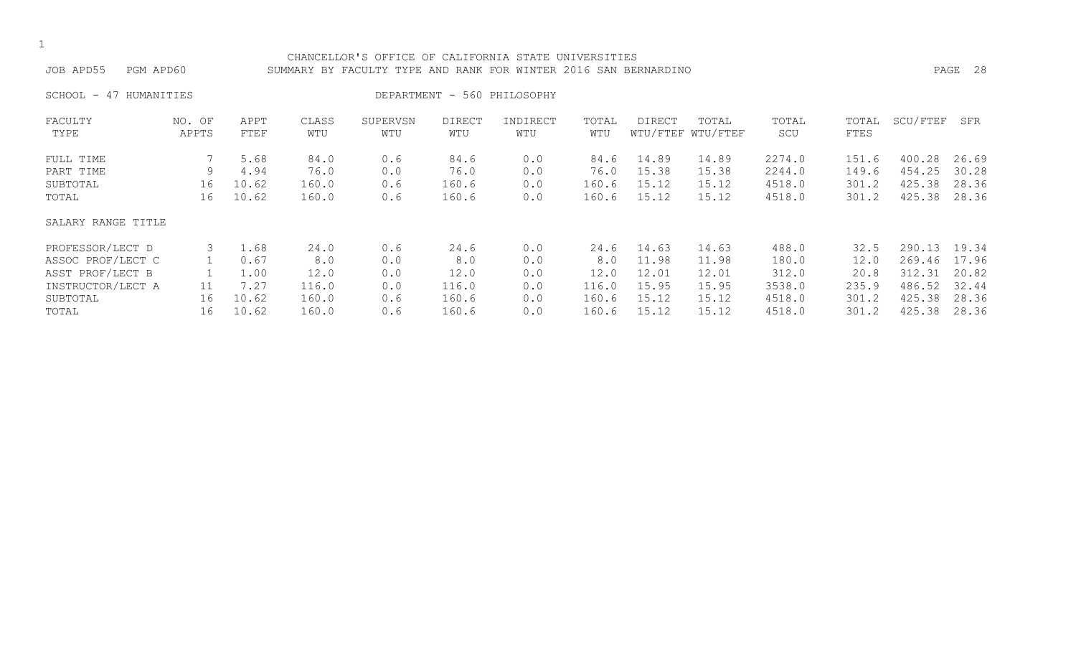| ۰.  |
|-----|
| . . |

#### CHANCELLOR'S OFFICE OF CALIFORNIA STATE UNIVERSITIES JOB APD55 PGM APD60 SUMMARY BY FACULTY TYPE AND RANK FOR WINTER 2016 SAN BERNARDINO PAGE 28

SCHOOL - 47 HUMANITIES DEPARTMENT - 560 PHILOSOPHY

| FACULTY            | NO. OF | APPT  | CLASS | SUPERVSN | <b>DIRECT</b> | INDIRECT | TOTAL | DIRECT | TOTAL             | TOTAL  | TOTAL | SCU/FTEF | SFR   |
|--------------------|--------|-------|-------|----------|---------------|----------|-------|--------|-------------------|--------|-------|----------|-------|
| TYPE               | APPTS  | FTEF  | WTU   | WTU      | WTU           | WTU      | WTU   |        | WTU/FTEF WTU/FTEF | SCU    | FTES  |          |       |
| FULL TIME          |        | 5.68  | 84.0  | 0.6      | 84.6          | 0.0      | 84.6  | 14.89  | 14.89             | 2274.0 | 151.6 | 400.28   | 26.69 |
| PART TIME          | 9      | 4.94  | 76.0  | 0.0      | 76.0          | 0.0      | 76.0  | 15.38  | 15.38             | 2244.0 | 149.6 | 454.25   | 30.28 |
| SUBTOTAL           | 16     | 10.62 | 160.0 | 0.6      | 160.6         | 0.0      | 160.6 | 15.12  | 15.12             | 4518.0 | 301.2 | 425.38   | 28.36 |
| TOTAL              | 16     | 10.62 | 160.0 | 0.6      | 160.6         | 0.0      | 160.6 | 15.12  | 15.12             | 4518.0 | 301.2 | 425.38   | 28.36 |
| SALARY RANGE TITLE |        |       |       |          |               |          |       |        |                   |        |       |          |       |
| PROFESSOR/LECT D   | 3      | 1.68  | 24.0  | 0.6      | 24.6          | 0.0      | 24.6  | 14.63  | 14.63             | 488.0  | 32.5  | 290.13   | 19.34 |
| ASSOC PROF/LECT C  |        | 0.67  | 8.0   | 0.0      | 8.0           | 0.0      | 8.0   | 11.98  | 11.98             | 180.0  | 12.0  | 269.46   | 17.96 |
| ASST PROF/LECT B   |        | 1.00  | 12.0  | 0.0      | 12.0          | 0.0      | 12.0  | 12.01  | 12.01             | 312.0  | 20.8  | 312.31   | 20.82 |
| INSTRUCTOR/LECT A  | 11     | 7.27  | 116.0 | 0.0      | 116.0         | 0.0      | 116.0 | 15.95  | 15.95             | 3538.0 | 235.9 | 486.52   | 32.44 |
| SUBTOTAL           | 16     | 10.62 | 160.0 | 0.6      | 160.6         | 0.0      | 160.6 | 15.12  | 15.12             | 4518.0 | 301.2 | 425.38   | 28.36 |
| TOTAL              | 16     | 10.62 | 160.0 | 0.6      | 160.6         | 0.0      | 160.6 | 15.12  | 15.12             | 4518.0 | 301.2 | 425.38   | 28.36 |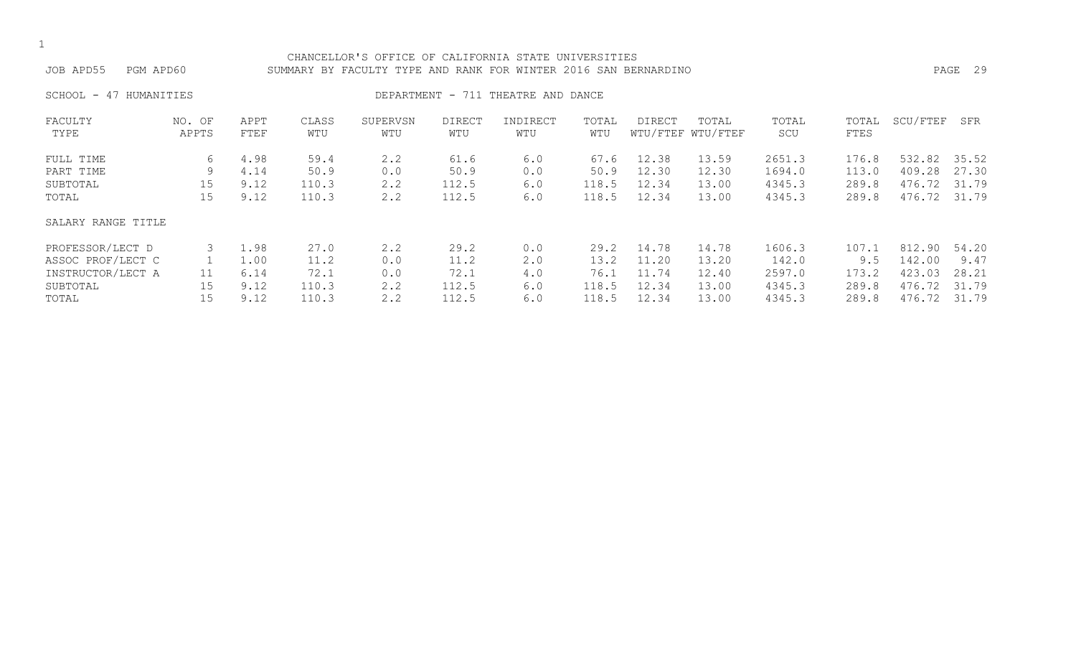| ۰.  |
|-----|
| . . |

#### CHANCELLOR'S OFFICE OF CALIFORNIA STATE UNIVERSITIES JOB APD55 PGM APD60 SUMMARY BY FACULTY TYPE AND RANK FOR WINTER 2016 SAN BERNARDINO PAGE 29

SCHOOL - 47 HUMANITIES **DEPARTMENT - 711 THEATRE AND DANCE** 

| FACULTY<br>TYPE    | NO. OF<br>APPTS | APPT<br>FTEF | CLASS<br>WTU | SUPERVSN<br>WTU | DIRECT<br>WTU | INDIRECT<br>WTU | TOTAL<br>WTU | DIRECT | TOTAL<br>WTU/FTEF WTU/FTEF | TOTAL<br>SCU | TOTAL<br>FTES | SCU/FTEF | SFR   |
|--------------------|-----------------|--------------|--------------|-----------------|---------------|-----------------|--------------|--------|----------------------------|--------------|---------------|----------|-------|
|                    |                 |              |              |                 |               |                 |              |        |                            |              |               |          |       |
| FULL TIME          | 6               | 4.98         | 59.4         | 2.2             | 61.6          | 6.0             | 67.6         | 12.38  | 13.59                      | 2651.3       | 176.8         | 532.82   | 35.52 |
| PART TIME          | 9               | 4.14         | 50.9         | 0.0             | 50.9          | 0.0             | 50.9         | 12.30  | 12.30                      | 1694.0       | 113.0         | 409.28   | 27.30 |
| SUBTOTAL           | 15              | 9.12         | 110.3        | 2.2             | 112.5         | 6.0             | 118.5        | 12.34  | 13.00                      | 4345.3       | 289.8         | 476.72   | 31.79 |
| TOTAL              | 15              | 9.12         | 110.3        | 2.2             | 112.5         | 6.0             | 118.5        | 12.34  | 13.00                      | 4345.3       | 289.8         | 476.72   | 31.79 |
| SALARY RANGE TITLE |                 |              |              |                 |               |                 |              |        |                            |              |               |          |       |
| PROFESSOR/LECT D   |                 | 1.98         | 27.0         | 2.2             | 29.2          | 0.0             | 29.2         | 14.78  | 14.78                      | 1606.3       | 107.1         | 812.90   | 54.20 |
| ASSOC PROF/LECT C  |                 | 1.00         | 11.2         | 0.0             | 11.2          | 2.0             | 13.2         | 11.20  | 13.20                      | 142.0        | 9.5           | 142.00   | 9.47  |
| INSTRUCTOR/LECT A  | 11              | 6.14         | 72.1         | 0.0             | 72.1          | 4.0             | 76.1         | 11.74  | 12.40                      | 2597.0       | 173.2         | 423.03   | 28.21 |
| SUBTOTAL           | 15              | 9.12         | 110.3        | 2.2             | 112.5         | 6.0             | 118.5        | 12.34  | 13.00                      | 4345.3       | 289.8         | 476.72   | 31.79 |
| TOTAL              | 15              | 9.12         | 110.3        | 2.2             | 112.5         | 6.0             | 118.5        | 12.34  | 13.00                      | 4345.3       | 289.8         | 476.72   | 31.79 |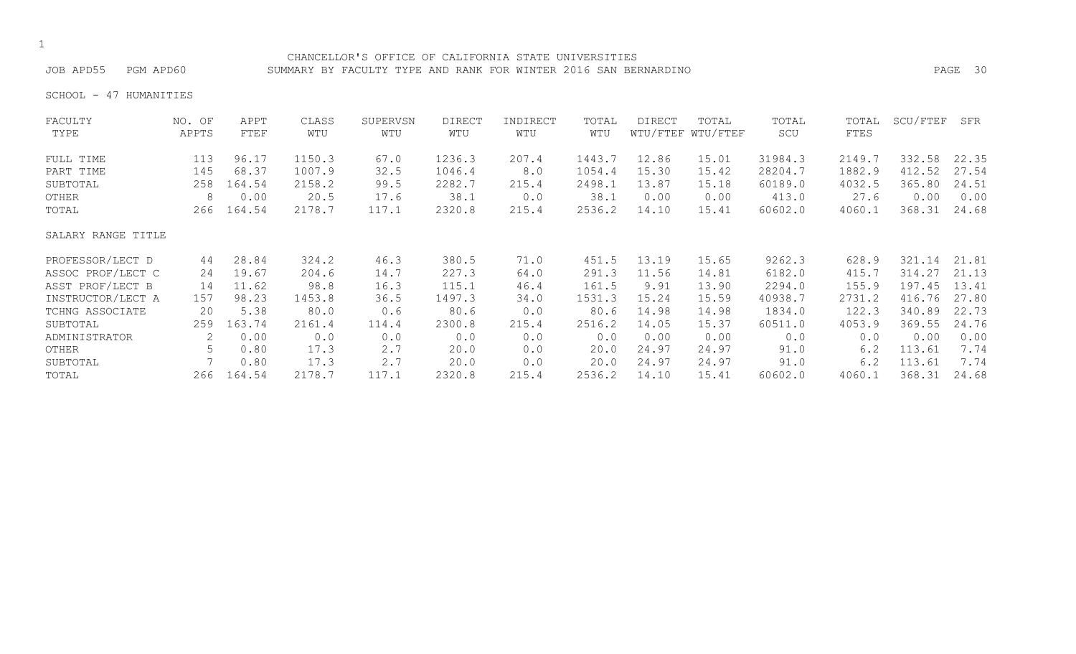CHANCELLOR'S OFFICE OF CALIFORNIA STATE UNIVERSITIES JOB APD55 PGM APD60 SUMMARY BY FACULTY TYPE AND RANK FOR WINTER 2016 SAN BERNARDINO PAGE 30

SCHOOL - 47 HUMANITIES

| FACULTY            | NO. OF | APPT   | CLASS  | SUPERVSN | <b>DIRECT</b> | INDIRECT | TOTAL  | <b>DIRECT</b> | TOTAL             | TOTAL   | TOTAL  | SCU/FTEF | SFR   |
|--------------------|--------|--------|--------|----------|---------------|----------|--------|---------------|-------------------|---------|--------|----------|-------|
| TYPE               | APPTS  | FTEF   | WTU    | WTU      | WTU           | WTU      | WTU    |               | WTU/FTEF WTU/FTEF | SCU     | FTES   |          |       |
| FULL TIME          | 113    | 96.17  | 1150.3 | 67.0     | 1236.3        | 207.4    | 1443.7 | 12.86         | 15.01             | 31984.3 | 2149.7 | 332.58   | 22.35 |
| PART TIME          | 145    | 68.37  | 1007.9 | 32.5     | 1046.4        | 8.0      | 1054.4 | 15.30         | 15.42             | 28204.7 | 1882.9 | 412.52   | 27.54 |
| SUBTOTAL           | 258    | 164.54 | 2158.2 | 99.5     | 2282.7        | 215.4    | 2498.1 | 13.87         | 15.18             | 60189.0 | 4032.5 | 365.80   | 24.51 |
| OTHER              | 8      | 0.00   | 20.5   | 17.6     | 38.1          | 0.0      | 38.1   | 0.00          | 0.00              | 413.0   | 27.6   | 0.00     | 0.00  |
| TOTAL              | 266    | 164.54 | 2178.7 | 117.1    | 2320.8        | 215.4    | 2536.2 | 14.10         | 15.41             | 60602.0 | 4060.1 | 368.31   | 24.68 |
| SALARY RANGE TITLE |        |        |        |          |               |          |        |               |                   |         |        |          |       |
| PROFESSOR/LECT D   | 44     | 28.84  | 324.2  | 46.3     | 380.5         | 71.0     | 451.5  | 13.19         | 15.65             | 9262.3  | 628.9  | 321.14   | 21.81 |
| ASSOC PROF/LECT C  | 24     | 19.67  | 204.6  | 14.7     | 227.3         | 64.0     | 291.3  | 11.56         | 14.81             | 6182.0  | 415.7  | 314.27   | 21.13 |
| ASST PROF/LECT B   | 14     | 11.62  | 98.8   | 16.3     | 115.1         | 46.4     | 161.5  | 9.91          | 13.90             | 2294.0  | 155.9  | 197.45   | 13.41 |
| INSTRUCTOR/LECT A  | 157    | 98.23  | 1453.8 | 36.5     | 1497.3        | 34.0     | 1531.3 | 15.24         | 15.59             | 40938.7 | 2731.2 | 416.76   | 27.80 |
| TCHNG ASSOCIATE    | 20     | 5.38   | 80.0   | 0.6      | 80.6          | 0.0      | 80.6   | 14.98         | 14.98             | 1834.0  | 122.3  | 340.89   | 22.73 |
| SUBTOTAL           | 259    | 163.74 | 2161.4 | 114.4    | 2300.8        | 215.4    | 2516.2 | 14.05         | 15.37             | 60511.0 | 4053.9 | 369.55   | 24.76 |
| ADMINISTRATOR      | 2      | 0.00   | 0.0    | 0.0      | 0.0           | 0.0      | 0.0    | 0.00          | 0.00              | 0.0     | 0.0    | 0.00     | 0.00  |
| OTHER              | 5      | 0.80   | 17.3   | 2.7      | 20.0          | 0.0      | 20.0   | 24.97         | 24.97             | 91.0    | 6.2    | 113.61   | 7.74  |
| SUBTOTAL           |        | 0.80   | 17.3   | 2.7      | 20.0          | 0.0      | 20.0   | 24.97         | 24.97             | 91.0    | 6.2    | 113.61   | 7.74  |
| TOTAL              | 266    | 164.54 | 2178.7 | 117.1    | 2320.8        | 215.4    | 2536.2 | 14.10         | 15.41             | 60602.0 | 4060.1 | 368.31   | 24.68 |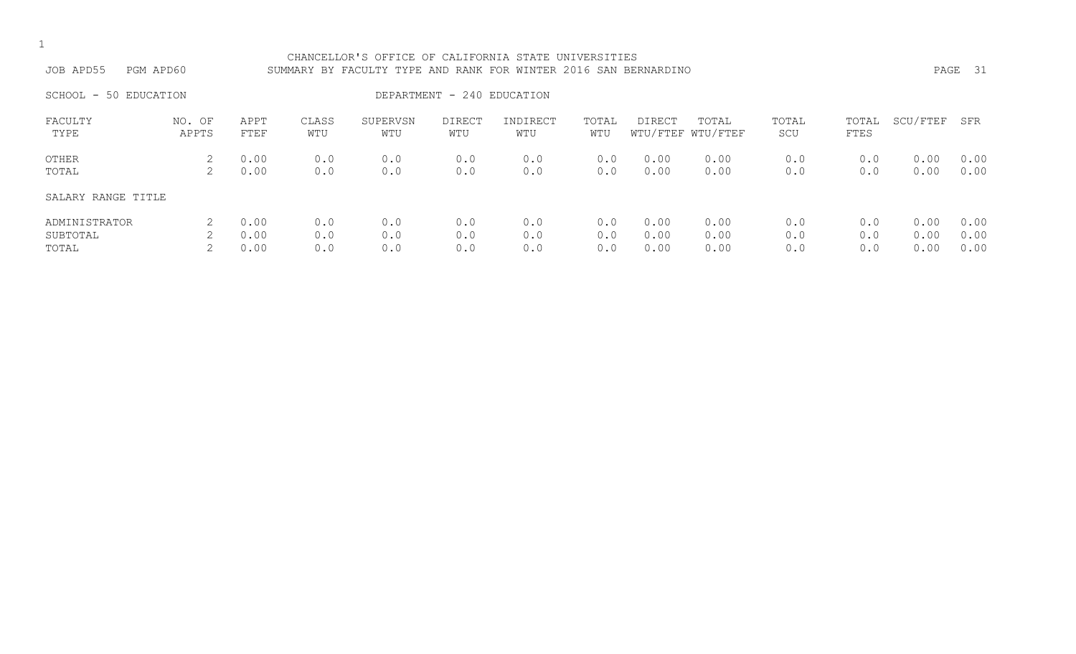| JOB APD55                          | CHANCELLOR'S OFFICE OF CALIFORNIA STATE UNIVERSITIES<br>PGM APD60<br>SUMMARY BY FACULTY TYPE AND RANK FOR WINTER 2016 SAN BERNARDINO<br>DEPARTMENT - 240 EDUCATION<br>SCHOOL - 50 EDUCATION |                      |                   |                   |                      |                   |                   |                      |                            |                   |                   |                      |                      |
|------------------------------------|---------------------------------------------------------------------------------------------------------------------------------------------------------------------------------------------|----------------------|-------------------|-------------------|----------------------|-------------------|-------------------|----------------------|----------------------------|-------------------|-------------------|----------------------|----------------------|
|                                    |                                                                                                                                                                                             |                      |                   |                   |                      |                   |                   |                      |                            |                   |                   |                      |                      |
| FACULTY<br>TYPE                    | NO. OF<br>APPTS                                                                                                                                                                             | APPT<br>FTEF         | CLASS<br>WTU      | SUPERVSN<br>WTU   | <b>DIRECT</b><br>WTU | INDIRECT<br>WTU   | TOTAL<br>WTU      | DIRECT               | TOTAL<br>WTU/FTEF WTU/FTEF | TOTAL<br>SCU      | TOTAL<br>FTES     | SCU/FTEF             | SFR                  |
| OTHER<br>TOTAL                     | 2                                                                                                                                                                                           | 0.00<br>0.00         | 0.0<br>0.0        | 0.0<br>0.0        | 0.0<br>0.0           | 0.0<br>0.0        | 0.0<br>0.0        | 0.00<br>0.00         | 0.00<br>0.00               | 0.0<br>0.0        | 0.0<br>0.0        | 0.00<br>0.00         | 0.00<br>0.00         |
| SALARY RANGE TITLE                 |                                                                                                                                                                                             |                      |                   |                   |                      |                   |                   |                      |                            |                   |                   |                      |                      |
| ADMINISTRATOR<br>SUBTOTAL<br>TOTAL |                                                                                                                                                                                             | 0.00<br>0.00<br>0.00 | 0.0<br>0.0<br>0.0 | 0.0<br>0.0<br>0.0 | 0.0<br>0.0<br>0.0    | 0.0<br>0.0<br>0.0 | 0.0<br>0.0<br>0.0 | 0.00<br>0.00<br>0.00 | 0.00<br>0.00<br>0.00       | 0.0<br>0.0<br>0.0 | 0.0<br>0.0<br>0.0 | 0.00<br>0.00<br>0.00 | 0.00<br>0.00<br>0.00 |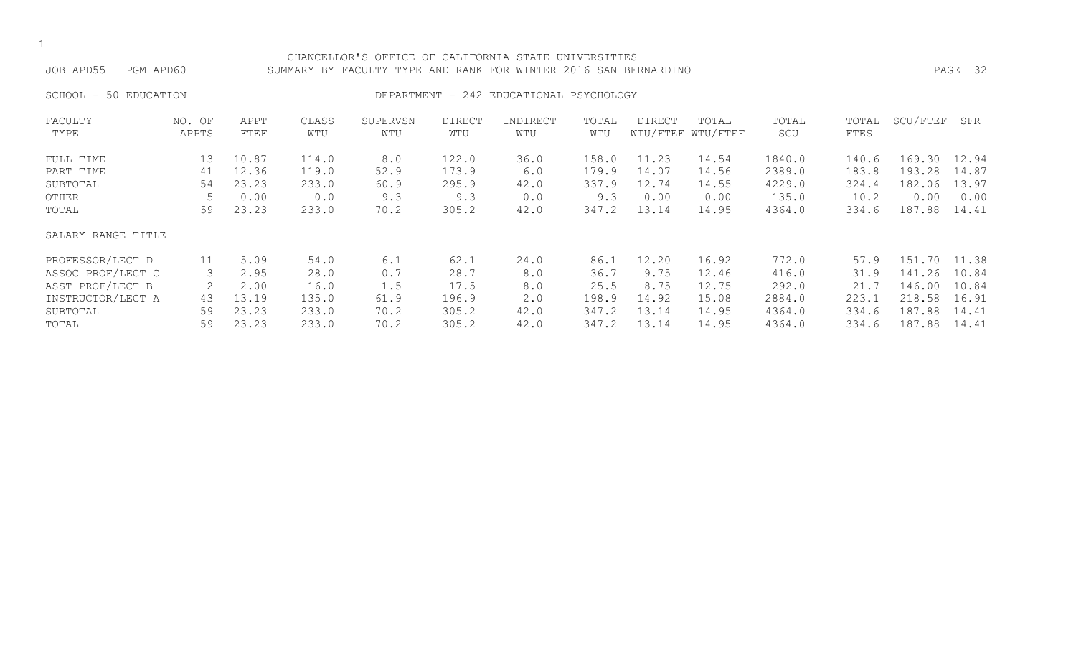#### CHANCELLOR'S OFFICE OF CALIFORNIA STATE UNIVERSITIES JOB APD55 PGM APD60 SUMMARY BY FACULTY TYPE AND RANK FOR WINTER 2016 SAN BERNARDINO PAGE 32

### SCHOOL - 50 EDUCATION **DEPARTMENT - 242 EDUCATIONAL PSYCHOLOGY**

| FACULTY            | NO. OF | APPT  | CLASS | SUPERVSN | <b>DIRECT</b> | INDIRECT | TOTAL | <b>DIRECT</b> | TOTAL             | TOTAL  | TOTAL | SCU/FTEF | SFR   |
|--------------------|--------|-------|-------|----------|---------------|----------|-------|---------------|-------------------|--------|-------|----------|-------|
| TYPE               | APPTS  | FTEF  | WTU   | WTU      | WTU           | WTU      | WTU   |               | WTU/FTEF WTU/FTEF | SCU    | FTES  |          |       |
| FULL TIME          | 13     | 10.87 | 114.0 | 8.0      | 122.0         | 36.0     | 158.0 | 11.23         | 14.54             | 1840.0 | 140.6 | 169.30   | 12.94 |
| PART TIME          | 41     | 12.36 | 119.0 | 52.9     | 173.9         | 6.0      | 179.9 | 14.07         | 14.56             | 2389.0 | 183.8 | 193.28   | 14.87 |
| SUBTOTAL           | 54     | 23.23 | 233.0 | 60.9     | 295.9         | 42.0     | 337.9 | 12.74         | 14.55             | 4229.0 | 324.4 | 182.06   | 13.97 |
| OTHER              |        | 0.00  | 0.0   | 9.3      | 9.3           | 0.0      | 9.3   | 0.00          | 0.00              | 135.0  | 10.2  | 0.00     | 0.00  |
| TOTAL              | 59     | 23.23 | 233.0 | 70.2     | 305.2         | 42.0     | 347.2 | 13.14         | 14.95             | 4364.0 | 334.6 | 187.88   | 14.41 |
| SALARY RANGE TITLE |        |       |       |          |               |          |       |               |                   |        |       |          |       |
| PROFESSOR/LECT D   | 11     | 5.09  | 54.0  | 6.1      | 62.1          | 24.0     | 86.1  | 12.20         | 16.92             | 772.0  | 57.9  | 151.70   | 11.38 |
| ASSOC PROF/LECT C  | 3      | 2.95  | 28.0  | 0.7      | 28.7          | 8.0      | 36.7  | 9.75          | 12.46             | 416.0  | 31.9  | 141.26   | 10.84 |
| ASST PROF/LECT B   |        | 2.00  | 16.0  | 1.5      | 17.5          | 8.0      | 25.5  | 8.75          | 12.75             | 292.0  | 21.7  | 146.00   | 10.84 |
| INSTRUCTOR/LECT A  | 43     | 13.19 | 135.0 | 61.9     | 196.9         | 2.0      | 198.9 | 14.92         | 15.08             | 2884.0 | 223.1 | 218.58   | 16.91 |
| SUBTOTAL           | 59     | 23.23 | 233.0 | 70.2     | 305.2         | 42.0     | 347.2 | 13.14         | 14.95             | 4364.0 | 334.6 | 187.88   | 14.41 |
| TOTAL              | 59     | 23.23 | 233.0 | 70.2     | 305.2         | 42.0     | 347.2 | 13.14         | 14.95             | 4364.0 | 334.6 | 187.88   | 14.41 |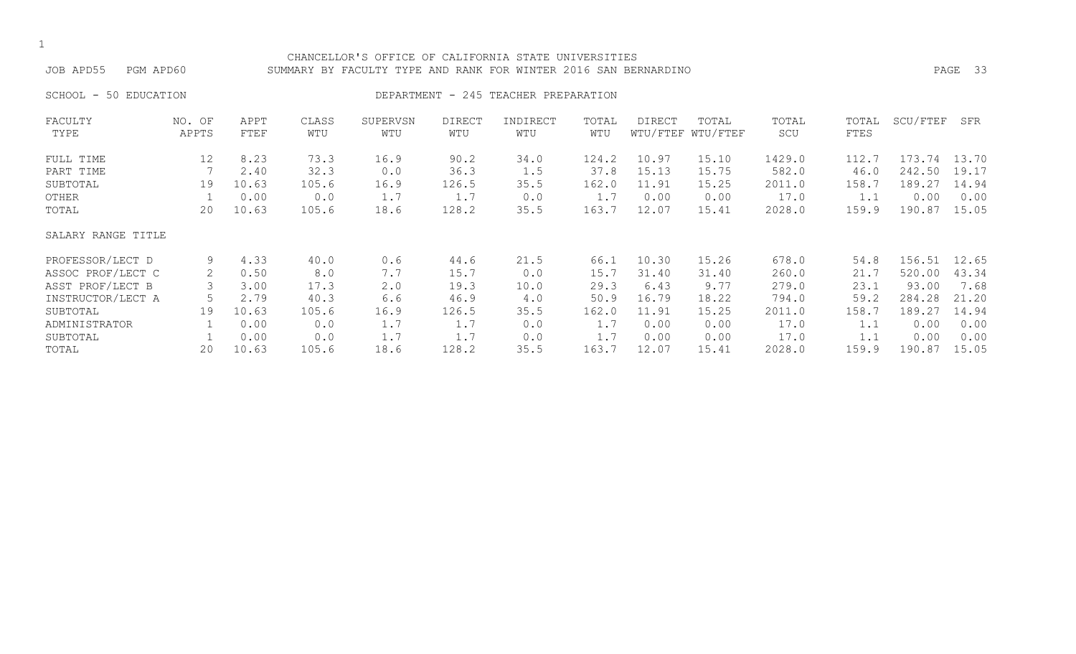#### CHANCELLOR'S OFFICE OF CALIFORNIA STATE UNIVERSITIES JOB APD55 PGM APD60 SUMMARY BY FACULTY TYPE AND RANK FOR WINTER 2016 SAN BERNARDINO PAGE 33

SCHOOL - 50 EDUCATION **DEPARTMENT - 245 TEACHER PREPARATION** 

| FACULTY            | NO. OF | APPT  | CLASS | SUPERVSN | DIRECT | INDIRECT | TOTAL | DIRECT | TOTAL             | TOTAL  | TOTAL | SCU/FTEF | SFR   |
|--------------------|--------|-------|-------|----------|--------|----------|-------|--------|-------------------|--------|-------|----------|-------|
| TYPE               | APPTS  | FTEF  | WTU   | WTU      | WTU    | WTU      | WTU   |        | WTU/FTEF WTU/FTEF | SCU    | FTES  |          |       |
| FULL TIME          | 12     | 8.23  | 73.3  | 16.9     | 90.2   | 34.0     | 124.2 | 10.97  | 15.10             | 1429.0 | 112.7 | 173.74   | 13.70 |
| PART TIME          |        | 2.40  | 32.3  | 0.0      | 36.3   | 1.5      | 37.8  | 15.13  | 15.75             | 582.0  | 46.0  | 242.50   | 19.17 |
| SUBTOTAL           | 19     | 10.63 | 105.6 | 16.9     | 126.5  | 35.5     | 162.0 | 11.91  | 15.25             | 2011.0 | 158.7 | 189.27   | 14.94 |
| OTHER              |        | 0.00  | 0.0   | 1.7      | 1.7    | 0.0      | 1.7   | 0.00   | 0.00              | 17.0   | 1.1   | 0.00     | 0.00  |
| TOTAL              | 20     | 10.63 | 105.6 | 18.6     | 128.2  | 35.5     | 163.7 | 12.07  | 15.41             | 2028.0 | 159.9 | 190.87   | 15.05 |
| SALARY RANGE TITLE |        |       |       |          |        |          |       |        |                   |        |       |          |       |
| PROFESSOR/LECT D   | 9      | 4.33  | 40.0  | 0.6      | 44.6   | 21.5     | 66.1  | 10.30  | 15.26             | 678.0  | 54.8  | 156.51   | 12.65 |
| ASSOC PROF/LECT C  | 2      | 0.50  | 8.0   | 7.7      | 15.7   | 0.0      | 15.7  | 31.40  | 31.40             | 260.0  | 21.7  | 520.00   | 43.34 |
| ASST PROF/LECT B   |        | 3.00  | 17.3  | 2.0      | 19.3   | 10.0     | 29.3  | 6.43   | 9.77              | 279.0  | 23.1  | 93.00    | 7.68  |
| INSTRUCTOR/LECT A  |        | 2.79  | 40.3  | 6.6      | 46.9   | 4.0      | 50.9  | 16.79  | 18.22             | 794.0  | 59.2  | 284.28   | 21.20 |
| SUBTOTAL           | 19     | 10.63 | 105.6 | 16.9     | 126.5  | 35.5     | 162.0 | 11.91  | 15.25             | 2011.0 | 158.7 | 189.27   | 14.94 |
| ADMINISTRATOR      |        | 0.00  | 0.0   | 1.7      | 1.7    | 0.0      | 1.7   | 0.00   | 0.00              | 17.0   | 1.1   | 0.00     | 0.00  |
| SUBTOTAL           |        | 0.00  | 0.0   | 1.7      | 1.7    | 0.0      | 1.7   | 0.00   | 0.00              | 17.0   | 1.1   | 0.00     | 0.00  |
| TOTAL              | 20     | 10.63 | 105.6 | 18.6     | 128.2  | 35.5     | 163.7 | 12.07  | 15.41             | 2028.0 | 159.9 | 190.87   | 15.05 |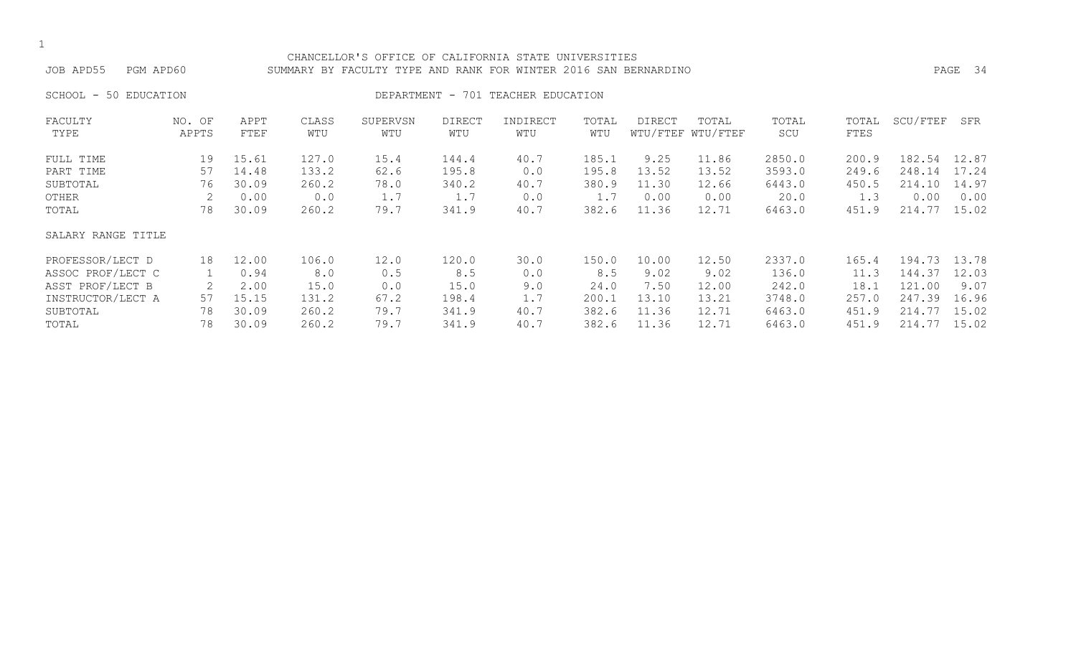#### CHANCELLOR'S OFFICE OF CALIFORNIA STATE UNIVERSITIES JOB APD55 PGM APD60 SUMMARY BY FACULTY TYPE AND RANK FOR WINTER 2016 SAN BERNARDINO PAGE 34

SCHOOL - 50 EDUCATION **DEPARTMENT - 701 TEACHER EDUCATION** 

| FACULTY            | NO. OF | APPT  | CLASS | SUPERVSN | <b>DIRECT</b> | INDIRECT | TOTAL | <b>DIRECT</b> | TOTAL             | TOTAL  | TOTAL | SCU/FTEF    | SFR   |
|--------------------|--------|-------|-------|----------|---------------|----------|-------|---------------|-------------------|--------|-------|-------------|-------|
| TYPE               | APPTS  | FTEF  | WTU   | WTU      | WTU           | WTU      | WTU   |               | WTU/FTEF WTU/FTEF | SCU    | FTES  |             |       |
| FULL TIME          | 19     | 15.61 | 127.0 | 15.4     | 144.4         | 40.7     | 185.1 | 9.25          | 11.86             | 2850.0 | 200.9 | 182.54      | 12.87 |
| PART TIME          | 57     | 14.48 | 133.2 | 62.6     | 195.8         | 0.0      | 195.8 | 13.52         | 13.52             | 3593.0 | 249.6 | 248.14      | 17.24 |
| SUBTOTAL           | 76     | 30.09 | 260.2 | 78.0     | 340.2         | 40.7     | 380.9 | 11.30         | 12.66             | 6443.0 | 450.5 | 214.10      | 14.97 |
| OTHER              |        | 0.00  | 0.0   | 1.7      | 1.7           | 0.0      | 1.7   | 0.00          | 0.00              | 20.0   | 1.3   | 0.00        | 0.00  |
| TOTAL              | 78     | 30.09 | 260.2 | 79.7     | 341.9         | 40.7     | 382.6 | 11.36         | 12.71             | 6463.0 | 451.9 | 214.77      | 15.02 |
| SALARY RANGE TITLE |        |       |       |          |               |          |       |               |                   |        |       |             |       |
| PROFESSOR/LECT D   | 18     | 12.00 | 106.0 | 12.0     | 120.0         | 30.0     | 150.0 | 10.00         | 12.50             | 2337.0 | 165.4 | 194.73      | 13.78 |
| ASSOC PROF/LECT C  |        | 0.94  | 8.0   | 0.5      | 8.5           | 0.0      | 8.5   | 9.02          | 9.02              | 136.0  | 11.3  | 144.37      | 12.03 |
| ASST PROF/LECT B   |        | 2.00  | 15.0  | 0.0      | 15.0          | 9.0      | 24.0  | 7.50          | 12.00             | 242.0  | 18.1  | 121<br>.00. | 9.07  |
| INSTRUCTOR/LECT A  | 57     | 15.15 | 131.2 | 67.2     | 198.4         | 1.7      | 200.1 | 13.10         | 13.21             | 3748.0 | 257.0 | 247.39      | 16.96 |
| SUBTOTAL           | 78     | 30.09 | 260.2 | 79.7     | 341.9         | 40.7     | 382.6 | 11.36         | 12.71             | 6463.0 | 451.9 | 214.77      | 15.02 |
| TOTAL              | 78     | 30.09 | 260.2 | 79.7     | 341.9         | 40.7     | 382.6 | 11.36         | 12.71             | 6463.0 | 451.9 | 214.77      | 15.02 |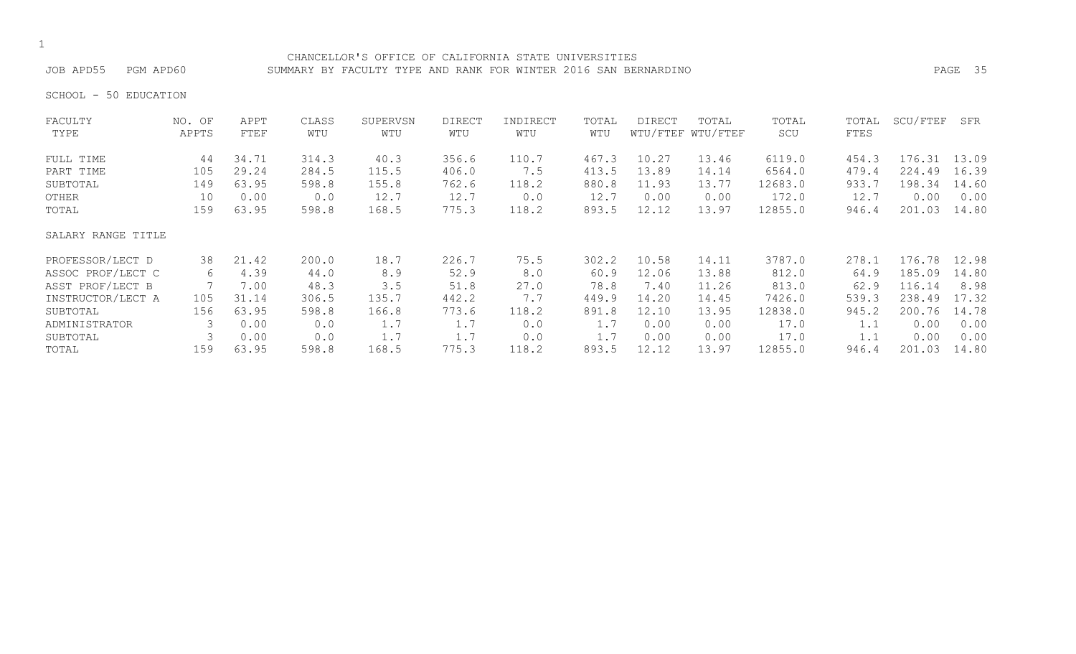CHANCELLOR'S OFFICE OF CALIFORNIA STATE UNIVERSITIES JOB APD55 PGM APD60 SUMMARY BY FACULTY TYPE AND RANK FOR WINTER 2016 SAN BERNARDINO PAGE 35

SCHOOL - 50 EDUCATION

| FACULTY            | NO. OF | APPT  | CLASS | SUPERVSN | <b>DIRECT</b> | INDIRECT | TOTAL | <b>DIRECT</b> | TOTAL             | TOTAL   | TOTAL | SCU/FTEF | SFR   |
|--------------------|--------|-------|-------|----------|---------------|----------|-------|---------------|-------------------|---------|-------|----------|-------|
| TYPE               | APPTS  | FTEF  | WTU   | WTU      | WTU           | WTU      | WTU   |               | WTU/FTEF WTU/FTEF | SCU     | FTES  |          |       |
| FULL TIME          | 44     | 34.71 | 314.3 | 40.3     | 356.6         | 110.7    | 467.3 | 10.27         | 13.46             | 6119.0  | 454.3 | 176.31   | 13.09 |
| PART TIME          | 105    | 29.24 | 284.5 | 115.5    | 406.0         | 7.5      | 413.5 | 13.89         | 14.14             | 6564.0  | 479.4 | 224.49   | 16.39 |
| SUBTOTAL           | 149    | 63.95 | 598.8 | 155.8    | 762.6         | 118.2    | 880.8 | 11.93         | 13.77             | 12683.0 | 933.7 | 198.34   | 14.60 |
| OTHER              | 10     | 0.00  | 0.0   | 12.7     | 12.7          | 0.0      | 12.7  | 0.00          | 0.00              | 172.0   | 12.7  | 0.00     | 0.00  |
| TOTAL              | 159    | 63.95 | 598.8 | 168.5    | 775.3         | 118.2    | 893.5 | 12.12         | 13.97             | 12855.0 | 946.4 | 201.03   | 14.80 |
| SALARY RANGE TITLE |        |       |       |          |               |          |       |               |                   |         |       |          |       |
| PROFESSOR/LECT D   | 38     | 21.42 | 200.0 | 18.7     | 226.7         | 75.5     | 302.2 | 10.58         | 14.11             | 3787.0  | 278.1 | 176.78   | 12.98 |
| ASSOC PROF/LECT C  | 6      | 4.39  | 44.0  | 8.9      | 52.9          | 8.0      | 60.9  | 12.06         | 13.88             | 812.0   | 64.9  | 185.09   | 14.80 |
| ASST PROF/LECT B   |        | 7.00  | 48.3  | 3.5      | 51.8          | 27.0     | 78.8  | 7.40          | 11.26             | 813.0   | 62.9  | 116.14   | 8.98  |
| INSTRUCTOR/LECT A  | 105    | 31.14 | 306.5 | 135.7    | 442.2         | 7.7      | 449.9 | 14.20         | 14.45             | 7426.0  | 539.3 | 238.49   | 17.32 |
| SUBTOTAL           | 156    | 63.95 | 598.8 | 166.8    | 773.6         | 118.2    | 891.8 | 12.10         | 13.95             | 12838.0 | 945.2 | 200.76   | 14.78 |
| ADMINISTRATOR      |        | 0.00  | 0.0   | 1.7      | 1.7           | 0.0      | 1.7   | 0.00          | 0.00              | 17.0    | 1.1   | 0.00     | 0.00  |
| SUBTOTAL           |        | 0.00  | 0.0   | 1.7      | 1.7           | 0.0      | 1.7   | 0.00          | 0.00              | 17.0    | 1.1   | 0.00     | 0.00  |
| TOTAL              | 159    | 63.95 | 598.8 | 168.5    | 775.3         | 118.2    | 893.5 | 12.12         | 13.97             | 12855.0 | 946.4 | 201.03   | 14.80 |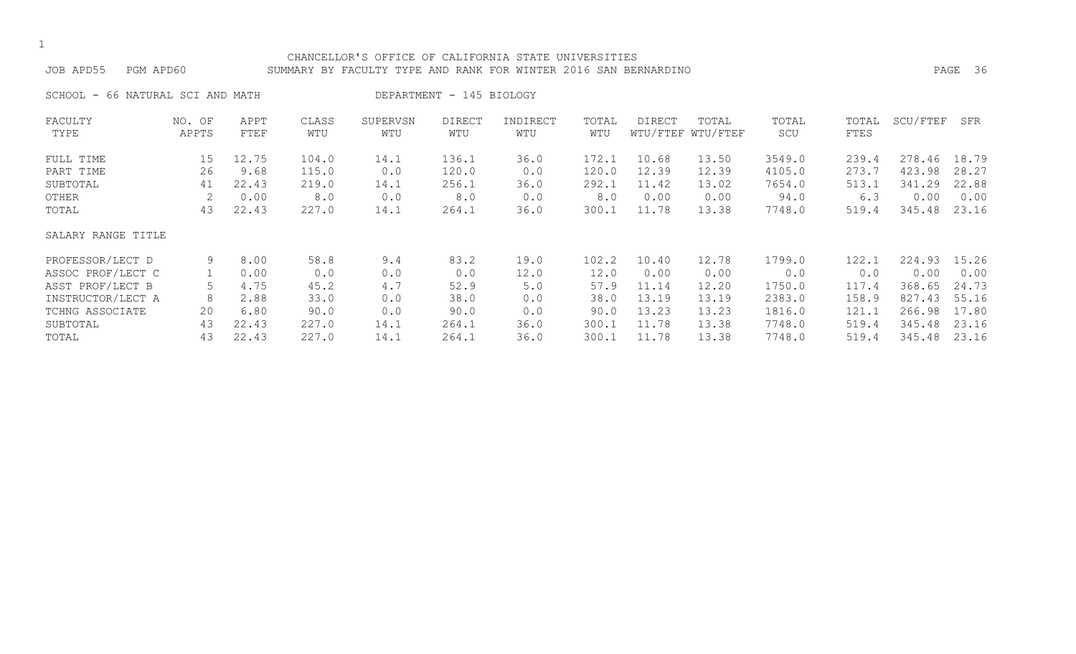#### CHANCELLOR'S OFFICE OF CALIFORNIA STATE UNIVERSITIES JOB APD55 PGM APD60 SUMMARY BY FACULTY TYPE AND RANK FOR WINTER 2016 SAN BERNARDINO PAGE 36

SCHOOL - 66 NATURAL SCI AND MATH DEPARTMENT - 145 BIOLOGY

| FACULTY<br>TYPE    | NO. OF<br>APPTS | APPT<br>FTEF | CLASS<br>WTU | SUPERVSN<br>WTU | <b>DIRECT</b><br>WTU | INDIRECT<br>WTU | TOTAL<br>WTU | DIRECT | TOTAL<br>WTU/FTEF WTU/FTEF | TOTAL<br>SCU | TOTAL<br>FTES | SCU/FTEF | SFR   |
|--------------------|-----------------|--------------|--------------|-----------------|----------------------|-----------------|--------------|--------|----------------------------|--------------|---------------|----------|-------|
| FULL TIME          | 15 <sub>1</sub> | 12.75        | 104.0        | 14.1            | 136.1                | 36.0            | 172.1        | 10.68  | 13.50                      | 3549.0       | 239.4         | 278.46   | 18.79 |
| PART TIME          | 26              | 9.68         | 115.0        | 0.0             | 120.0                | 0.0             | 120.0        | 12.39  | 12.39                      | 4105.0       | 273.7         | 423.98   | 28.27 |
| SUBTOTAL           | 41              | 22.43        | 219.0        | 14.1            | 256.1                | 36.0            | 292.1        | 11.42  | 13.02                      | 7654.0       | 513.1         | 341.29   | 22.88 |
| OTHER              |                 | 0.00         | 8.0          | 0.0             | 8.0                  | 0.0             | 8.0          | 0.00   | 0.00                       | 94.0         | 6.3           | 0.00     | 0.00  |
| TOTAL              | 43              | 22.43        | 227.0        | 14.1            | 264.1                | 36.0            | 300.1        | 11.78  | 13.38                      | 7748.0       | 519.4         | 345.48   | 23.16 |
| SALARY RANGE TITLE |                 |              |              |                 |                      |                 |              |        |                            |              |               |          |       |
| PROFESSOR/LECT D   | 9               | 8.00         | 58.8         | 9.4             | 83.2                 | 19.0            | 102.2        | 10.40  | 12.78                      | 1799.0       | 122.1         | 224.93   | 15.26 |
| ASSOC PROF/LECT C  |                 | 0.00         | 0.0          | 0.0             | 0.0                  | 12.0            | 12.0         | 0.00   | 0.00                       | 0.0          | 0.0           | 0.00     | 0.00  |
| ASST PROF/LECT B   |                 | 4.75         | 45.2         | 4.7             | 52.9                 | 5.0             | 57.9         | 11.14  | 12.20                      | 1750.0       | 117.4         | 368.65   | 24.73 |
| INSTRUCTOR/LECT A  | 8               | 2.88         | 33.0         | 0.0             | 38.0                 | 0.0             | 38.0         | 13.19  | 13.19                      | 2383.0       | 158.9         | 827.43   | 55.16 |
| TCHNG ASSOCIATE    | 20              | 6.80         | 90.0         | 0.0             | 90.0                 | 0.0             | 90.0         | 13.23  | 13.23                      | 1816.0       | 121.1         | 266.98   | 17.80 |
| SUBTOTAL           | 43              | 22.43        | 227.0        | 14.1            | 264.1                | 36.0            | 300.1        | 11.78  | 13.38                      | 7748.0       | 519.4         | 345.48   | 23.16 |
| TOTAL              | 43              | 22.43        | 227.0        | 14.1            | 264.1                | 36.0            | 300.1        | 11.78  | 13.38                      | 7748.0       | 519.4         | 345.48   | 23.16 |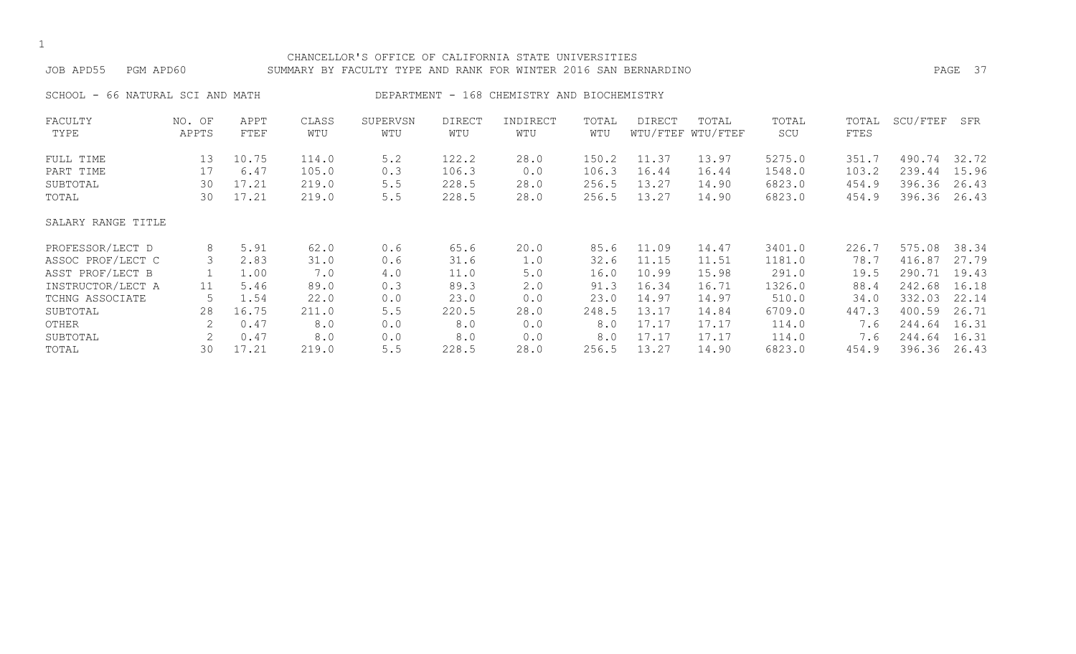# CHANCELLOR'S OFFICE OF CALIFORNIA STATE UNIVERSITIES JOB APD55 PGM APD60 SUMMARY BY FACULTY TYPE AND RANK FOR WINTER 2016 SAN BERNARDINO PAGE 37 SCHOOL - 66 NATURAL SCI AND MATH DEPARTMENT - 168 CHEMISTRY AND BIOCHEMISTRY FACULTY NO. OF APPT CLASS SUPERVSN DIRECT INDIRECT TOTAL DIRECT TOTAL TOTAL TOTAL SCU/FTEF SFR TYPE APPTS FTEF WTU WTU WTU WTU WTU WTU/FTEF WTU/FTEF SCU FTES FULL TIME 13 10.75 114.0 5.2 122.2 28.0 150.2 11.37 13.97 5275.0 351.7 490.74 32.72 PART TIME 17 6.47 105.0 0.3 106.3 0.0 106.3 16.44 16.44 1548.0 103.2 239.44 15.96 SUBTOTAL 30 17.21 219.0 5.5 228.5 28.0 256.5 13.27 14.90 6823.0 454.9 396.36 26.43 TOTAL 30 17.21 219.0 5.5 228.5 28.0 256.5 13.27 14.90 6823.0 454.9 396.36 26.43 SALARY RANGE TITLE PROFESSOR/LECT D 8 5.91 62.0 0.6 65.6 20.0 85.6 11.09 14.47 3401.0 226.7 575.08 38.34 ASSOC PROF/LECT C 3 2.83 31.0 0.6 31.6 1.0 32.6 11.15 11.51 1181.0 78.7 416.87 27.79 ASST PROF/LECT B 1 1.00 7.0 4.0 11.0 5.0 16.0 10.99 15.98 291.0 19.5 290.71 19.43 INSTRUCTOR/LECT A 11 5.46 89.0 0.3 89.3 2.0 91.3 16.34 16.71 1326.0 88.4 242.68 16.18 TCHNG ASSOCIATE 5 1.54 22.0 0.0 23.0 0.0 23.0 14.97 14.97 510.0 34.0 332.03 22.14

SUBTOTAL 28 16.75 211.0 5.5 220.5 28.0 248.5 13.17 14.84 6709.0 447.3 400.59 26.71 OTHER 2 0.47 8.0 0.0 8.0 0.0 8.0 17.17 17.17 114.0 7.6 244.64 16.31 SUBTOTAL 2 0.47 8.0 0.0 8.0 0.0 8.0 17.17 17.17 114.0 7.6 244.64 16.31 TOTAL 30 17.21 219.0 5.5 228.5 28.0 256.5 13.27 14.90 6823.0 454.9 396.36 26.43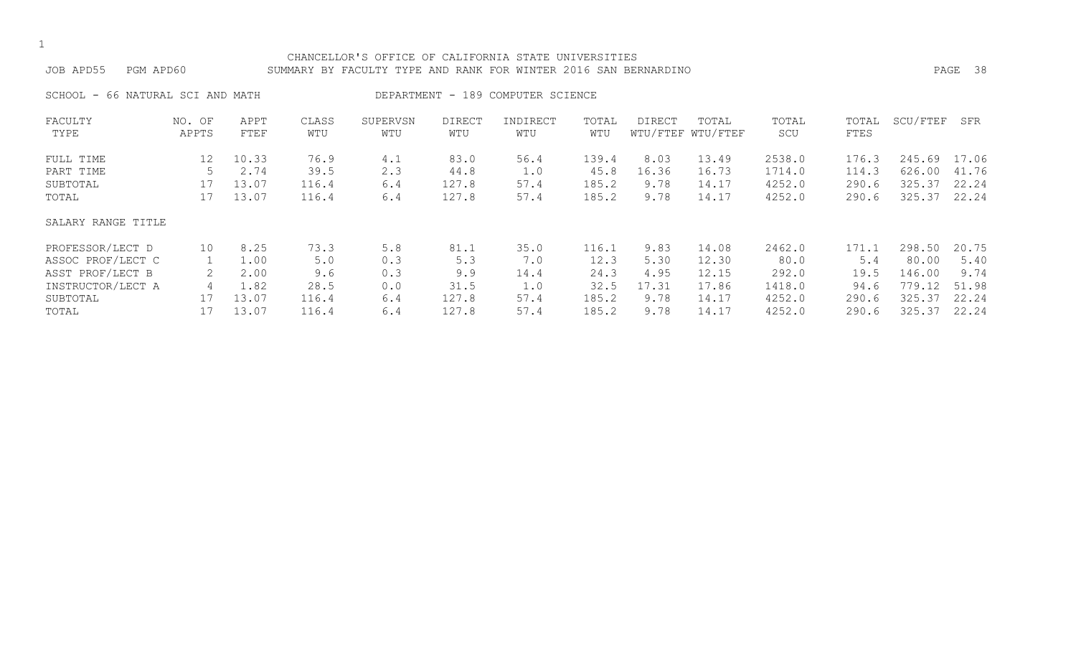#### CHANCELLOR'S OFFICE OF CALIFORNIA STATE UNIVERSITIES JOB APD55 PGM APD60 SUMMARY BY FACULTY TYPE AND RANK FOR WINTER 2016 SAN BERNARDINO PAGE 38

SCHOOL - 66 NATURAL SCI AND MATH DEPARTMENT - 189 COMPUTER SCIENCE

| FACULTY            | NO. OF | APPT  | CLASS | SUPERVSN | DIRECT | INDIRECT | TOTAL | DIRECT | TOTAL             | TOTAL  | TOTAL | SCU/FTEF | SFR   |
|--------------------|--------|-------|-------|----------|--------|----------|-------|--------|-------------------|--------|-------|----------|-------|
| TYPE               | APPTS  | FTEF  | WTU   | WTU      | WTU    | WTU      | WTU   |        | WTU/FTEF WTU/FTEF | SCU    | FTES  |          |       |
| FULL TIME          | 12     | 10.33 | 76.9  | 4.1      | 83.0   | 56.4     | 139.4 | 8.03   | 13.49             | 2538.0 | 176.3 | 245.69   | 17.06 |
| PART TIME          |        | 2.74  | 39.5  | 2.3      | 44.8   | 1.0      | 45.8  | 16.36  | 16.73             | 1714.0 | 114.3 | 626.00   | 41.76 |
| SUBTOTAL           | 17     | 13.07 | 116.4 | 6.4      | 127.8  | 57.4     | 185.2 | 9.78   | 14.17             | 4252.0 | 290.6 | 325.37   | 22.24 |
| TOTAL              | 17     | 13.07 | 116.4 | 6.4      | 127.8  | 57.4     | 185.2 | 9.78   | 14.17             | 4252.0 | 290.6 | 325.37   | 22.24 |
| SALARY RANGE TITLE |        |       |       |          |        |          |       |        |                   |        |       |          |       |
| PROFESSOR/LECT D   | 10     | 8.25  | 73.3  | 5.8      | 81.1   | 35.0     | 116.1 | 9.83   | 14.08             | 2462.0 | 171.1 | 298.50   | 20.75 |
| ASSOC PROF/LECT C  |        | 1.00  | 5.0   | 0.3      | 5.3    | 7.0      | 12.3  | 5.30   | 12.30             | 80.0   | 5.4   | 80.00    | 5.40  |
| ASST PROF/LECT B   |        | 2.00  | 9.6   | 0.3      | 9.9    | 14.4     | 24.3  | 4.95   | 12.15             | 292.0  | 19.5  | 146.00   | 9.74  |
| INSTRUCTOR/LECT A  | 4      | 1.82  | 28.5  | 0.0      | 31.5   | 1.0      | 32.5  | 17.31  | 17.86             | 1418.0 | 94.6  | 779.12   | 51.98 |
| SUBTOTAL           | 17     | 13.07 | 116.4 | 6.4      | 127.8  | 57.4     | 185.2 | 9.78   | 14.17             | 4252.0 | 290.6 | 325.37   | 22.24 |
| TOTAL              |        | 13.07 | 116.4 | 6.4      | 127.8  | 57.4     | 185.2 | 9.78   | 14.17             | 4252.0 | 290.6 | 325.37   | 22.24 |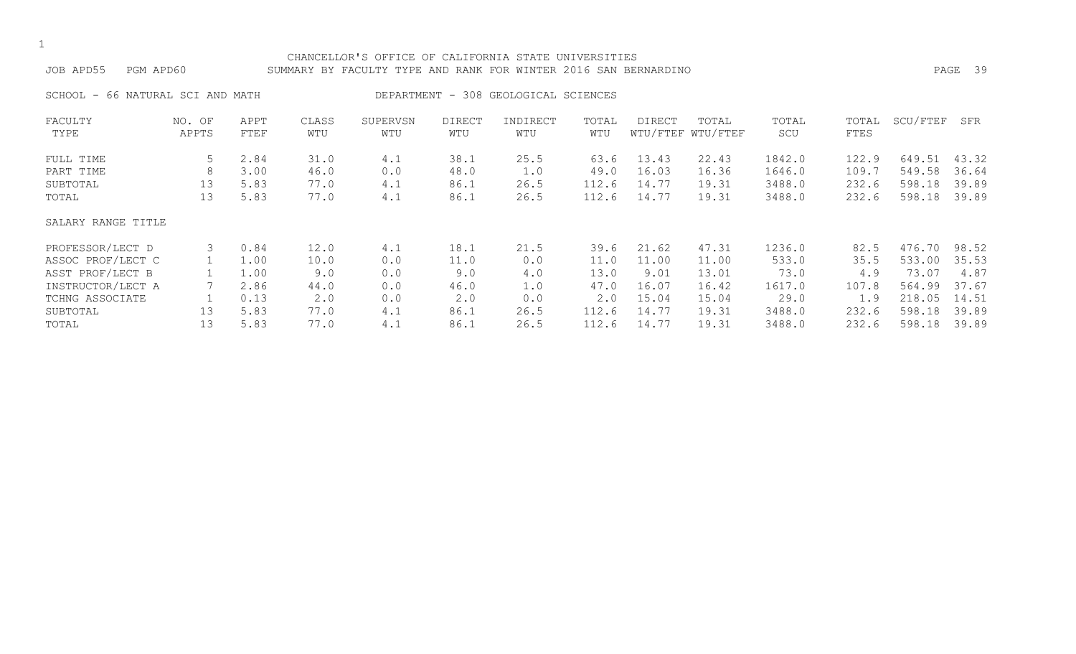#### CHANCELLOR'S OFFICE OF CALIFORNIA STATE UNIVERSITIES JOB APD55 PGM APD60 SUMMARY BY FACULTY TYPE AND RANK FOR WINTER 2016 SAN BERNARDINO PAGE 39

SCHOOL - 66 NATURAL SCI AND MATH DEPARTMENT - 308 GEOLOGICAL SCIENCES

| FACULTY            | NO. OF | APPT | CLASS | SUPERVSN | <b>DIRECT</b> | INDIRECT | TOTAL | <b>DIRECT</b> | TOTAL             | TOTAL  | TOTAL | SCU/FTEF | SFR   |
|--------------------|--------|------|-------|----------|---------------|----------|-------|---------------|-------------------|--------|-------|----------|-------|
| TYPE               | APPTS  | FTEF | WTU   | WTU      | WTU           | WTU      | WTU   |               | WTU/FTEF WTU/FTEF | SCU    | FTES  |          |       |
| FULL TIME          | 5      | 2.84 | 31.0  | 4.1      | 38.1          | 25.5     | 63.6  | 13.43         | 22.43             | 1842.0 | 122.9 | 649.51   | 43.32 |
| PART TIME          | 8      | 3.00 | 46.0  | 0.0      | 48.0          | 1.0      | 49.0  | 16.03         | 16.36             | 1646.0 | 109.7 | 549.58   | 36.64 |
| SUBTOTAL           | 13     | 5.83 | 77.0  | 4.1      | 86.1          | 26.5     | 112.6 | 14.77         | 19.31             | 3488.0 | 232.6 | 598.18   | 39.89 |
| TOTAL              | 13     | 5.83 | 77.0  | 4.1      | 86.1          | 26.5     | 112.6 | 14.77         | 19.31             | 3488.0 | 232.6 | 598.18   | 39.89 |
| SALARY RANGE TITLE |        |      |       |          |               |          |       |               |                   |        |       |          |       |
| PROFESSOR/LECT D   | 3      | 0.84 | 12.0  | 4.1      | 18.1          | 21.5     | 39.6  | 21.62         | 47.31             | 1236.0 | 82.5  | 476.70   | 98.52 |
| ASSOC PROF/LECT C  |        | 1.00 | 10.0  | 0.0      | 11.0          | 0.0      | 11.0  | 11.00         | 11.00             | 533.0  | 35.5  | 533.00   | 35.53 |
| ASST PROF/LECT B   |        | 1.00 | 9.0   | 0.0      | 9.0           | 4.0      | 13.0  | 9.01          | 13.01             | 73.0   | 4.9   | 73.07    | 4.87  |
| INSTRUCTOR/LECT A  |        | 2.86 | 44.0  | 0.0      | 46.0          | 1.0      | 47.0  | 16.07         | 16.42             | 1617.0 | 107.8 | 564.99   | 37.67 |
| TCHNG ASSOCIATE    |        | 0.13 | 2.0   | 0.0      | 2.0           | 0.0      | 2.0   | 15.04         | 15.04             | 29.0   | 1.9   | 218.05   | 14.51 |
| SUBTOTAL           | 13     | 5.83 | 77.0  | 4.1      | 86.1          | 26.5     | 112.6 | 14.77         | 19.31             | 3488.0 | 232.6 | 598.18   | 39.89 |
| TOTAL              | 13     | 5.83 | 77.0  | 4.1      | 86.1          | 26.5     | 112.6 | 14.77         | 19.31             | 3488.0 | 232.6 | 598.18   | 39.89 |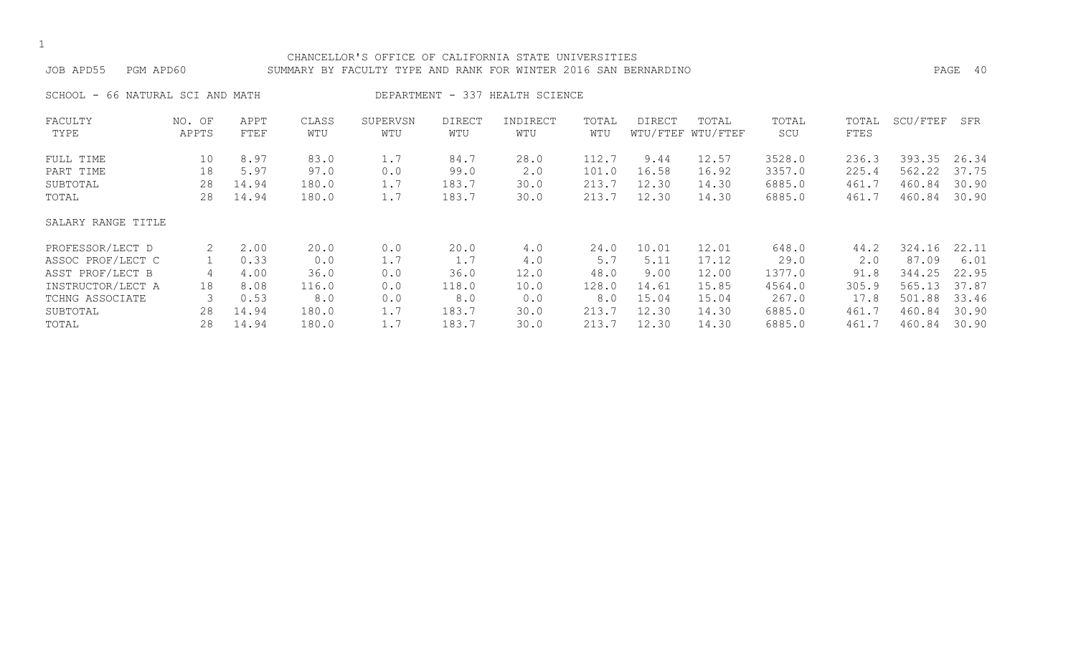#### CHANCELLOR'S OFFICE OF CALIFORNIA STATE UNIVERSITIES JOB APD55 PGM APD60 SUMMARY BY FACULTY TYPE AND RANK FOR WINTER 2016 SAN BERNARDINO PAGE 40

SCHOOL - 66 NATURAL SCI AND MATH DEPARTMENT - 337 HEALTH SCIENCE

| FACULTY            | NO. OF | APPT  | CLASS | SUPERVSN | <b>DIRECT</b> | INDIRECT | TOTAL | DIRECT | TOTAL             | TOTAL  | TOTAL | SCU/FTEF | SFR   |
|--------------------|--------|-------|-------|----------|---------------|----------|-------|--------|-------------------|--------|-------|----------|-------|
| TYPE               | APPTS  | FTEF  | WTU   | WTU      | WTU           | WTU      | WTU   |        | WTU/FTEF WTU/FTEF | SCU    | FTES  |          |       |
| FULL TIME          | 10     | 8.97  | 83.0  | 1.7      | 84.7          | 28.0     | 112.7 | 9.44   | 12.57             | 3528.0 | 236.3 | 393.35   | 26.34 |
| PART TIME          | 18     | 5.97  | 97.0  | 0.0      | 99.0          | 2.0      | 101.0 | 16.58  | 16.92             | 3357.0 | 225.4 | 562.22   | 37.75 |
| SUBTOTAL           | 28     | 14.94 | 180.0 | 1.7      | 183.7         | 30.0     | 213.7 | 12.30  | 14.30             | 6885.0 | 461.7 | 460.84   | 30.90 |
| TOTAL              | 28     | 14.94 | 180.0 | 1.7      | 183.7         | 30.0     | 213.7 | 12.30  | 14.30             | 6885.0 | 461.7 | 460.84   | 30.90 |
| SALARY RANGE TITLE |        |       |       |          |               |          |       |        |                   |        |       |          |       |
| PROFESSOR/LECT D   | 2      | 2.00  | 20.0  | 0.0      | 20.0          | 4.0      | 24.0  | 10.01  | 12.01             | 648.0  | 44.2  | 324.16   | 22.11 |
| ASSOC PROF/LECT C  |        | 0.33  | 0.0   | 1.7      | 1.7           | 4.0      | 5.7   | 5.11   | 17.12             | 29.0   | 2.0   | 87.09    | 6.01  |
| ASST PROF/LECT B   | 4      | 4.00  | 36.0  | 0.0      | 36.0          | 12.0     | 48.0  | 9.00   | 12.00             | 1377.0 | 91.8  | 344.25   | 22.95 |
| INSTRUCTOR/LECT A  | 18     | 8.08  | 116.0 | 0.0      | 118.0         | 10.0     | 128.0 | 14.61  | 15.85             | 4564.0 | 305.9 | 565.13   | 37.87 |
| TCHNG ASSOCIATE    |        | 0.53  | 8.0   | 0.0      | 8.0           | 0.0      | 8.0   | 15.04  | 15.04             | 267.0  | 17.8  | 501.88   | 33.46 |
| SUBTOTAL           | 28     | 14.94 | 180.0 | 1.7      | 183.7         | 30.0     | 213.7 | 12.30  | 14.30             | 6885.0 | 461.7 | 460.84   | 30.90 |
| TOTAL              | 28     | 14.94 | 180.0 | 1.7      | 183.7         | 30.0     | 213.7 | 12.30  | 14.30             | 6885.0 | 461.7 | 460.84   | 30.90 |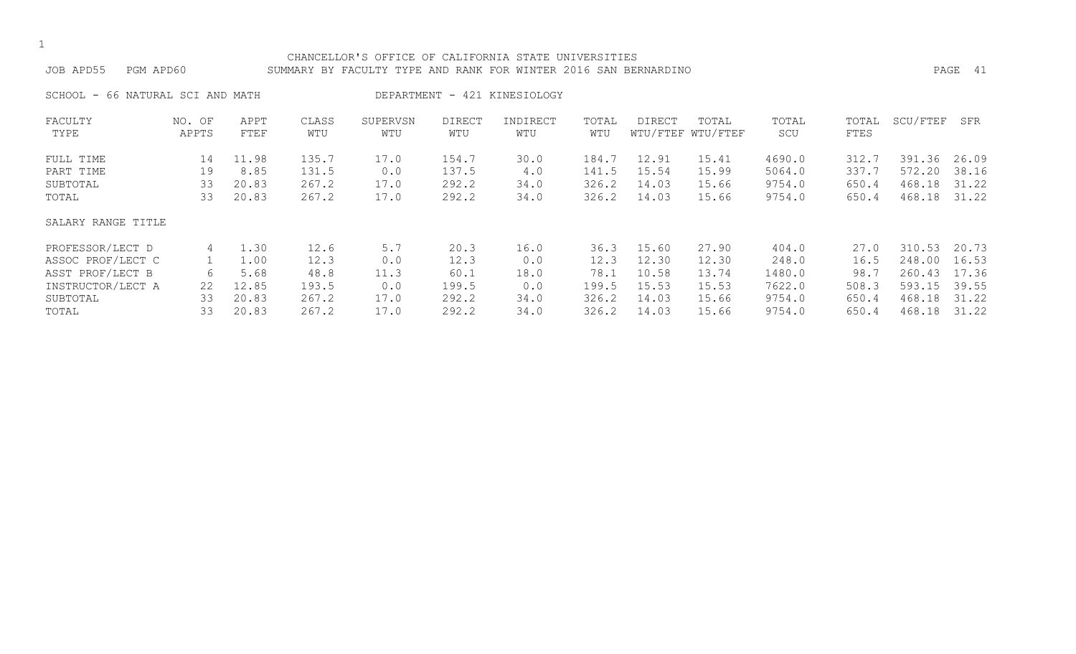#### CHANCELLOR'S OFFICE OF CALIFORNIA STATE UNIVERSITIES JOB APD55 PGM APD60 SUMMARY BY FACULTY TYPE AND RANK FOR WINTER 2016 SAN BERNARDINO PAGE 41

SCHOOL - 66 NATURAL SCI AND MATH DEPARTMENT - 421 KINESIOLOGY

| FACULTY            | NO. OF | APPT  | CLASS | SUPERVSN | <b>DIRECT</b> | INDIRECT | TOTAL | DIRECT | TOTAL             | TOTAL  | TOTAL | SCU/FTEF | SFR   |
|--------------------|--------|-------|-------|----------|---------------|----------|-------|--------|-------------------|--------|-------|----------|-------|
| TYPE               | APPTS  | FTEF  | WTU   | WTU      | WTU           | WTU      | WTU   |        | WTU/FTEF WTU/FTEF | SCU    | FTES  |          |       |
| FULL TIME          | 14     | 11.98 | 135.7 | 17.0     | 154.7         | 30.0     | 184.7 | 12.91  | 15.41             | 4690.0 | 312.7 | 391.36   | 26.09 |
| PART TIME          | 19     | 8.85  | 131.5 | 0.0      | 137.5         | 4.0      | 141.5 | 15.54  | 15.99             | 5064.0 | 337.7 | 572.20   | 38.16 |
| SUBTOTAL           | 33     | 20.83 | 267.2 | 17.0     | 292.2         | 34.0     | 326.2 | 14.03  | 15.66             | 9754.0 | 650.4 | 468.18   | 31.22 |
| TOTAL              | 33     | 20.83 | 267.2 | 17.0     | 292.2         | 34.0     | 326.2 | 14.03  | 15.66             | 9754.0 | 650.4 | 468.18   | 31.22 |
| SALARY RANGE TITLE |        |       |       |          |               |          |       |        |                   |        |       |          |       |
| PROFESSOR/LECT D   | 4      | 1.30  | 12.6  | 5.7      | 20.3          | 16.0     | 36.3  | 15.60  | 27.90             | 404.0  | 27.0  | 310.53   | 20.73 |
| ASSOC PROF/LECT C  |        | 1.00  | 12.3  | 0.0      | 12.3          | 0.0      | 12.3  | 12.30  | 12.30             | 248.0  | 16.5  | 248.00   | 16.53 |
| ASST PROF/LECT B   | 6      | 5.68  | 48.8  | 11.3     | 60.1          | 18.0     | 78.1  | 10.58  | 13.74             | 1480.0 | 98.7  | 260.43   | 17.36 |
| INSTRUCTOR/LECT A  | 22     | 12.85 | 193.5 | 0.0      | 199.5         | 0.0      | 199.5 | 15.53  | 15.53             | 7622.0 | 508.3 | 593.15   | 39.55 |
| SUBTOTAL           | 33     | 20.83 | 267.2 | 17.0     | 292.2         | 34.0     | 326.2 | 14.03  | 15.66             | 9754.0 | 650.4 | 468.18   | 31.22 |
| TOTAL              | 33     | 20.83 | 267.2 | 17.0     | 292.2         | 34.0     | 326.2 | 14.03  | 15.66             | 9754.0 | 650.4 | 468.18   | 31.22 |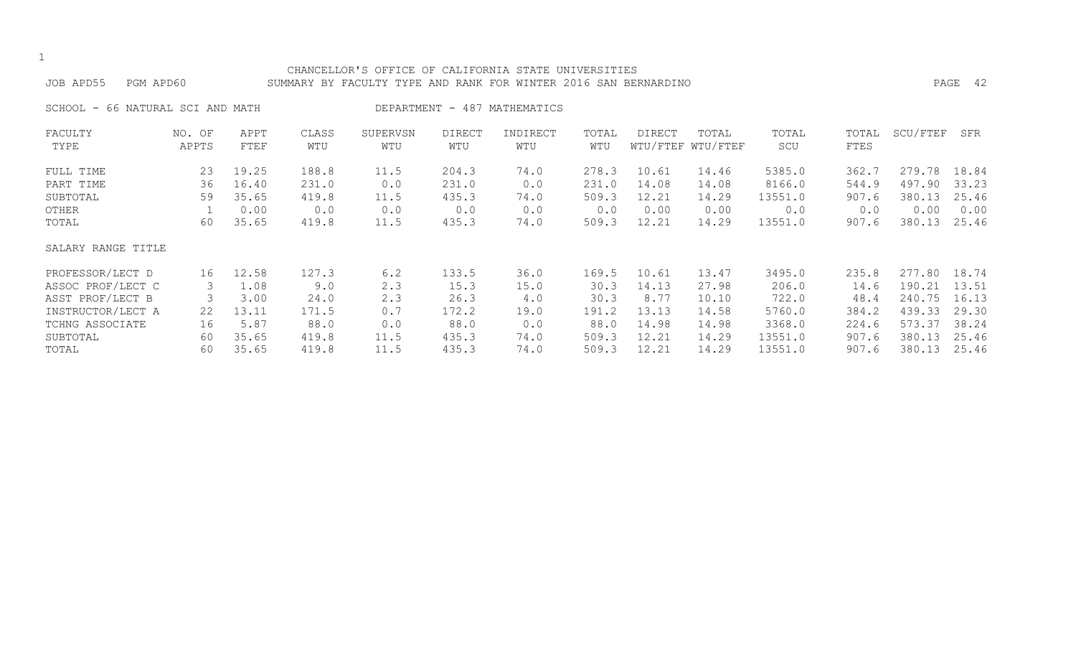| JOB APD55 |  | PGM APD60 |
|-----------|--|-----------|
|-----------|--|-----------|

### CHANCELLOR'S OFFICE OF CALIFORNIA STATE UNIVERSITIES SUMMARY BY FACULTY TYPE AND RANK FOR WINTER 2016 SAN BERNARDINO **PAGE 42**

| SCHOOL -<br>66 NATURAL SCI AND MATH |                 |              |              | DEPARTMENT -    | 487                  | MATHEMATICS     |              |        |                            |              |               |          |       |
|-------------------------------------|-----------------|--------------|--------------|-----------------|----------------------|-----------------|--------------|--------|----------------------------|--------------|---------------|----------|-------|
| FACULTY<br>TYPE                     | NO. OF<br>APPTS | APPT<br>FTEF | CLASS<br>WTU | SUPERVSN<br>WTU | <b>DIRECT</b><br>WTU | INDIRECT<br>WTU | TOTAL<br>WTU | DIRECT | TOTAL<br>WTU/FTEF WTU/FTEF | TOTAL<br>SCU | TOTAL<br>FTES | SCU/FTEF | SFR   |
| FULL TIME                           | 23              | 19.25        | 188.8        | 11.5            | 204.3                | 74.0            | 278.3        | 10.61  | 14.46                      | 5385.0       | 362.7         | 279.78   | 18.84 |
| PART TIME                           | 36              | 16.40        | 231.0        | 0.0             | 231.0                | 0.0             | 231.0        | 14.08  | 14.08                      | 8166.0       | 544.9         | 497.90   | 33.23 |
| SUBTOTAL                            | 59              | 35.65        | 419.8        | 11.5            | 435.3                | 74.0            | 509.3        | 12.21  | 14.29                      | 13551.0      | 907.6         | 380.13   | 25.46 |
| OTHER                               |                 | 0.00         | 0.0          | 0.0             | 0.0                  | 0.0             | 0.0          | 0.00   | 0.00                       | 0.0          | 0.0           | 0.00     | 0.00  |
| TOTAL                               | 60              | 35.65        | 419.8        | 11.5            | 435.3                | 74.0            | 509.3        | 12.21  | 14.29                      | 13551.0      | 907.6         | 380.13   | 25.46 |
| SALARY RANGE TITLE                  |                 |              |              |                 |                      |                 |              |        |                            |              |               |          |       |
| PROFESSOR/LECT D                    | 16              | 12.58        | 127.3        | 6.2             | 133.5                | 36.0            | 169.5        | 10.61  | 13.47                      | 3495.0       | 235.8         | 277.80   | 18.74 |
| ASSOC PROF/LECT C                   | 3               | 1.08         | 9.0          | 2.3             | 15.3                 | 15.0            | 30.3         | 14.13  | 27.98                      | 206.0        | 14.6          | 190.21   | 13.51 |
| ASST PROF/LECT B                    |                 | 3.00         | 24.0         | 2.3             | 26.3                 | 4.0             | 30.3         | 8.77   | 10.10                      | 722.0        | 48.4          | 240.75   | 16.13 |
| INSTRUCTOR/LECT A                   | 22              | 13.11        | 171.5        | 0.7             | 172.2                | 19.0            | 191.2        | 13.13  | 14.58                      | 5760.0       | 384.2         | 439.33   | 29.30 |
| TCHNG ASSOCIATE                     | 16              | 5.87         | 88.0         | 0.0             | 88.0                 | 0.0             | 88.0         | 14.98  | 14.98                      | 3368.0       | 224.6         | 573.37   | 38.24 |
| SUBTOTAL                            | 60              | 35.65        | 419.8        | 11.5            | 435.3                | 74.0            | 509.3        | 12.21  | 14.29                      | 13551.0      | 907.6         | 380.13   | 25.46 |
| TOTAL                               | 60              | 35.65        | 419.8        | 11.5            | 435.3                | 74.0            | 509.3        | 12.21  | 14.29                      | 13551.0      | 907.6         | 380.13   | 25.46 |

1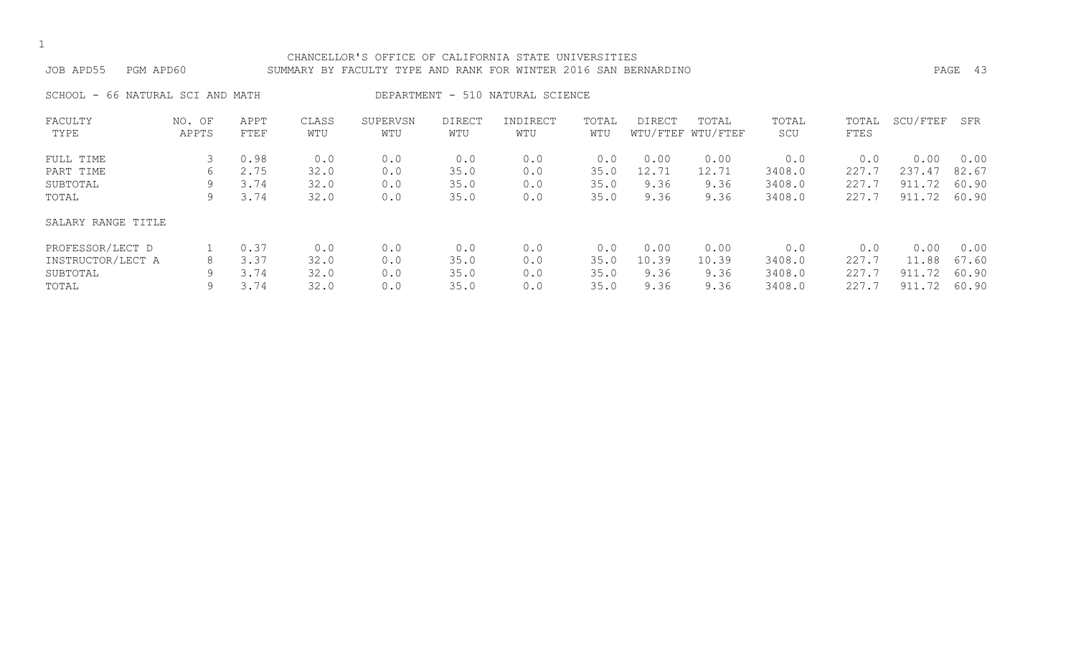#### CHANCELLOR'S OFFICE OF CALIFORNIA STATE UNIVERSITIES JOB APD55 PGM APD60 SUMMARY BY FACULTY TYPE AND RANK FOR WINTER 2016 SAN BERNARDINO PAGE 43

SCHOOL - 66 NATURAL SCI AND MATH DEPARTMENT - 510 NATURAL SCIENCE

| FACULTY            | NO. OF | APPT | CLASS | SUPERVSN | <b>DIRECT</b> | INDIRECT | TOTAL | DIRECT | TOTAL             | TOTAL  | TOTAL | SCU/FTEF | SFR   |
|--------------------|--------|------|-------|----------|---------------|----------|-------|--------|-------------------|--------|-------|----------|-------|
| TYPE               | APPTS  | FTEF | WTU   | WTU      | WTU           | WTU      | WTU   |        | WTU/FTEF WTU/FTEF | SCU    | FTES  |          |       |
| FULL TIME          |        | 0.98 | 0.0   | 0.0      | 0.0           | 0.0      | 0.0   | 0.00   | 0.00              | 0.0    | 0.0   | 0.00     | 0.00  |
| PART TIME          | 6      | 2.75 | 32.0  | 0.0      | 35.0          | 0.0      | 35.0  | 12.71  | 12.71             | 3408.0 | 227.7 | 237.47   | 82.67 |
| SUBTOTAL           | 9      | 3.74 | 32.0  | 0.0      | 35.0          | 0.0      | 35.0  | 9.36   | 9.36              | 3408.0 | 227.7 | 911.72   | 60.90 |
| TOTAL              | 9      | 3.74 | 32.0  | 0.0      | 35.0          | 0.0      | 35.0  | 9.36   | 9.36              | 3408.0 | 227.7 | 911.72   | 60.90 |
| SALARY RANGE TITLE |        |      |       |          |               |          |       |        |                   |        |       |          |       |
| PROFESSOR/LECT D   |        | 0.37 | 0.0   | 0.0      | 0.0           | 0.0      | 0.0   | 0.00   | 0.00              | 0.0    | 0.0   | 0.00     | 0.00  |
| INSTRUCTOR/LECT A  | 8      | 3.37 | 32.0  | 0.0      | 35.0          | 0.0      | 35.0  | 10.39  | 10.39             | 3408.0 | 227.7 | 11.88    | 67.60 |
| SUBTOTAL           | 9      | 3.74 | 32.0  | 0.0      | 35.0          | 0.0      | 35.0  | 9.36   | 9.36              | 3408.0 | 227.7 | 911.72   | 60.90 |
| TOTAL              | 9      | 3.74 | 32.0  | 0.0      | 35.0          | 0.0      | 35.0  | 9.36   | 9.36              | 3408.0 | 227.7 | 911.72   | 60.90 |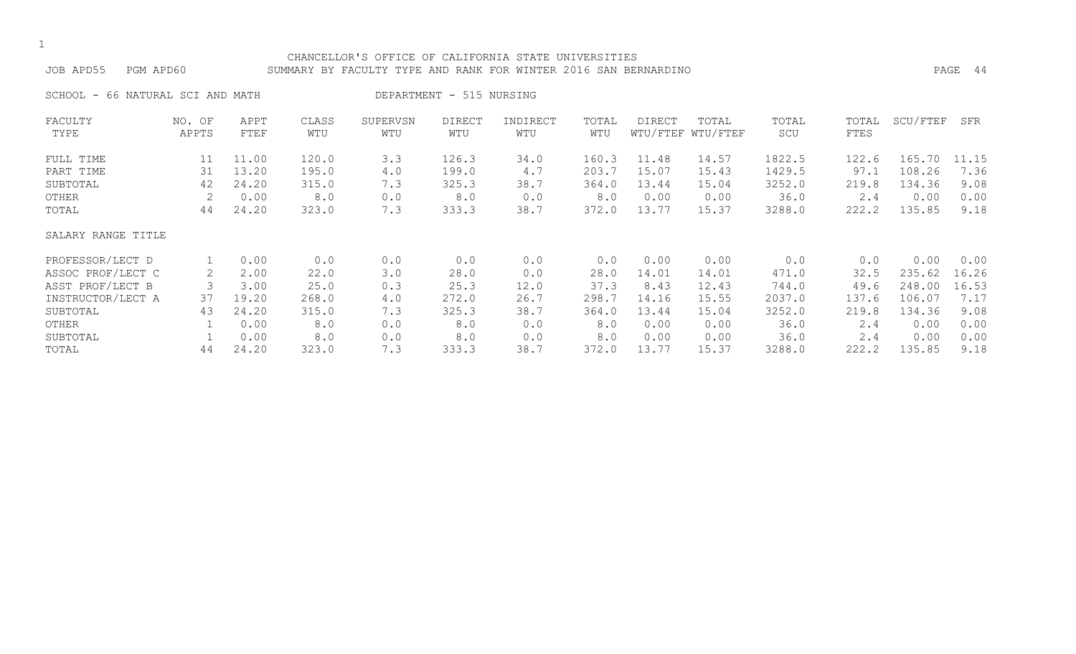#### CHANCELLOR'S OFFICE OF CALIFORNIA STATE UNIVERSITIES JOB APD55 PGM APD60 SUMMARY BY FACULTY TYPE AND RANK FOR WINTER 2016 SAN BERNARDINO PAGE 44

SCHOOL - 66 NATURAL SCI AND MATH DEPARTMENT - 515 NURSING

| FACULTY            | NO. OF | APPT  | CLASS | SUPERVSN | <b>DIRECT</b> | INDIRECT | TOTAL | DIRECT | TOTAL             | TOTAL  | TOTAL | SCU/FTEF | SFR   |
|--------------------|--------|-------|-------|----------|---------------|----------|-------|--------|-------------------|--------|-------|----------|-------|
| TYPE               | APPTS  | FTEF  | WTU   | WTU      | WTU           | WTU      | WTU   |        | WTU/FTEF WTU/FTEF | SCU    | FTES  |          |       |
| FULL TIME          | 11     | 11.00 | 120.0 | 3.3      | 126.3         | 34.0     | 160.3 | 11.48  | 14.57             | 1822.5 | 122.6 | 165.70   | 11.15 |
| PART TIME          | 31     | 13.20 | 195.0 | 4.0      | 199.0         | 4.7      | 203.7 | 15.07  | 15.43             | 1429.5 | 97.1  | 108.26   | 7.36  |
| SUBTOTAL           | 42     | 24.20 | 315.0 | 7.3      | 325.3         | 38.7     | 364.0 | 13.44  | 15.04             | 3252.0 | 219.8 | 134.36   | 9.08  |
| OTHER              |        | 0.00  | 8.0   | 0.0      | 8.0           | 0.0      | 8.0   | 0.00   | 0.00              | 36.0   | 2.4   | 0.00     | 0.00  |
| TOTAL              | 44     | 24.20 | 323.0 | 7.3      | 333.3         | 38.7     | 372.0 | 13.77  | 15.37             | 3288.0 | 222.2 | 135.85   | 9.18  |
| SALARY RANGE TITLE |        |       |       |          |               |          |       |        |                   |        |       |          |       |
| PROFESSOR/LECT D   |        | 0.00  | 0.0   | 0.0      | 0.0           | 0.0      | 0.0   | 0.00   | 0.00              | 0.0    | 0.0   | 0.00     | 0.00  |
| ASSOC PROF/LECT C  | 2      | 2.00  | 22.0  | 3.0      | 28.0          | 0.0      | 28.0  | 14.01  | 14.01             | 471.0  | 32.5  | 235.62   | 16.26 |
| ASST PROF/LECT B   |        | 3.00  | 25.0  | 0.3      | 25.3          | 12.0     | 37.3  | 8.43   | 12.43             | 744.0  | 49.6  | 248.00   | 16.53 |
| INSTRUCTOR/LECT A  | 37     | 19.20 | 268.0 | 4.0      | 272.0         | 26.7     | 298.7 | 14.16  | 15.55             | 2037.0 | 137.6 | 106.07   | 7.17  |
| SUBTOTAL           | 43     | 24.20 | 315.0 | 7.3      | 325.3         | 38.7     | 364.0 | 13.44  | 15.04             | 3252.0 | 219.8 | 134.36   | 9.08  |
| OTHER              |        | 0.00  | 8.0   | 0.0      | 8.0           | 0.0      | 8.0   | 0.00   | 0.00              | 36.0   | 2.4   | 0.00     | 0.00  |
| SUBTOTAL           |        | 0.00  | 8.0   | 0.0      | 8.0           | 0.0      | 8.0   | 0.00   | 0.00              | 36.0   | 2.4   | 0.00     | 0.00  |
| TOTAL              | 44     | 24.20 | 323.0 | 7.3      | 333.3         | 38.7     | 372.0 | 13.77  | 15.37             | 3288.0 | 222.2 | 135.85   | 9.18  |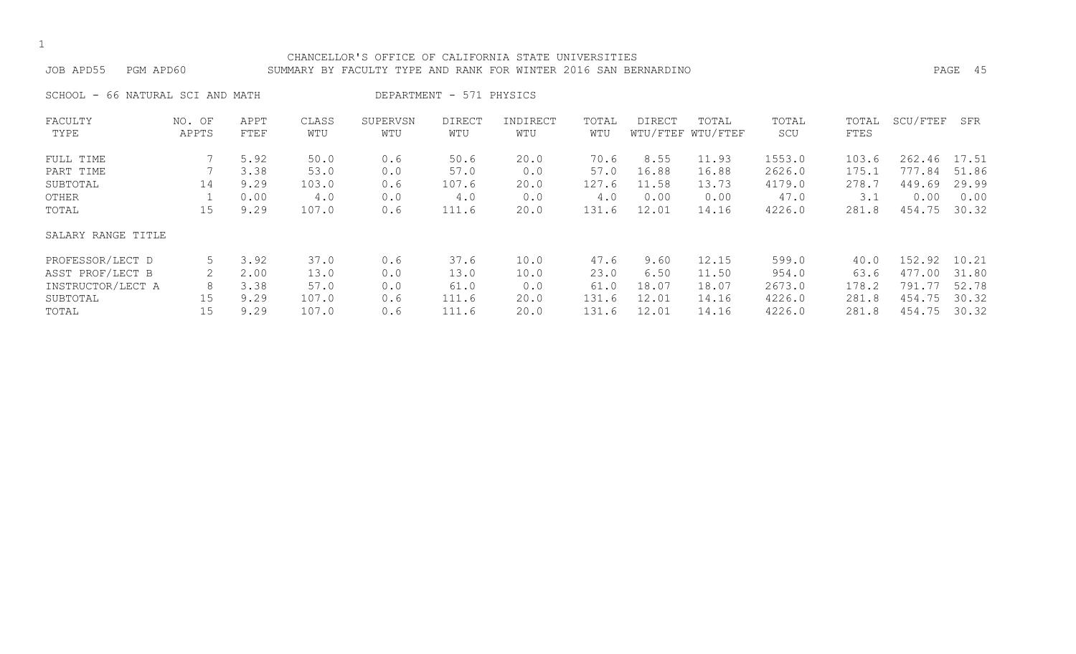#### CHANCELLOR'S OFFICE OF CALIFORNIA STATE UNIVERSITIES JOB APD55 PGM APD60 SUMMARY BY FACULTY TYPE AND RANK FOR WINTER 2016 SAN BERNARDINO PAGE 45

SCHOOL - 66 NATURAL SCI AND MATH DEPARTMENT - 571 PHYSICS

| FACULTY            | NO. OF | APPT | CLASS | SUPERVSN | <b>DIRECT</b> | INDIRECT | TOTAL | <b>DIRECT</b> | TOTAL             | TOTAL  | TOTAL | SCU/FTEF | SFR   |
|--------------------|--------|------|-------|----------|---------------|----------|-------|---------------|-------------------|--------|-------|----------|-------|
| TYPE               | APPTS  | FTEF | WTU   | WTU      | WTU           | WTU      | WTU   |               | WTU/FTEF WTU/FTEF | SCU    | FTES  |          |       |
| FULL TIME          |        | 5.92 | 50.0  | 0.6      | 50.6          | 20.0     | 70.6  | 8.55          | 11.93             | 1553.0 | 103.6 | 262.46   | 17.51 |
| PART TIME          |        | 3.38 | 53.0  | 0.0      | 57.0          | 0.0      | 57.0  | 16.88         | 16.88             | 2626.0 | 175.1 | 777.84   | 51.86 |
| SUBTOTAL           | 14     | 9.29 | 103.0 | 0.6      | 107.6         | 20.0     | 127.6 | 11.58         | 13.73             | 4179.0 | 278.7 | 449.69   | 29.99 |
| OTHER              |        | 0.00 | 4.0   | 0.0      | 4.0           | 0.0      | 4.0   | 0.00          | 0.00              | 47.0   | 3.1   | 0.00     | 0.00  |
| TOTAL              | 15     | 9.29 | 107.0 | 0.6      | 111.6         | 20.0     | 131.6 | 12.01         | 14.16             | 4226.0 | 281.8 | 454.75   | 30.32 |
| SALARY RANGE TITLE |        |      |       |          |               |          |       |               |                   |        |       |          |       |
| PROFESSOR/LECT D   | 5      | 3.92 | 37.0  | 0.6      | 37.6          | 10.0     | 47.6  | 9.60          | 12.15             | 599.0  | 40.0  | 152.92   | 10.21 |
| ASST PROF/LECT B   |        | 2.00 | 13.0  | 0.0      | 13.0          | 10.0     | 23.0  | 6.50          | 11.50             | 954.0  | 63.6  | 477.00   | 31.80 |
| INSTRUCTOR/LECT A  | 8      | 3.38 | 57.0  | 0.0      | 61.0          | 0.0      | 61.0  | 18.07         | 18.07             | 2673.0 | 178.2 | 791.77   | 52.78 |
| SUBTOTAL           | 15     | 9.29 | 107.0 | 0.6      | 111.6         | 20.0     | 131.6 | 12.01         | 14.16             | 4226.0 | 281.8 | 454.75   | 30.32 |
| TOTAL              | 15     | 9.29 | 107.0 | 0.6      | 111.6         | 20.0     | 131.6 | 12.01         | 14.16             | 4226.0 | 281.8 | 454.75   | 30.32 |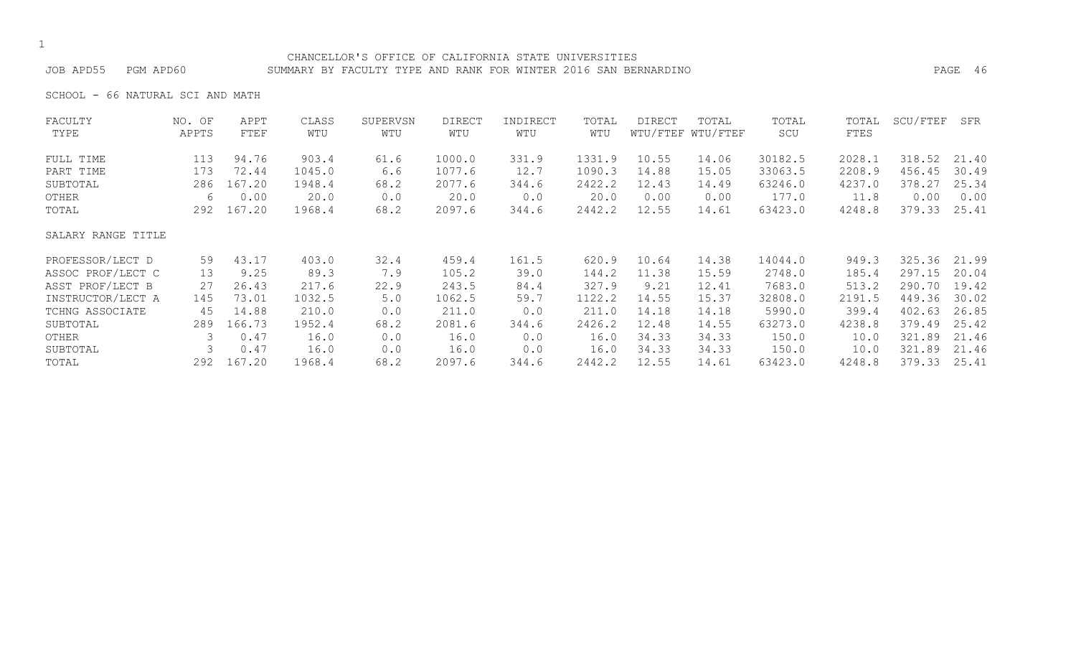#### CHANCELLOR'S OFFICE OF CALIFORNIA STATE UNIVERSITIES JOB APD55 PGM APD60 SUMMARY BY FACULTY TYPE AND RANK FOR WINTER 2016 SAN BERNARDINO PAGE 46

SCHOOL - 66 NATURAL SCI AND MATH

| FACULTY            | NO. OF | APPT   | CLASS  | SUPERVSN | <b>DIRECT</b> | INDIRECT | TOTAL  | <b>DIRECT</b> | TOTAL             | TOTAL   | TOTAL  | SCU/FTEF | SFR   |
|--------------------|--------|--------|--------|----------|---------------|----------|--------|---------------|-------------------|---------|--------|----------|-------|
| TYPE               | APPTS  | FTEF   | WTU    | WTU      | WTU           | WTU      | WTU    |               | WTU/FTEF WTU/FTEF | SCU     | FTES   |          |       |
| FULL TIME          | 113    | 94.76  | 903.4  | 61.6     | 1000.0        | 331.9    | 1331.9 | 10.55         | 14.06             | 30182.5 | 2028.1 | 318.52   | 21.40 |
| PART TIME          | 173    | 72.44  | 1045.0 | 6.6      | 1077.6        | 12.7     | 1090.3 | 14.88         | 15.05             | 33063.5 | 2208.9 | 456.45   | 30.49 |
| SUBTOTAL           | 286    | 167.20 | 1948.4 | 68.2     | 2077.6        | 344.6    | 2422.2 | 12.43         | 14.49             | 63246.0 | 4237.0 | 378.27   | 25.34 |
| OTHER              | 6      | 0.00   | 20.0   | 0.0      | 20.0          | 0.0      | 20.0   | 0.00          | 0.00              | 177.0   | 11.8   | 0.00     | 0.00  |
| TOTAL              | 292    | 167.20 | 1968.4 | 68.2     | 2097.6        | 344.6    | 2442.2 | 12.55         | 14.61             | 63423.0 | 4248.8 | 379.33   | 25.41 |
| SALARY RANGE TITLE |        |        |        |          |               |          |        |               |                   |         |        |          |       |
| PROFESSOR/LECT D   | 59     | 43.17  | 403.0  | 32.4     | 459.4         | 161.5    | 620.9  | 10.64         | 14.38             | 14044.0 | 949.3  | 325.36   | 21.99 |
| ASSOC PROF/LECT C  | 13     | 9.25   | 89.3   | 7.9      | 105.2         | 39.0     | 144.2  | 11.38         | 15.59             | 2748.0  | 185.4  | 297.15   | 20.04 |
| ASST PROF/LECT B   | 27     | 26.43  | 217.6  | 22.9     | 243.5         | 84.4     | 327.9  | 9.21          | 12.41             | 7683.0  | 513.2  | 290.70   | 19.42 |
| INSTRUCTOR/LECT A  | 145    | 73.01  | 1032.5 | 5.0      | 1062.5        | 59.7     | 1122.2 | 14.55         | 15.37             | 32808.0 | 2191.5 | 449.36   | 30.02 |
| TCHNG ASSOCIATE    | 45     | 14.88  | 210.0  | 0.0      | 211.0         | 0.0      | 211.0  | 14.18         | 14.18             | 5990.0  | 399.4  | 402.63   | 26.85 |
| SUBTOTAL           | 289    | 166.73 | 1952.4 | 68.2     | 2081.6        | 344.6    | 2426.2 | 12.48         | 14.55             | 63273.0 | 4238.8 | 379.49   | 25.42 |
| OTHER              | 3      | 0.47   | 16.0   | 0.0      | 16.0          | 0.0      | 16.0   | 34.33         | 34.33             | 150.0   | 10.0   | 321.89   | 21.46 |
| SUBTOTAL           |        | 0.47   | 16.0   | 0.0      | 16.0          | 0.0      | 16.0   | 34.33         | 34.33             | 150.0   | 10.0   | 321.89   | 21.46 |
| TOTAL              | 292    | 167.20 | 1968.4 | 68.2     | 2097.6        | 344.6    | 2442.2 | 12.55         | 14.61             | 63423.0 | 4248.8 | 379.33   | 25.41 |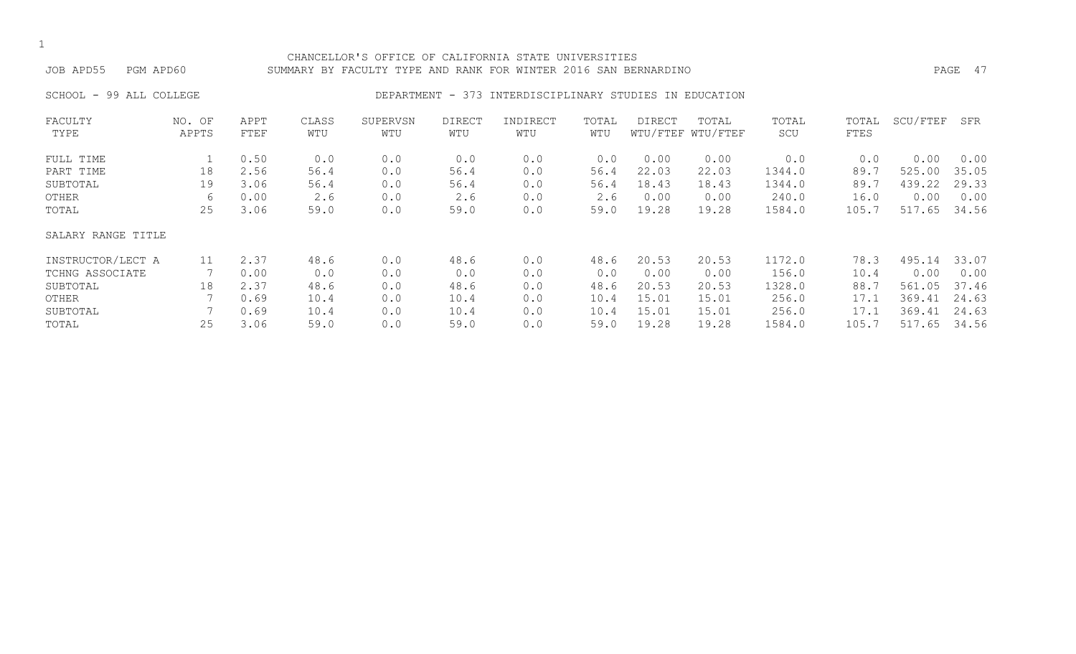#### CHANCELLOR'S OFFICE OF CALIFORNIA STATE UNIVERSITIES JOB APD55 PGM APD60 SUMMARY BY FACULTY TYPE AND RANK FOR WINTER 2016 SAN BERNARDINO PAGE 47

### SCHOOL - 99 ALL COLLEGE CONSERVERSE DEPARTMENT - 373 INTERDISCIPLINARY STUDIES IN EDUCATION

| FACULTY            | NO. OF | APPT | CLASS | SUPERVSN | <b>DIRECT</b> | INDIRECT | TOTAL | <b>DIRECT</b> | TOTAL             | TOTAL  | TOTAL | SCU/FTEF | SFR   |
|--------------------|--------|------|-------|----------|---------------|----------|-------|---------------|-------------------|--------|-------|----------|-------|
| TYPE               | APPTS  | FTEF | WTU   | WTU      | WTU           | WTU      | WTU   |               | WTU/FTEF WTU/FTEF | SCU    | FTES  |          |       |
| FULL TIME          |        | 0.50 | 0.0   | 0.0      | 0.0           | 0.0      | 0.0   | 0.00          | 0.00              | 0.0    | 0.0   | 0.00     | 0.00  |
| PART TIME          | 18     | 2.56 | 56.4  | 0.0      | 56.4          | 0.0      | 56.4  | 22.03         | 22.03             | 1344.0 | 89.7  | 525.00   | 35.05 |
| SUBTOTAL           | 19     | 3.06 | 56.4  | 0.0      | 56.4          | 0.0      | 56.4  | 18.43         | 18.43             | 1344.0 | 89.7  | 439.22   | 29.33 |
| OTHER              | 6      | 0.00 | 2.6   | 0.0      | 2.6           | 0.0      | 2.6   | 0.00          | 0.00              | 240.0  | 16.0  | 0.00     | 0.00  |
| TOTAL              | 25     | 3.06 | 59.0  | 0.0      | 59.0          | 0.0      | 59.0  | 19.28         | 19.28             | 1584.0 | 105.7 | 517.65   | 34.56 |
| SALARY RANGE TITLE |        |      |       |          |               |          |       |               |                   |        |       |          |       |
| INSTRUCTOR/LECT A  | 11     | 2.37 | 48.6  | 0.0      | 48.6          | 0.0      | 48.6  | 20.53         | 20.53             | 1172.0 | 78.3  | 495.14   | 33.07 |
| TCHNG ASSOCIATE    |        | 0.00 | 0.0   | 0.0      | 0.0           | 0.0      | 0.0   | 0.00          | 0.00              | 156.0  | 10.4  | 0.00     | 0.00  |
| SUBTOTAL           | 18     | 2.37 | 48.6  | 0.0      | 48.6          | 0.0      | 48.6  | 20.53         | 20.53             | 1328.0 | 88.7  | 561.05   | 37.46 |
| OTHER              |        | 0.69 | 10.4  | 0.0      | 10.4          | 0.0      | 10.4  | 15.01         | 15.01             | 256.0  | 17.1  | 369.41   | 24.63 |
| SUBTOTAL           |        | 0.69 | 10.4  | 0.0      | 10.4          | 0.0      | 10.4  | 15.01         | 15.01             | 256.0  | 17.1  | 369.41   | 24.63 |
| TOTAL              | 25     | 3.06 | 59.0  | 0.0      | 59.0          | 0.0      | 59.0  | 19.28         | 19.28             | 1584.0 | 105.7 | 517.65   | 34.56 |